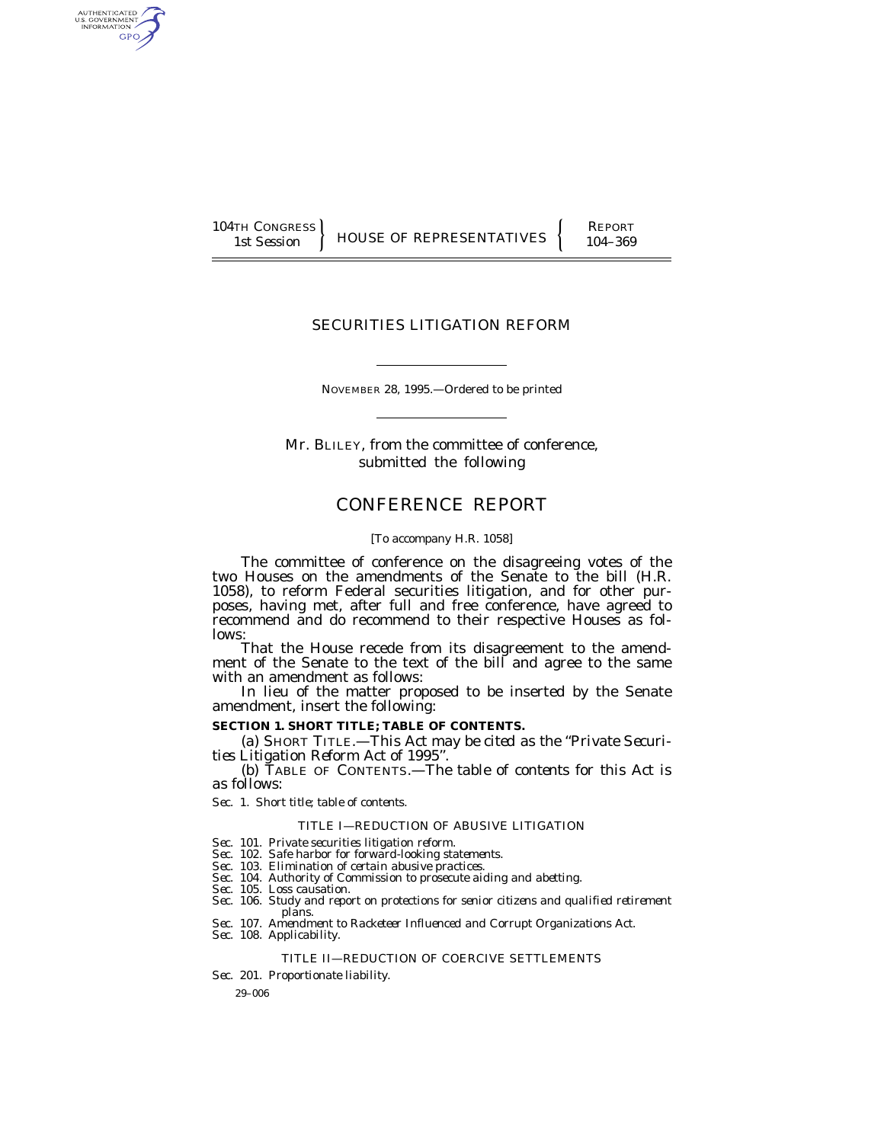AUTHENTICATED<br>U.S. GOVERNMENT<br>INFORMATION GPO

104TH CONGRESS HOUSE OF REPRESENTATIVES **REPORT** 104–369

## SECURITIES LITIGATION REFORM

NOVEMBER 28, 1995.—Ordered to be printed

Mr. BLILEY, from the committee of conference, submitted the following

# CONFERENCE REPORT

## [To accompany H.R. 1058]

The committee of conference on the disagreeing votes of the two Houses on the amendments of the Senate to the bill (H.R. 1058), to reform Federal securities litigation, and for other purposes, having met, after full and free conference, have agreed to recommend and do recommend to their respective Houses as follows:

That the House recede from its disagreement to the amendment of the Senate to the text of the bill and agree to the same with an amendment as follows:

In lieu of the matter proposed to be inserted by the Senate amendment, insert the following:

## *SECTION 1. SHORT TITLE; TABLE OF CONTENTS.*

*(a) SHORT TITLE.—This Act may be cited as the ''Private Securities Litigation Reform Act of 1995''.*

*(b) TABLE OF CONTENTS.—The table of contents for this Act is as follows:*

*Sec. 1. Short title; table of contents.*

## *TITLE I—REDUCTION OF ABUSIVE LITIGATION*

- *Sec. 101. Private securities litigation reform.*
- *Sec. 102. Safe harbor for forward-looking statements.*

*Sec. 103. Elimination of certain abusive practices.*

*Sec. 104. Authority of Commission to prosecute aiding and abetting.*

- *Sec. 105. Loss causation.*
- *Sec. 106. Study and report on protections for senior citizens and qualified retirement plans.*
- *Sec. 107. Amendment to Racketeer Influenced and Corrupt Organizations Act.*
- *Sec. 108. Applicability.*

#### *TITLE II—REDUCTION OF COERCIVE SETTLEMENTS*

*Sec. 201. Proportionate liability.*

29–006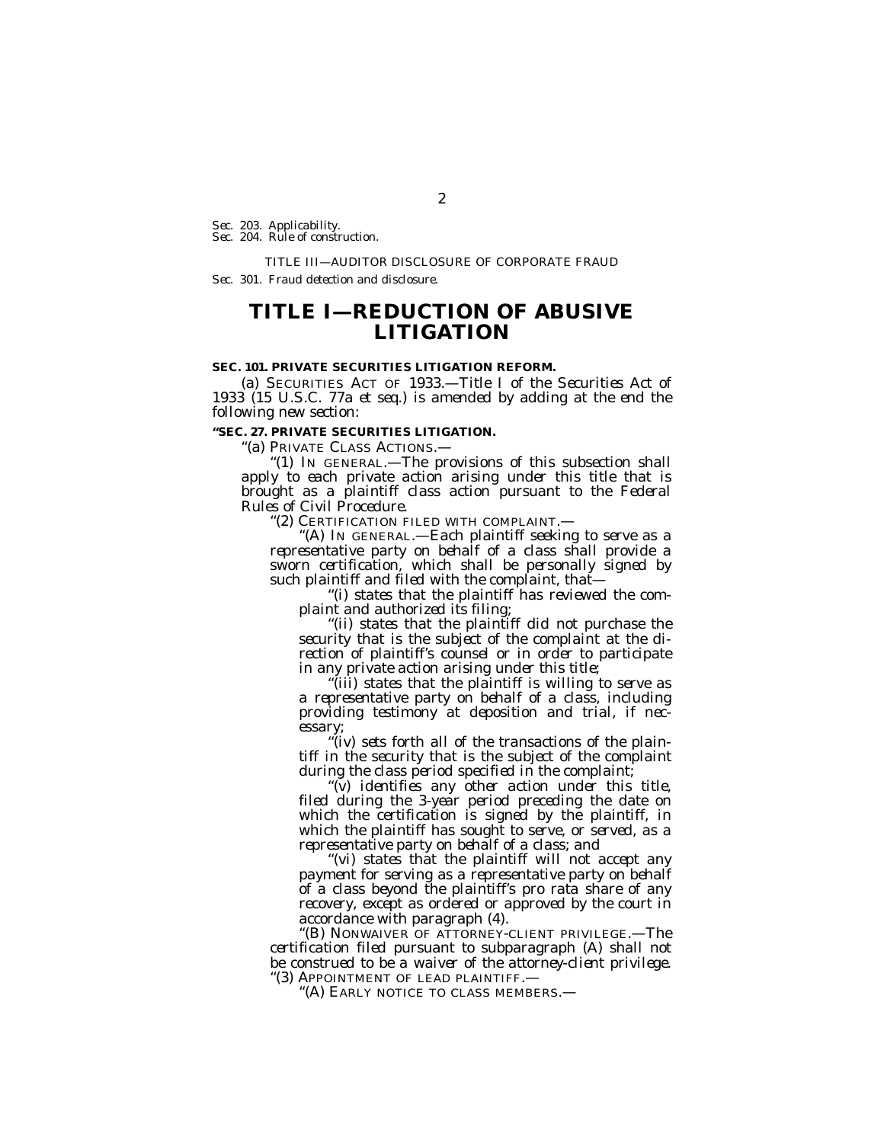*Sec. 203. Applicability. Sec. 204. Rule of construction.*

*TITLE III—AUDITOR DISCLOSURE OF CORPORATE FRAUD Sec. 301. Fraud detection and disclosure.*

# *TITLE I—REDUCTION OF ABUSIVE LITIGATION*

## *SEC. 101. PRIVATE SECURITIES LITIGATION REFORM.*

*(a) SECURITIES ACT OF 1933.—Title I of the Securities Act of 1933 (15 U.S.C. 77a et seq.) is amended by adding at the end the following new section:*

# *''SEC. 27. PRIVATE SECURITIES LITIGATION.*

*''(a) PRIVATE CLASS ACTIONS.—*

*''(1) IN GENERAL.—The provisions of this subsection shall apply to each private action arising under this title that is brought as a plaintiff class action pursuant to the Federal Rules of Civil Procedure.*

*''(2) CERTIFICATION FILED WITH COMPLAINT.—*

*''(A) IN GENERAL.—Each plaintiff seeking to serve as a representative party on behalf of a class shall provide a sworn certification, which shall be personally signed by such plaintiff and filed with the complaint, that—*

*''(i) states that the plaintiff has reviewed the complaint and authorized its filing;*

*''(ii) states that the plaintiff did not purchase the security that is the subject of the complaint at the direction of plaintiff's counsel or in order to participate in any private action arising under this title;*

*''(iii) states that the plaintiff is willing to serve as a representative party on behalf of a class, including providing testimony at deposition and trial, if necessary;*

*''(iv) sets forth all of the transactions of the plaintiff in the security that is the subject of the complaint during the class period specified in the complaint;*

*''(v) identifies any other action under this title, filed during the 3-year period preceding the date on which the certification is signed by the plaintiff, in which the plaintiff has sought to serve, or served, as a representative party on behalf of a class; and*

*''(vi) states that the plaintiff will not accept any payment for serving as a representative party on behalf of a class beyond the plaintiff's pro rata share of any recovery, except as ordered or approved by the court in accordance with paragraph (4).*

*''(B) NONWAIVER OF ATTORNEY-CLIENT PRIVILEGE.—The certification filed pursuant to subparagraph (A) shall not be construed to be a waiver of the attorney-client privilege. ''(3) APPOINTMENT OF LEAD PLAINTIFF.—*

*''(A) EARLY NOTICE TO CLASS MEMBERS.—*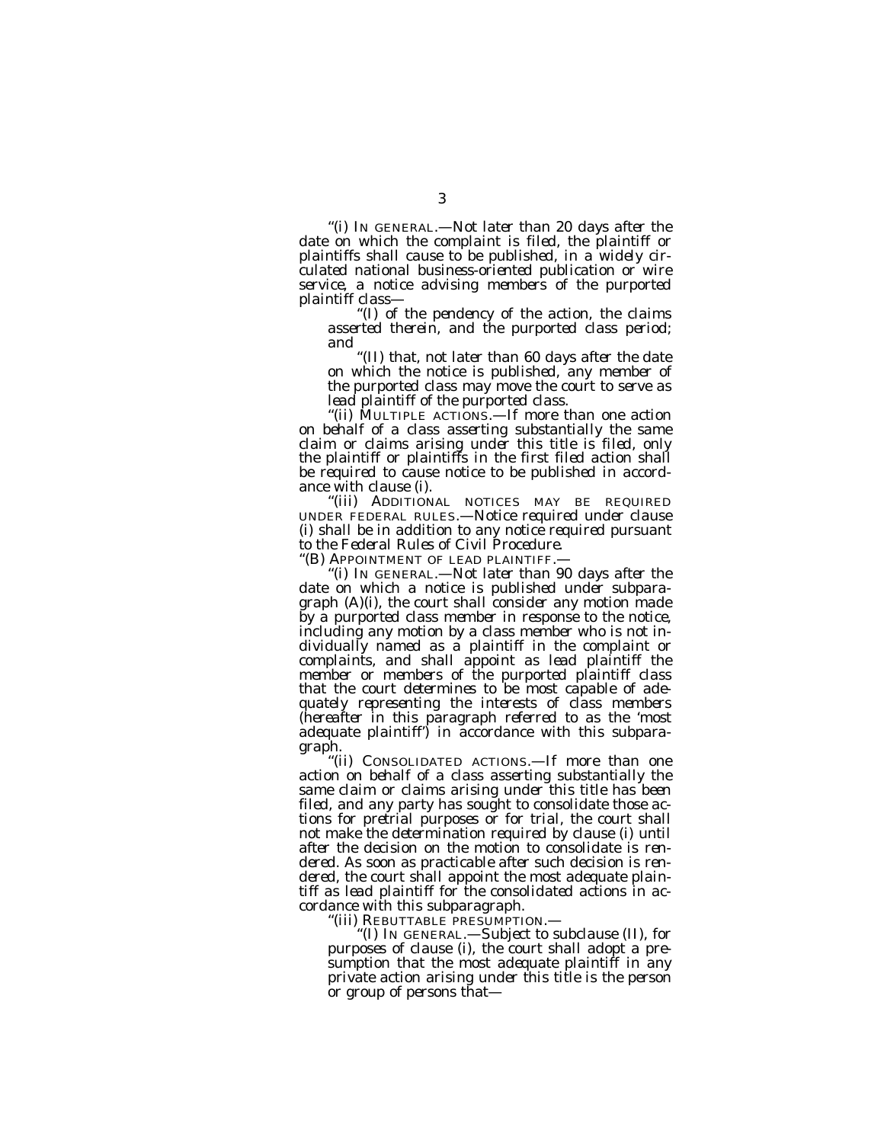*''(i) IN GENERAL.—Not later than 20 days after the date on which the complaint is filed, the plaintiff or plaintiffs shall cause to be published, in a widely circulated national business-oriented publication or wire service, a notice advising members of the purported plaintiff class—*

*''(I) of the pendency of the action, the claims asserted therein, and the purported class period; and*

*''(II) that, not later than 60 days after the date on which the notice is published, any member of the purported class may move the court to serve as lead plaintiff of the purported class.*

*''(ii) MULTIPLE ACTIONS.—If more than one action on behalf of a class asserting substantially the same claim or claims arising under this title is filed, only the plaintiff or plaintiffs in the first filed action shall be required to cause notice to be published in accordance with clause (i).*

*''(iii) ADDITIONAL NOTICES MAY BE REQUIRED UNDER FEDERAL RULES.—Notice required under clause (i) shall be in addition to any notice required pursuant to the Federal Rules of Civil Procedure.*

*''(B) APPOINTMENT OF LEAD PLAINTIFF.— ''(i) IN GENERAL.—Not later than 90 days after the date on which a notice is published under subparagraph (A)(i), the court shall consider any motion made by a purported class member in response to the notice, including any motion by a class member who is not individually named as a plaintiff in the complaint or complaints, and shall appoint as lead plaintiff the member or members of the purported plaintiff class that the court determines to be most capable of adequately representing the interests of class members (hereafter in this paragraph referred to as the 'most adequate plaintiff') in accordance with this subparagraph.*

*''(ii) CONSOLIDATED ACTIONS.—If more than one action on behalf of a class asserting substantially the same claim or claims arising under this title has been filed, and any party has sought to consolidate those actions for pretrial purposes or for trial, the court shall not make the determination required by clause (i) until after the decision on the motion to consolidate is rendered. As soon as practicable after such decision is rendered, the court shall appoint the most adequate plaintiff as lead plaintiff for the consolidated actions in accordance with this subparagraph.*

*''(iii) REBUTTABLE PRESUMPTION.—*

*''(I) IN GENERAL.—Subject to subclause (II), for purposes of clause (i), the court shall adopt a presumption that the most adequate plaintiff in any private action arising under this title is the person or group of persons that—*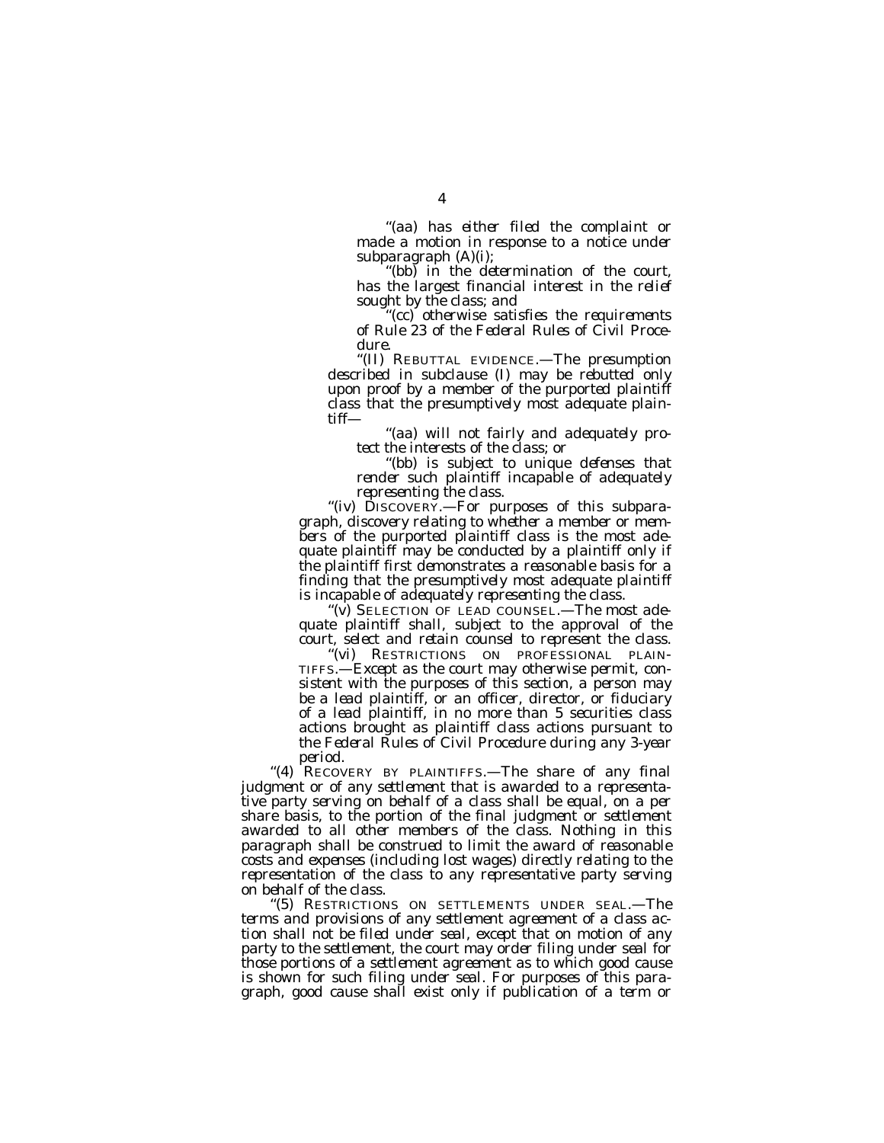*''(aa) has either filed the complaint or made a motion in response to a notice under subparagraph (A)(i);*

*''(bb) in the determination of the court, has the largest financial interest in the relief sought by the class; and*

*''(cc) otherwise satisfies the requirements of Rule 23 of the Federal Rules of Civil Procedure.*

*''(II) REBUTTAL EVIDENCE.—The presumption described in subclause (I) may be rebutted only upon proof by a member of the purported plaintiff class that the presumptively most adequate plaintiff—*

*''(aa) will not fairly and adequately protect the interests of the class; or*

*''(bb) is subject to unique defenses that render such plaintiff incapable of adequately representing the class.*

*''(iv) DISCOVERY.—For purposes of this subparagraph, discovery relating to whether a member or members of the purported plaintiff class is the most adequate plaintiff may be conducted by a plaintiff only if the plaintiff first demonstrates a reasonable basis for a finding that the presumptively most adequate plaintiff is incapable of adequately representing the class.*

*''(v) SELECTION OF LEAD COUNSEL.—The most adequate plaintiff shall, subject to the approval of the court, select and retain counsel to represent the class.*

*''(vi) RESTRICTIONS ON PROFESSIONAL PLAIN-TIFFS.—Except as the court may otherwise permit, consistent with the purposes of this section, a person may be a lead plaintiff, or an officer, director, or fiduciary of a lead plaintiff, in no more than 5 securities class actions brought as plaintiff class actions pursuant to the Federal Rules of Civil Procedure during any 3-year period.*

*''(4) RECOVERY BY PLAINTIFFS.—The share of any final judgment or of any settlement that is awarded to a representative party serving on behalf of a class shall be equal, on a per share basis, to the portion of the final judgment or settlement awarded to all other members of the class. Nothing in this paragraph shall be construed to limit the award of reasonable costs and expenses (including lost wages) directly relating to the representation of the class to any representative party serving on behalf of the class.*

*''(5) RESTRICTIONS ON SETTLEMENTS UNDER SEAL.—The terms and provisions of any settlement agreement of a class action shall not be filed under seal, except that on motion of any party to the settlement, the court may order filing under seal for those portions of a settlement agreement as to which good cause is shown for such filing under seal. For purposes of this paragraph, good cause shall exist only if publication of a term or*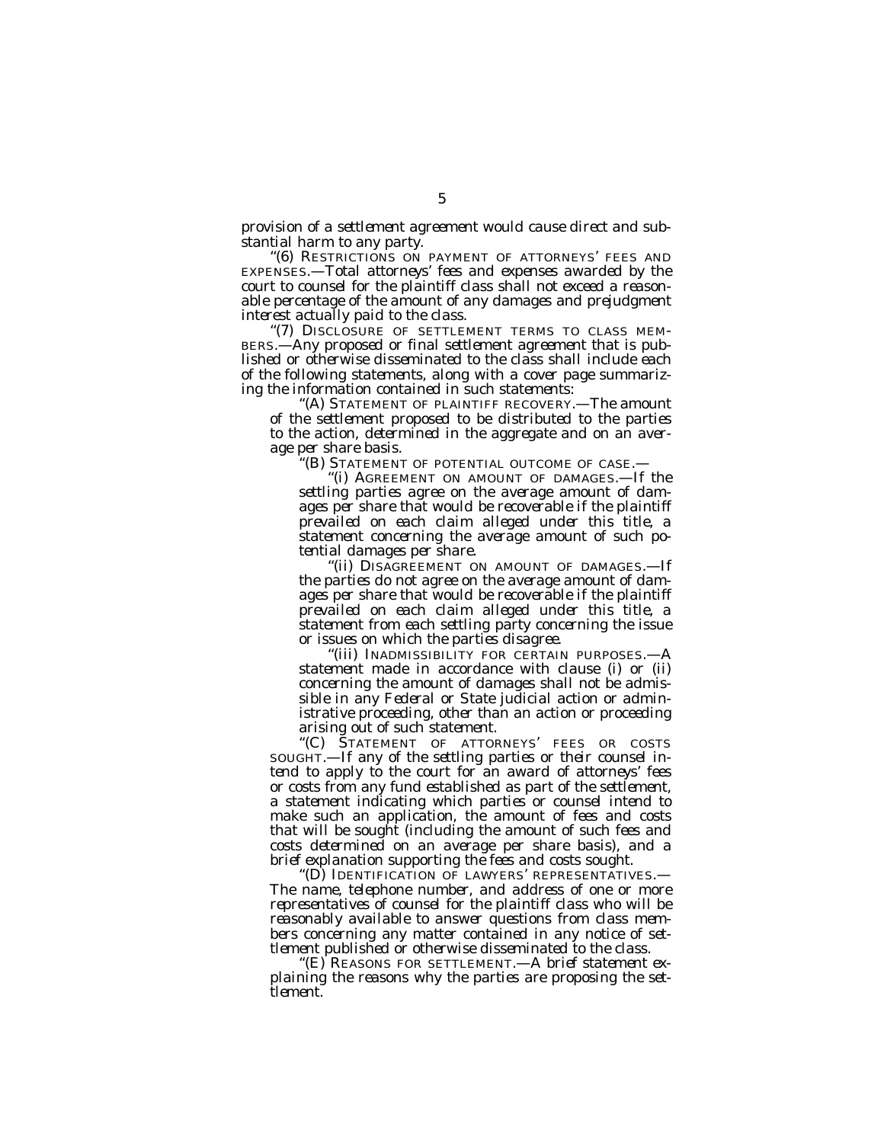*provision of a settlement agreement would cause direct and substantial harm to any party.*

*''(6) RESTRICTIONS ON PAYMENT OF ATTORNEYS' FEES AND EXPENSES.—Total attorneys' fees and expenses awarded by the court to counsel for the plaintiff class shall not exceed a reasonable percentage of the amount of any damages and prejudgment interest actually paid to the class.*

*''(7) DISCLOSURE OF SETTLEMENT TERMS TO CLASS MEM-BERS.—Any proposed or final settlement agreement that is published or otherwise disseminated to the class shall include each of the following statements, along with a cover page summarizing the information contained in such statements:*

*''(A) STATEMENT OF PLAINTIFF RECOVERY.—The amount of the settlement proposed to be distributed to the parties to the action, determined in the aggregate and on an average per share basis.*

*''(B) STATEMENT OF POTENTIAL OUTCOME OF CASE.—*

*''(i) AGREEMENT ON AMOUNT OF DAMAGES.—If the settling parties agree on the average amount of damages per share that would be recoverable if the plaintiff prevailed on each claim alleged under this title, a statement concerning the average amount of such potential damages per share.*

*''(ii) DISAGREEMENT ON AMOUNT OF DAMAGES.—If the parties do not agree on the average amount of damages per share that would be recoverable if the plaintiff prevailed on each claim alleged under this title, a statement from each settling party concerning the issue or issues on which the parties disagree.*

*''(iii) INADMISSIBILITY FOR CERTAIN PURPOSES.—A statement made in accordance with clause (i) or (ii) concerning the amount of damages shall not be admissible in any Federal or State judicial action or administrative proceeding, other than an action or proceeding arising out of such statement.*

*''(C) STATEMENT OF ATTORNEYS' FEES OR COSTS SOUGHT.—If any of the settling parties or their counsel intend to apply to the court for an award of attorneys' fees or costs from any fund established as part of the settlement, a statement indicating which parties or counsel intend to make such an application, the amount of fees and costs that will be sought (including the amount of such fees and costs determined on an average per share basis), and a brief explanation supporting the fees and costs sought.*

*''(D) IDENTIFICATION OF LAWYERS' REPRESENTATIVES.— The name, telephone number, and address of one or more representatives of counsel for the plaintiff class who will be reasonably available to answer questions from class members concerning any matter contained in any notice of settlement published or otherwise disseminated to the class.*

*''(E) REASONS FOR SETTLEMENT.—A brief statement explaining the reasons why the parties are proposing the settlement.*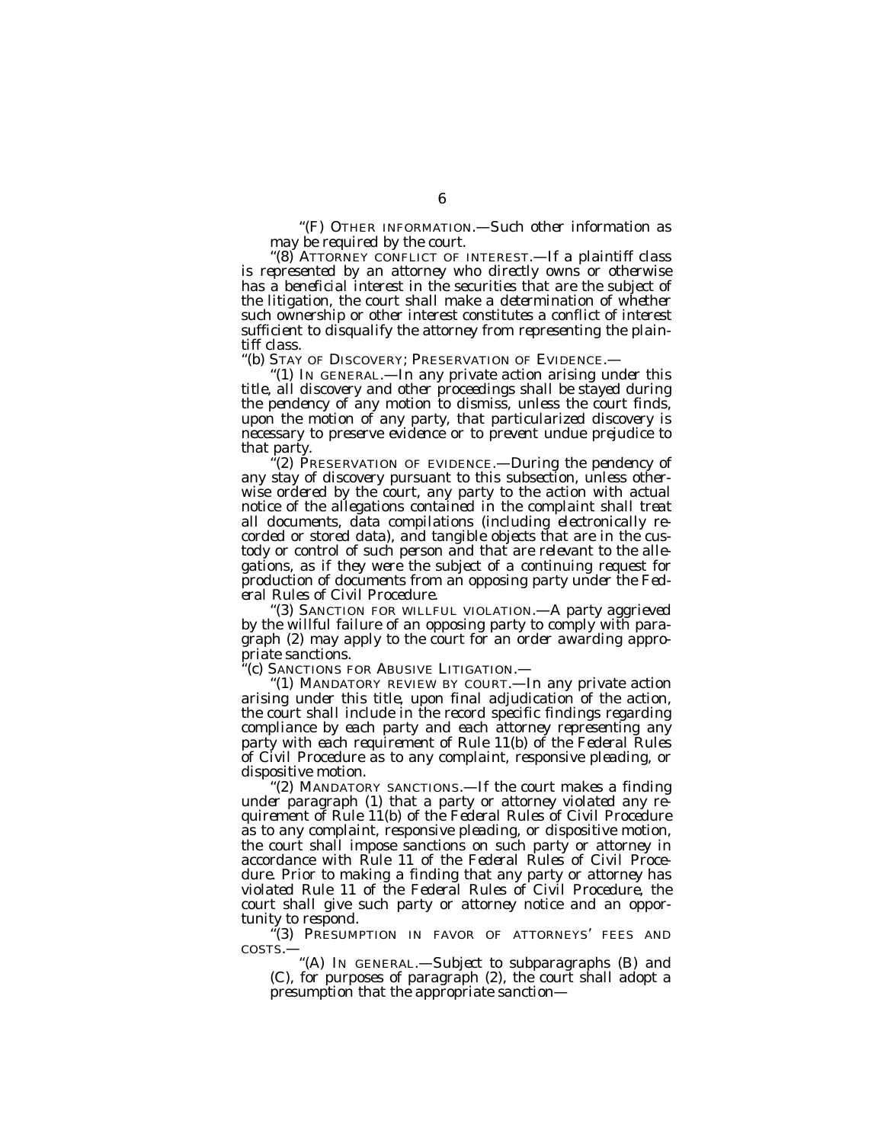*''(F) OTHER INFORMATION.—Such other information as may be required by the court.*

*''(8) ATTORNEY CONFLICT OF INTEREST.—If a plaintiff class is represented by an attorney who directly owns or otherwise has a beneficial interest in the securities that are the subject of the litigation, the court shall make a determination of whether such ownership or other interest constitutes a conflict of interest sufficient to disqualify the attorney from representing the plaintiff class.*

*''(b) STAY OF DISCOVERY; PRESERVATION OF EVIDENCE.—*

*''(1) IN GENERAL.—In any private action arising under this title, all discovery and other proceedings shall be stayed during the pendency of any motion to dismiss, unless the court finds, upon the motion of any party, that particularized discovery is necessary to preserve evidence or to prevent undue prejudice to that party.*

*''(2) PRESERVATION OF EVIDENCE.—During the pendency of any stay of discovery pursuant to this subsection, unless otherwise ordered by the court, any party to the action with actual notice of the allegations contained in the complaint shall treat all documents, data compilations (including electronically recorded or stored data), and tangible objects that are in the custody or control of such person and that are relevant to the allegations, as if they were the subject of a continuing request for production of documents from an opposing party under the Federal Rules of Civil Procedure.*

*''(3) SANCTION FOR WILLFUL VIOLATION.—A party aggrieved by the willful failure of an opposing party to comply with paragraph (2) may apply to the court for an order awarding appropriate sanctions.*

*''(c) SANCTIONS FOR ABUSIVE LITIGATION.—*

*''(1) MANDATORY REVIEW BY COURT.—In any private action arising under this title, upon final adjudication of the action, the court shall include in the record specific findings regarding compliance by each party and each attorney representing any party with each requirement of Rule 11(b) of the Federal Rules of Civil Procedure as to any complaint, responsive pleading, or dispositive motion.*

*''(2) MANDATORY SANCTIONS.—If the court makes a finding under paragraph (1) that a party or attorney violated any requirement of Rule 11(b) of the Federal Rules of Civil Procedure as to any complaint, responsive pleading, or dispositive motion, the court shall impose sanctions on such party or attorney in accordance with Rule 11 of the Federal Rules of Civil Procedure. Prior to making a finding that any party or attorney has violated Rule 11 of the Federal Rules of Civil Procedure, the court shall give such party or attorney notice and an opportunity to respond.*

*''(3) PRESUMPTION IN FAVOR OF ATTORNEYS' FEES AND COSTS.—*

*''(A) IN GENERAL.—Subject to subparagraphs (B) and (C), for purposes of paragraph (2), the court shall adopt a presumption that the appropriate sanction—*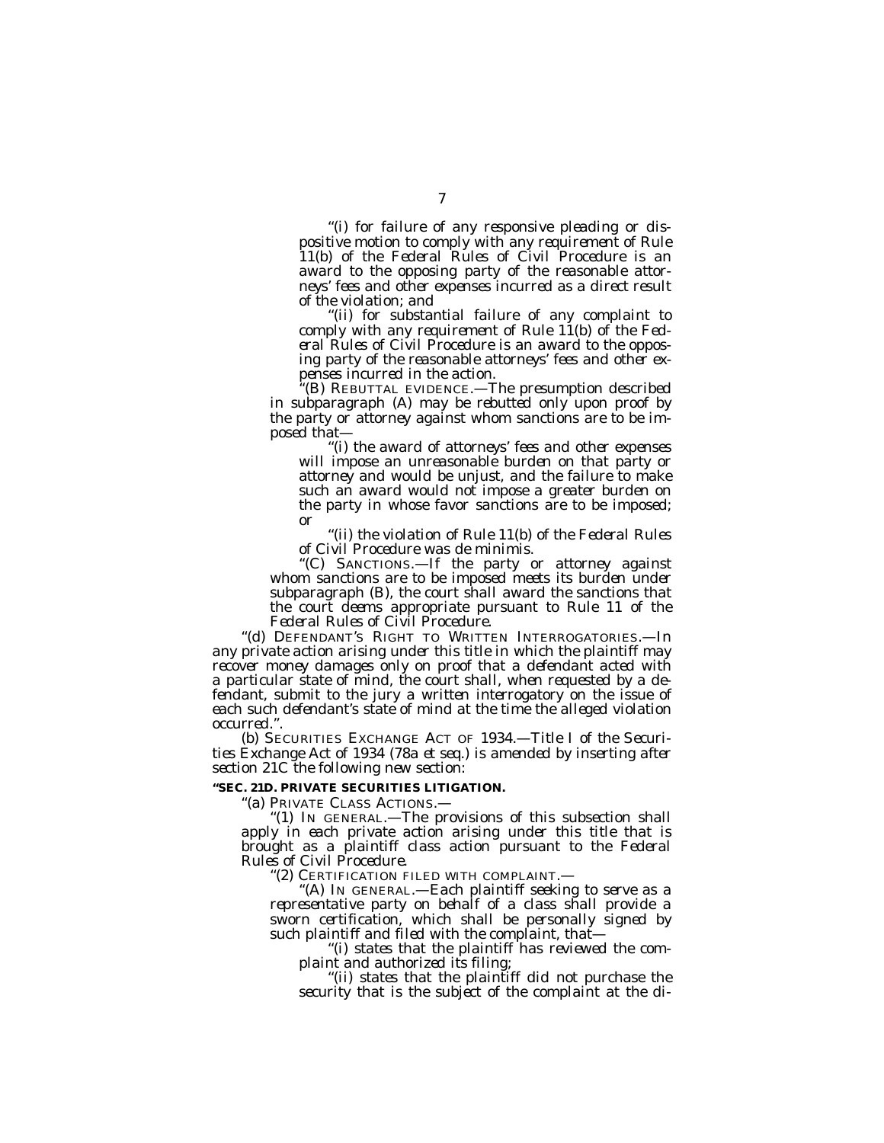*''(i) for failure of any responsive pleading or dispositive motion to comply with any requirement of Rule 11(b) of the Federal Rules of Civil Procedure is an award to the opposing party of the reasonable attorneys' fees and other expenses incurred as a direct result of the violation; and*

*''(ii) for substantial failure of any complaint to comply with any requirement of Rule 11(b) of the Federal Rules of Civil Procedure is an award to the opposing party of the reasonable attorneys' fees and other expenses incurred in the action.*

*''(B) REBUTTAL EVIDENCE.—The presumption described in subparagraph (A) may be rebutted only upon proof by the party or attorney against whom sanctions are to be imposed that—*

*''(i) the award of attorneys' fees and other expenses will impose an unreasonable burden on that party or attorney and would be unjust, and the failure to make such an award would not impose a greater burden on the party in whose favor sanctions are to be imposed; or*

*''(ii) the violation of Rule 11(b) of the Federal Rules of Civil Procedure was de minimis.*

*''(C) SANCTIONS.—If the party or attorney against whom sanctions are to be imposed meets its burden under subparagraph (B), the court shall award the sanctions that the court deems appropriate pursuant to Rule 11 of the Federal Rules of Civil Procedure.*

*''(d) DEFENDANT'S RIGHT TO WRITTEN INTERROGATORIES.—In any private action arising under this title in which the plaintiff may recover money damages only on proof that a defendant acted with a particular state of mind, the court shall, when requested by a defendant, submit to the jury a written interrogatory on the issue of each such defendant's state of mind at the time the alleged violation occurred.''.*

*(b) SECURITIES EXCHANGE ACT OF 1934.—Title I of the Securities Exchange Act of 1934 (78a et seq.) is amended by inserting after section 21C the following new section:*

### *''SEC. 21D. PRIVATE SECURITIES LITIGATION.*

*''(a) PRIVATE CLASS ACTIONS.—*

*''(1) IN GENERAL.—The provisions of this subsection shall apply in each private action arising under this title that is brought as a plaintiff class action pursuant to the Federal Rules of Civil Procedure.*

*''(2) CERTIFICATION FILED WITH COMPLAINT.—*

*''(A) IN GENERAL.—Each plaintiff seeking to serve as a representative party on behalf of a class shall provide a sworn certification, which shall be personally signed by such plaintiff and filed with the complaint, that—*

*''(i) states that the plaintiff has reviewed the complaint and authorized its filing;*

*''(ii) states that the plaintiff did not purchase the security that is the subject of the complaint at the di-*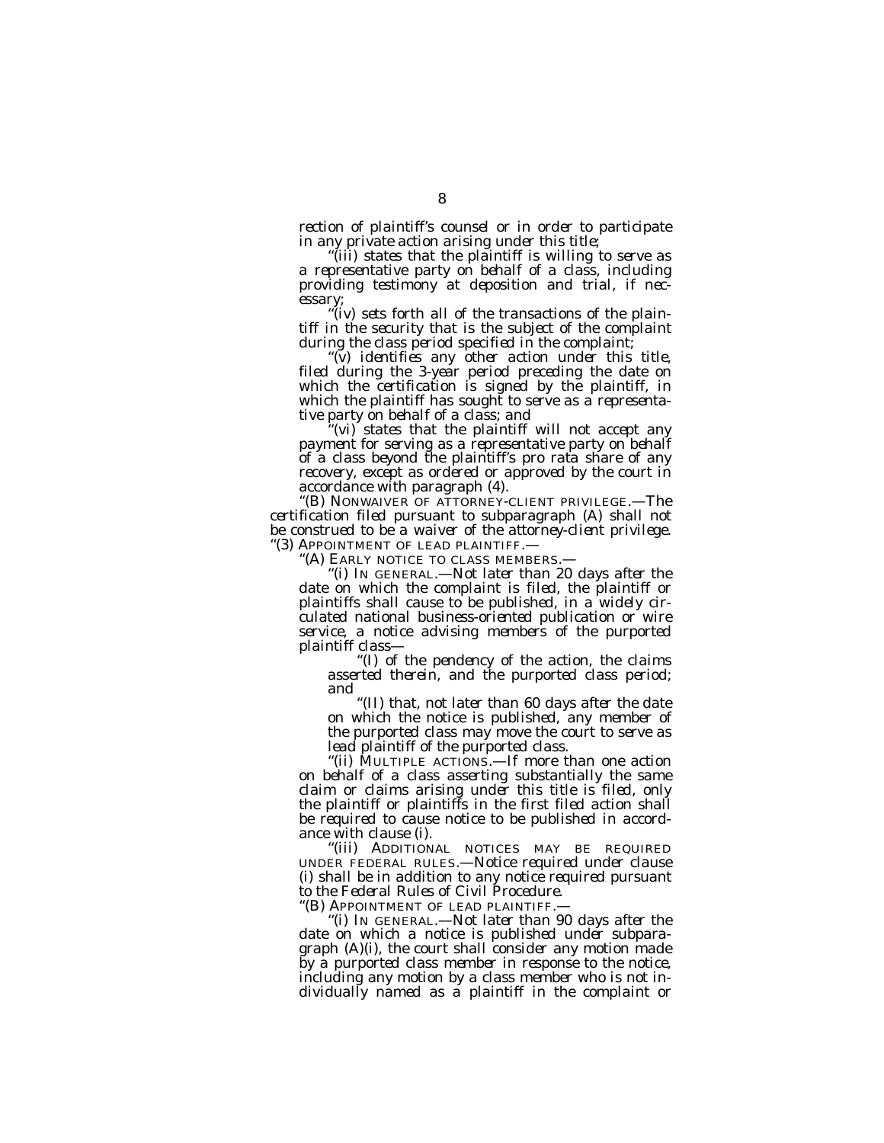*rection of plaintiff's counsel or in order to participate in any private action arising under this title; ''(iii) states that the plaintiff is willing to serve as*

*a representative party on behalf of a class, including providing testimony at deposition and trial, if necessary; ''(iv) sets forth all of the transactions of the plain-*

*tiff in the security that is the subject of the complaint*

*during the class period specified in the complaint; ''(v) identifies any other action under this title, filed during the 3-year period preceding the date on which the certification is signed by the plaintiff, in which the plaintiff has sought to serve as a representa-*

*tive party on behalf of a class; and ''(vi) states that the plaintiff will not accept any payment for serving as a representative party on behalf of a class beyond the plaintiff's pro rata share of any recovery, except as ordered or approved by the court in accordance with paragraph (4).*

*''(B) NONWAIVER OF ATTORNEY-CLIENT PRIVILEGE.—The certification filed pursuant to subparagraph (A) shall not be construed to be a waiver of the attorney-client privilege.*

*''(3) APPOINTMENT OF LEAD PLAINTIFF.— ''(A) EARLY NOTICE TO CLASS MEMBERS.— ''(i) IN GENERAL.—Not later than 20 days after the date on which the complaint is filed, the plaintiff or plaintiffs shall cause to be published, in a widely circulated national business-oriented publication or wire service, a notice advising members of the purported plaintiff class—*

*''(I) of the pendency of the action, the claims asserted therein, and the purported class period; and*

*''(II) that, not later than 60 days after the date on which the notice is published, any member of the purported class may move the court to serve as lead plaintiff of the purported class.*

*''(ii) MULTIPLE ACTIONS.—If more than one action on behalf of a class asserting substantially the same claim or claims arising under this title is filed, only the plaintiff or plaintiffs in the first filed action shall be required to cause notice to be published in accordance with clause (i).*

*''(iii) ADDITIONAL NOTICES MAY BE REQUIRED UNDER FEDERAL RULES.—Notice required under clause (i) shall be in addition to any notice required pursuant to the Federal Rules of Civil Procedure.*

*''(B) APPOINTMENT OF LEAD PLAINTIFF.—*

*''(i) IN GENERAL.—Not later than 90 days after the date on which a notice is published under subparagraph (A)(i), the court shall consider any motion made by a purported class member in response to the notice, including any motion by a class member who is not individually named as a plaintiff in the complaint or*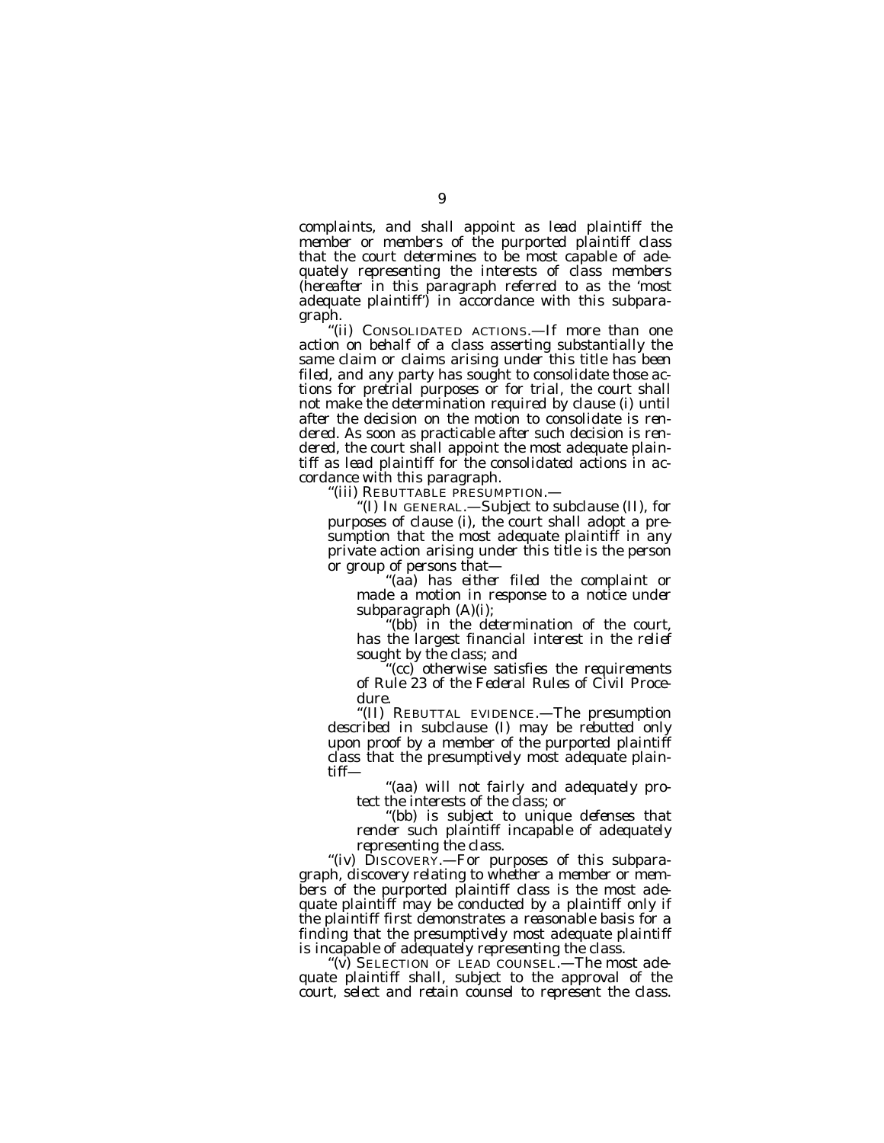*complaints, and shall appoint as lead plaintiff the member or members of the purported plaintiff class that the court determines to be most capable of adequately representing the interests of class members (hereafter in this paragraph referred to as the 'most adequate plaintiff') in accordance with this subparagraph.*

*''(ii) CONSOLIDATED ACTIONS.—If more than one action on behalf of a class asserting substantially the same claim or claims arising under this title has been filed, and any party has sought to consolidate those actions for pretrial purposes or for trial, the court shall not make the determination required by clause (i) until after the decision on the motion to consolidate is rendered. As soon as practicable after such decision is rendered, the court shall appoint the most adequate plaintiff as lead plaintiff for the consolidated actions in accordance with this paragraph.*

*''(iii) REBUTTABLE PRESUMPTION.—*

*''(I) IN GENERAL.—Subject to subclause (II), for purposes of clause (i), the court shall adopt a presumption that the most adequate plaintiff in any private action arising under this title is the person or group of persons that—*

*''(aa) has either filed the complaint or made a motion in response to a notice under subparagraph (A)(i);*

*''(bb) in the determination of the court, has the largest financial interest in the relief sought by the class; and*

*''(cc) otherwise satisfies the requirements of Rule 23 of the Federal Rules of Civil Procedure.*

*''(II) REBUTTAL EVIDENCE.—The presumption described in subclause (I) may be rebutted only upon proof by a member of the purported plaintiff class that the presumptively most adequate plaintiff—*

*''(aa) will not fairly and adequately protect the interests of the class; or*

*''(bb) is subject to unique defenses that render such plaintiff incapable of adequately representing the class.*

*''(iv) DISCOVERY.—For purposes of this subparagraph, discovery relating to whether a member or members of the purported plaintiff class is the most adequate plaintiff may be conducted by a plaintiff only if the plaintiff first demonstrates a reasonable basis for a finding that the presumptively most adequate plaintiff is incapable of adequately representing the class.*

*''(v) SELECTION OF LEAD COUNSEL.—The most adequate plaintiff shall, subject to the approval of the court, select and retain counsel to represent the class.*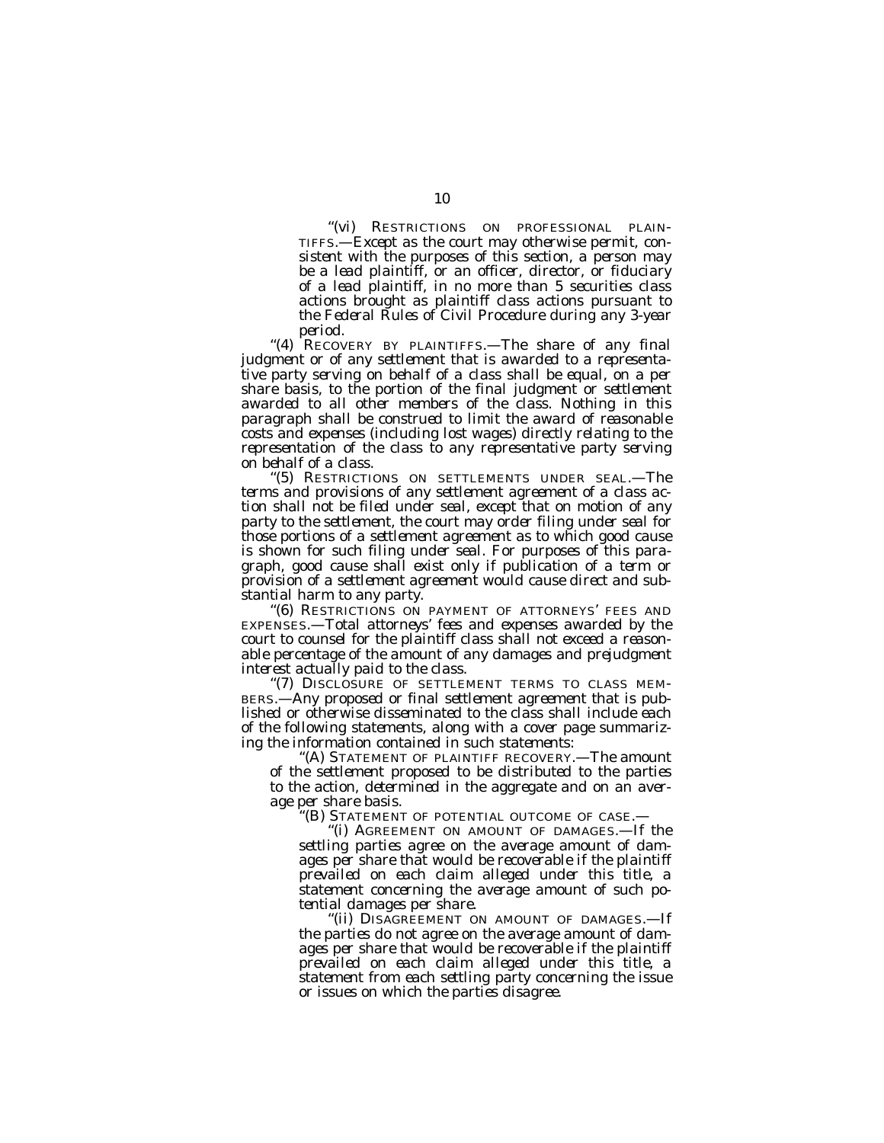*''(vi) RESTRICTIONS ON PROFESSIONAL PLAIN-TIFFS.—Except as the court may otherwise permit, consistent with the purposes of this section, a person may be a lead plaintiff, or an officer, director, or fiduciary of a lead plaintiff, in no more than 5 securities class actions brought as plaintiff class actions pursuant to the Federal Rules of Civil Procedure during any 3-year period.*

*''(4) RECOVERY BY PLAINTIFFS.—The share of any final judgment or of any settlement that is awarded to a representative party serving on behalf of a class shall be equal, on a per share basis, to the portion of the final judgment or settlement awarded to all other members of the class. Nothing in this paragraph shall be construed to limit the award of reasonable costs and expenses (including lost wages) directly relating to the representation of the class to any representative party serving on behalf of a class.*

*''(5) RESTRICTIONS ON SETTLEMENTS UNDER SEAL.—The terms and provisions of any settlement agreement of a class action shall not be filed under seal, except that on motion of any party to the settlement, the court may order filing under seal for those portions of a settlement agreement as to which good cause is shown for such filing under seal. For purposes of this paragraph, good cause shall exist only if publication of a term or provision of a settlement agreement would cause direct and substantial harm to any party.*

*''(6) RESTRICTIONS ON PAYMENT OF ATTORNEYS' FEES AND EXPENSES.—Total attorneys' fees and expenses awarded by the court to counsel for the plaintiff class shall not exceed a reasonable percentage of the amount of any damages and prejudgment interest actually paid to the class.*

*''(7) DISCLOSURE OF SETTLEMENT TERMS TO CLASS MEM-BERS.—Any proposed or final settlement agreement that is published or otherwise disseminated to the class shall include each of the following statements, along with a cover page summarizing the information contained in such statements:*

*''(A) STATEMENT OF PLAINTIFF RECOVERY.—The amount of the settlement proposed to be distributed to the parties to the action, determined in the aggregate and on an average per share basis.*

*''(B) STATEMENT OF POTENTIAL OUTCOME OF CASE.—*

*''(i) AGREEMENT ON AMOUNT OF DAMAGES.—If the settling parties agree on the average amount of damages per share that would be recoverable if the plaintiff prevailed on each claim alleged under this title, a statement concerning the average amount of such potential damages per share.*

*''(ii) DISAGREEMENT ON AMOUNT OF DAMAGES.—If the parties do not agree on the average amount of damages per share that would be recoverable if the plaintiff prevailed on each claim alleged under this title, a statement from each settling party concerning the issue or issues on which the parties disagree.*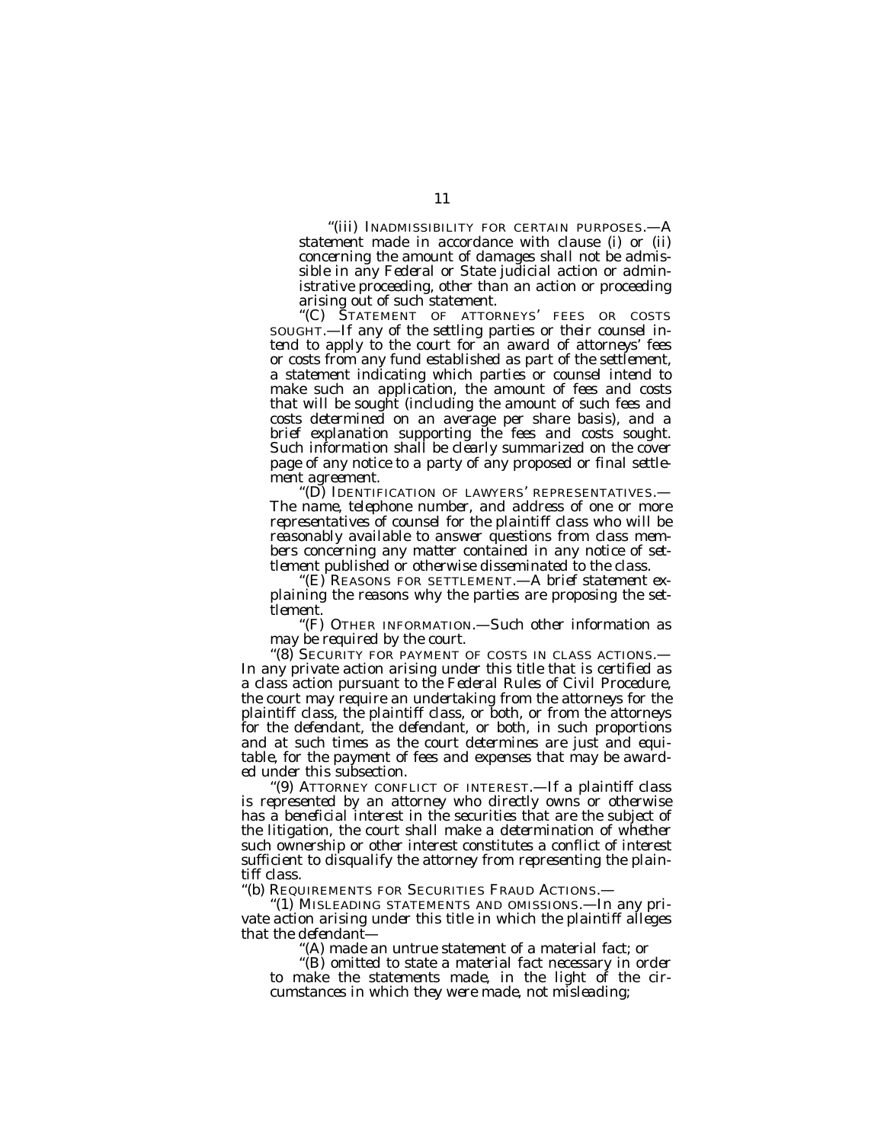*''(iii) INADMISSIBILITY FOR CERTAIN PURPOSES.—A statement made in accordance with clause (i) or (ii) concerning the amount of damages shall not be admissible in any Federal or State judicial action or administrative proceeding, other than an action or proceeding arising out of such statement.*

*''(C) STATEMENT OF ATTORNEYS' FEES OR COSTS SOUGHT.—If any of the settling parties or their counsel intend to apply to the court for an award of attorneys' fees or costs from any fund established as part of the settlement, a statement indicating which parties or counsel intend to make such an application, the amount of fees and costs that will be sought (including the amount of such fees and costs determined on an average per share basis), and a brief explanation supporting the fees and costs sought. Such information shall be clearly summarized on the cover page of any notice to a party of any proposed or final settlement agreement.*

*''(D) IDENTIFICATION OF LAWYERS' REPRESENTATIVES.— The name, telephone number, and address of one or more representatives of counsel for the plaintiff class who will be reasonably available to answer questions from class members concerning any matter contained in any notice of settlement published or otherwise disseminated to the class.*

*''(E) REASONS FOR SETTLEMENT.—A brief statement explaining the reasons why the parties are proposing the settlement.*

*''(F) OTHER INFORMATION.—Such other information as may be required by the court.*

*''(8) SECURITY FOR PAYMENT OF COSTS IN CLASS ACTIONS.— In any private action arising under this title that is certified as a class action pursuant to the Federal Rules of Civil Procedure, the court may require an undertaking from the attorneys for the plaintiff class, the plaintiff class, or both, or from the attorneys for the defendant, the defendant, or both, in such proportions and at such times as the court determines are just and equitable, for the payment of fees and expenses that may be awarded under this subsection.*

*''(9) ATTORNEY CONFLICT OF INTEREST.—If a plaintiff class is represented by an attorney who directly owns or otherwise has a beneficial interest in the securities that are the subject of the litigation, the court shall make a determination of whether such ownership or other interest constitutes a conflict of interest sufficient to disqualify the attorney from representing the plaintiff class.*

*''(b) REQUIREMENTS FOR SECURITIES FRAUD ACTIONS.—*

*''(1) MISLEADING STATEMENTS AND OMISSIONS.—In any private action arising under this title in which the plaintiff alleges that the defendant—*

*''(A) made an untrue statement of a material fact; or*

*''(B) omitted to state a material fact necessary in order to make the statements made, in the light of the circumstances in which they were made, not misleading;*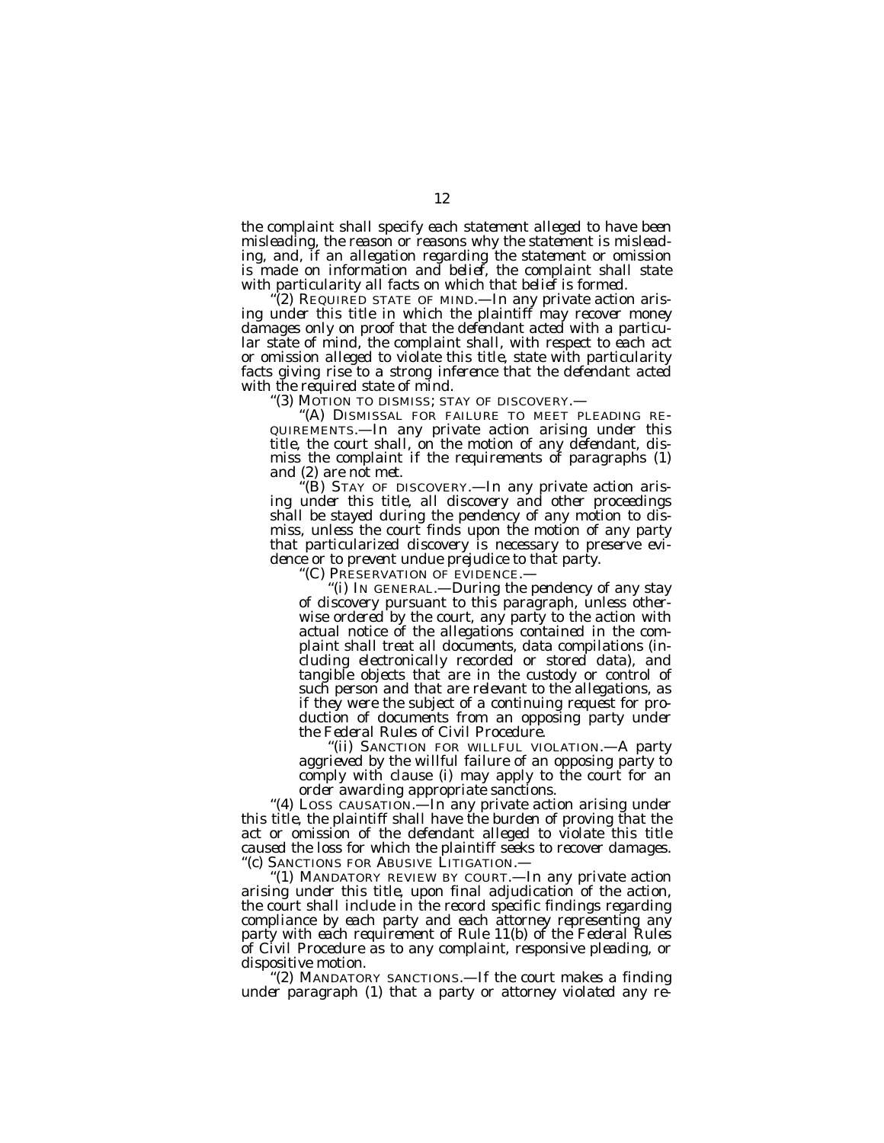*the complaint shall specify each statement alleged to have been misleading, the reason or reasons why the statement is misleading, and, if an allegation regarding the statement or omission is made on information and belief, the complaint shall state with particularity all facts on which that belief is formed. ''(2) REQUIRED STATE OF MIND.—In any private action aris-*

*ing under this title in which the plaintiff may recover money damages only on proof that the defendant acted with a particular state of mind, the complaint shall, with respect to each act or omission alleged to violate this title, state with particularity facts giving rise to a strong inference that the defendant acted with the required state of mind.*

*''(3) MOTION TO DISMISS; STAY OF DISCOVERY.— ''(A) DISMISSAL FOR FAILURE TO MEET PLEADING RE- QUIREMENTS.—In any private action arising under this title, the court shall, on the motion of any defendant, dismiss the complaint if the requirements of paragraphs (1) and (2) are not met.*

*''(B) STAY OF DISCOVERY.—In any private action arising under this title, all discovery and other proceedings shall be stayed during the pendency of any motion to dismiss, unless the court finds upon the motion of any party that particularized discovery is necessary to preserve evidence or to prevent undue prejudice to that party. ''(C) PRESERVATION OF EVIDENCE.— ''(i) IN GENERAL.—During the pendency of any stay*

*of discovery pursuant to this paragraph, unless otherwise ordered by the court, any party to the action with actual notice of the allegations contained in the complaint shall treat all documents, data compilations (including electronically recorded or stored data), and tangible objects that are in the custody or control of such person and that are relevant to the allegations, as if they were the subject of a continuing request for production of documents from an opposing party under the Federal Rules of Civil Procedure.*

*''(ii) SANCTION FOR WILLFUL VIOLATION.—A party aggrieved by the willful failure of an opposing party to comply with clause (i) may apply to the court for an order awarding appropriate sanctions.*

*''(4) LOSS CAUSATION.—In any private action arising under this title, the plaintiff shall have the burden of proving that the act or omission of the defendant alleged to violate this title caused the loss for which the plaintiff seeks to recover damages. ''(c) SANCTIONS FOR ABUSIVE LITIGATION.—*

*''(1) MANDATORY REVIEW BY COURT.—In any private action arising under this title, upon final adjudication of the action, the court shall include in the record specific findings regarding compliance by each party and each attorney representing any party with each requirement of Rule 11(b) of the Federal Rules of Civil Procedure as to any complaint, responsive pleading, or dispositive motion.*

*''(2) MANDATORY SANCTIONS.—If the court makes a finding under paragraph (1) that a party or attorney violated any re-*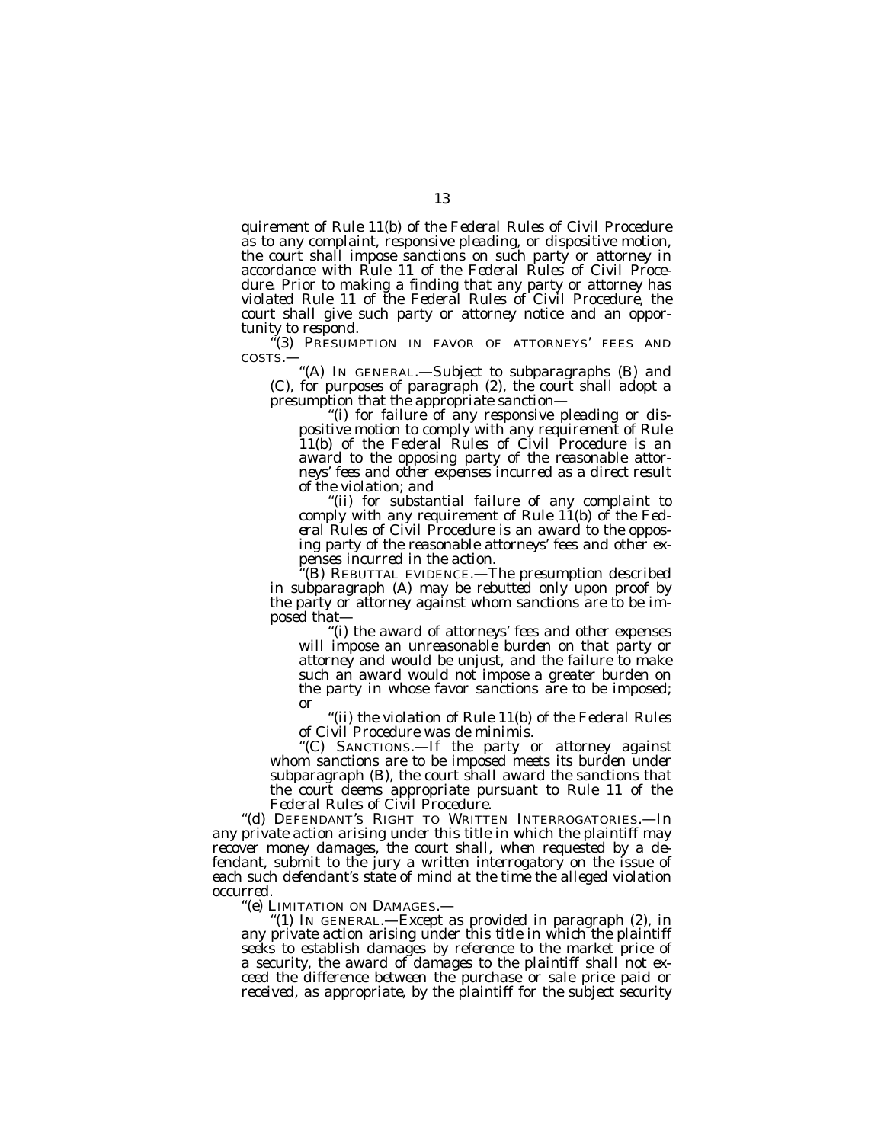*quirement of Rule 11(b) of the Federal Rules of Civil Procedure as to any complaint, responsive pleading, or dispositive motion, the court shall impose sanctions on such party or attorney in accordance with Rule 11 of the Federal Rules of Civil Procedure. Prior to making a finding that any party or attorney has violated Rule 11 of the Federal Rules of Civil Procedure, the court shall give such party or attorney notice and an oppor-*

*tunity to respond. ''(3) PRESUMPTION IN FAVOR OF ATTORNEYS' FEES AND*

*COSTS.—''(A) IN GENERAL.—Subject to subparagraphs (B) and (C), for purposes of paragraph (2), the court shall adopt a presumption that the appropriate sanction—*

*''(i) for failure of any responsive pleading or dispositive motion to comply with any requirement of Rule 11(b) of the Federal Rules of Civil Procedure is an award to the opposing party of the reasonable attorneys' fees and other expenses incurred as a direct result*

*of the violation; and* comply with any requirement of Rule  $11(b)$  of the Fed*eral Rules of Civil Procedure is an award to the opposing party of the reasonable attorneys' fees and other expenses incurred in the action.*

*''(B) REBUTTAL EVIDENCE.—The presumption described in subparagraph (A) may be rebutted only upon proof by the party or attorney against whom sanctions are to be imposed that—*

*''(i) the award of attorneys' fees and other expenses will impose an unreasonable burden on that party or attorney and would be unjust, and the failure to make such an award would not impose a greater burden on the party in whose favor sanctions are to be imposed; or*

*''(ii) the violation of Rule 11(b) of the Federal Rules of Civil Procedure was de minimis.*

*''(C) SANCTIONS.—If the party or attorney against whom sanctions are to be imposed meets its burden under subparagraph (B), the court shall award the sanctions that the court deems appropriate pursuant to Rule 11 of the Federal Rules of Civil Procedure.*

*''(d) DEFENDANT'S RIGHT TO WRITTEN INTERROGATORIES.—In any private action arising under this title in which the plaintiff may recover money damages, the court shall, when requested by a defendant, submit to the jury a written interrogatory on the issue of each such defendant's state of mind at the time the alleged violation occurred.*

*''(e) LIMITATION ON DAMAGES.—*

*''(1) IN GENERAL.—Except as provided in paragraph (2), in any private action arising under this title in which the plaintiff seeks to establish damages by reference to the market price of a security, the award of damages to the plaintiff shall not exceed the difference between the purchase or sale price paid or received, as appropriate, by the plaintiff for the subject security*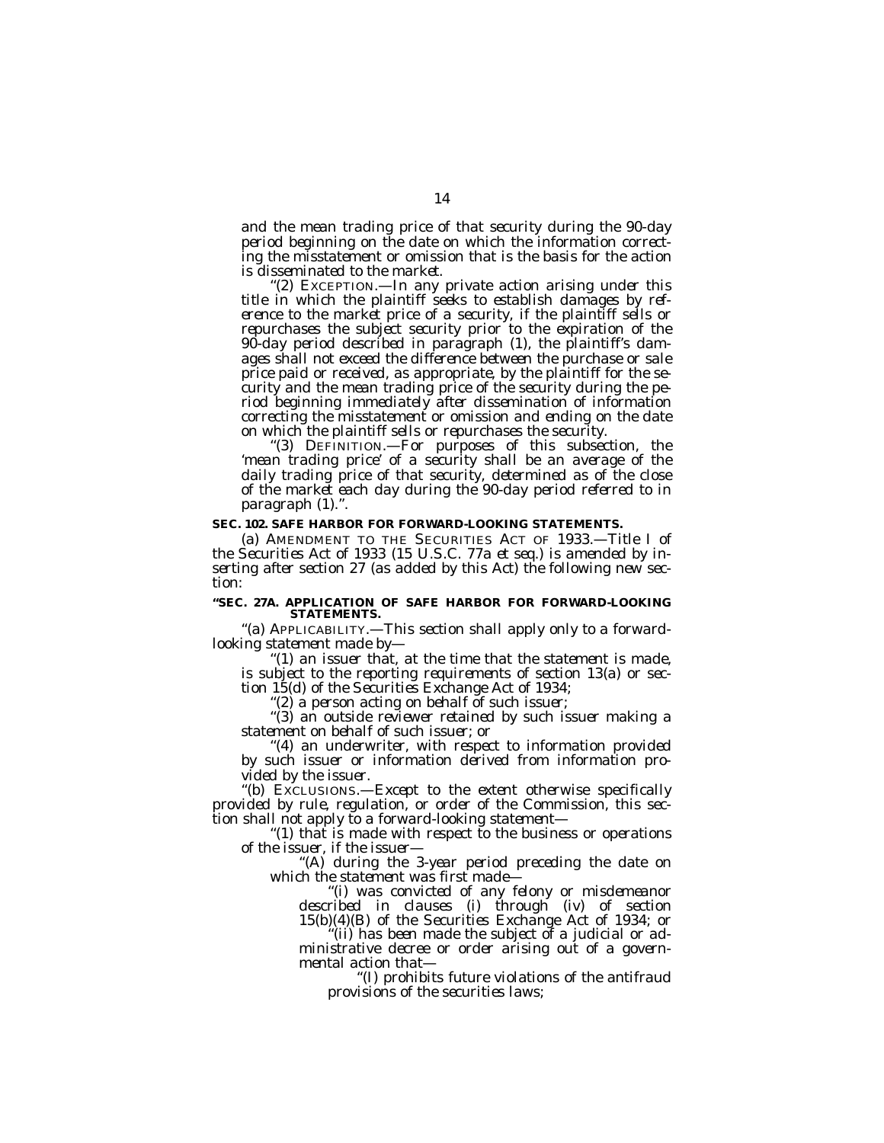*and the mean trading price of that security during the 90-day period beginning on the date on which the information correcting the misstatement or omission that is the basis for the action is disseminated to the market.*

*''(2) EXCEPTION.—In any private action arising under this title in which the plaintiff seeks to establish damages by reference to the market price of a security, if the plaintiff sells or repurchases the subject security prior to the expiration of the 90-day period described in paragraph (1), the plaintiff's damages shall not exceed the difference between the purchase or sale price paid or received, as appropriate, by the plaintiff for the security and the mean trading price of the security during the period beginning immediately after dissemination of information correcting the misstatement or omission and ending on the date on which the plaintiff sells or repurchases the security.*

*''(3) DEFINITION.—For purposes of this subsection, the 'mean trading price' of a security shall be an average of the daily trading price of that security, determined as of the close of the market each day during the 90-day period referred to in paragraph (1).''.*

## *SEC. 102. SAFE HARBOR FOR FORWARD-LOOKING STATEMENTS.*

*(a) AMENDMENT TO THE SECURITIES ACT OF 1933.—Title I of the Securities Act of 1933 (15 U.S.C. 77a et seq.) is amended by inserting after section 27 (as added by this Act) the following new section:*

#### *''SEC. 27A. APPLICATION OF SAFE HARBOR FOR FORWARD-LOOKING STATEMENTS.*

*''(a) APPLICABILITY.—This section shall apply only to a forwardlooking statement made by—*

*''(1) an issuer that, at the time that the statement is made, is subject to the reporting requirements of section 13(a) or section 15(d) of the Securities Exchange Act of 1934;*

*''(2) a person acting on behalf of such issuer;*

*''(3) an outside reviewer retained by such issuer making a statement on behalf of such issuer; or*

*''(4) an underwriter, with respect to information provided by such issuer or information derived from information provided by the issuer.*

*''(b) EXCLUSIONS.—Except to the extent otherwise specifically provided by rule, regulation, or order of the Commission, this section shall not apply to a forward-looking statement—*

*''(1) that is made with respect to the business or operations of the issuer, if the issuer—*

*''(A) during the 3-year period preceding the date on which the statement was first made—*

*''(i) was convicted of any felony or misdemeanor described in clauses (i) through (iv) of section 15(b)(4)(B) of the Securities Exchange Act of 1934; or*

*''(ii) has been made the subject of a judicial or administrative decree or order arising out of a governmental action that—*

*''(I) prohibits future violations of the antifraud provisions of the securities laws;*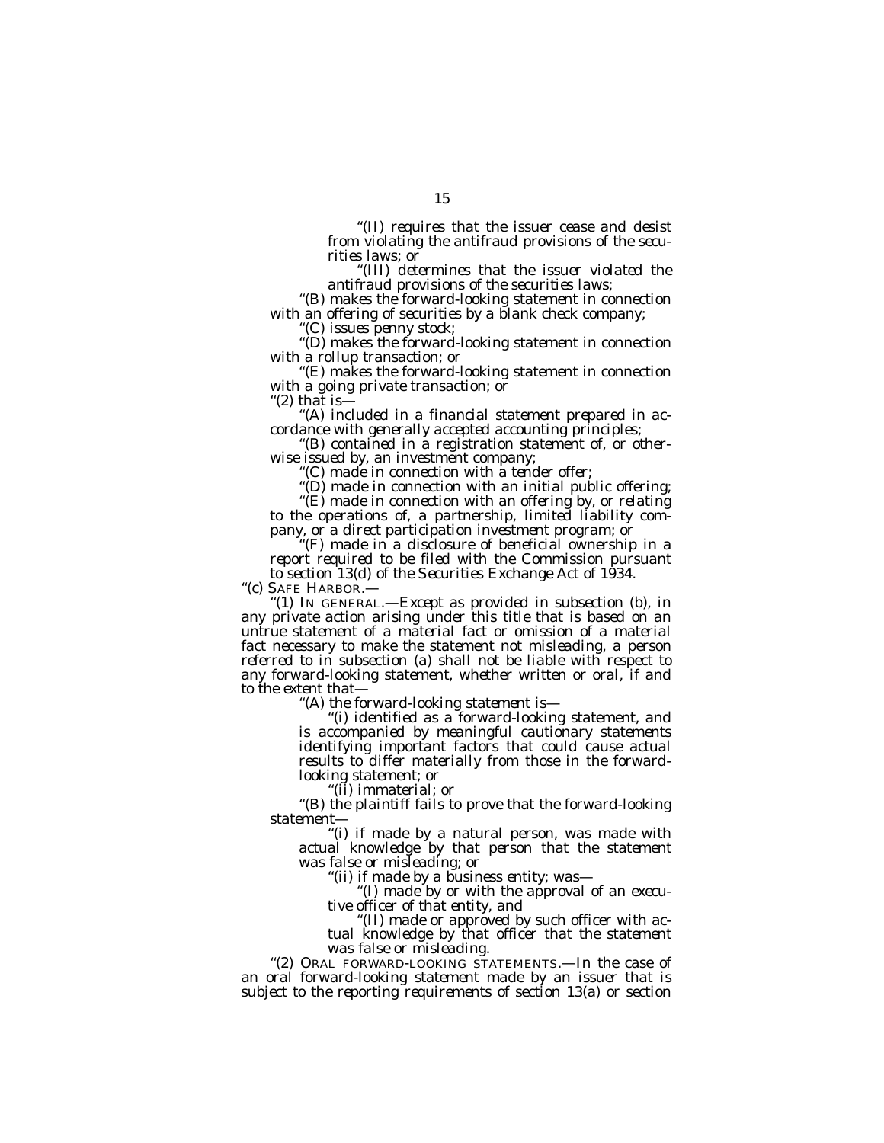*''(II) requires that the issuer cease and desist from violating the antifraud provisions of the securities laws; or*

*''(III) determines that the issuer violated the antifraud provisions of the securities laws;*

*''(B) makes the forward-looking statement in connection with an offering of securities by a blank check company; ''(C) issues penny stock;*

*''(D) makes the forward-looking statement in connection with a rollup transaction; or*

*''(E) makes the forward-looking statement in connection with a going private transaction; or*

*''(2) that is—*

*''(A) included in a financial statement prepared in ac-*

*cordance with generally accepted accounting principles; ''(B) contained in a registration statement of, or otherwise issued by, an investment company; ''(C) made in connection with a tender offer;*

*''(D) made in connection with an initial public offering;*

*''(E) made in connection with an offering by, or relating to the operations of, a partnership, limited liability company, or a direct participation investment program; or ''(F) made in a disclosure of beneficial ownership in a*

*report required to be filed with the Commission pursuant to section 13(d) of the Securities Exchange Act of 1934. ''(c) SAFE HARBOR.— ''(1) IN GENERAL.—Except as provided in subsection (b), in*

*any private action arising under this title that is based on an untrue statement of a material fact or omission of a material fact necessary to make the statement not misleading, a person*

*referred to in subsection (a) shall not be liable with respect to any forward-looking statement, whether written or oral, if and to the extent that—*

*''(A) the forward-looking statement is—*

*''(i) identified as a forward-looking statement, and is accompanied by meaningful cautionary statements identifying important factors that could cause actual results to differ materially from those in the forwardlooking statement; or*

*''(ii) immaterial; or*

*''(B) the plaintiff fails to prove that the forward-looking statement—*

*''(i) if made by a natural person, was made with actual knowledge by that person that the statement was false or misleading; or*

*''(ii) if made by a business entity; was—*

*''(I) made by or with the approval of an executive officer of that entity, and*

*''(II) made or approved by such officer with actual knowledge by that officer that the statement was false or misleading.*

*''(2) ORAL FORWARD-LOOKING STATEMENTS.—In the case of an oral forward-looking statement made by an issuer that is subject to the reporting requirements of section 13(a) or section*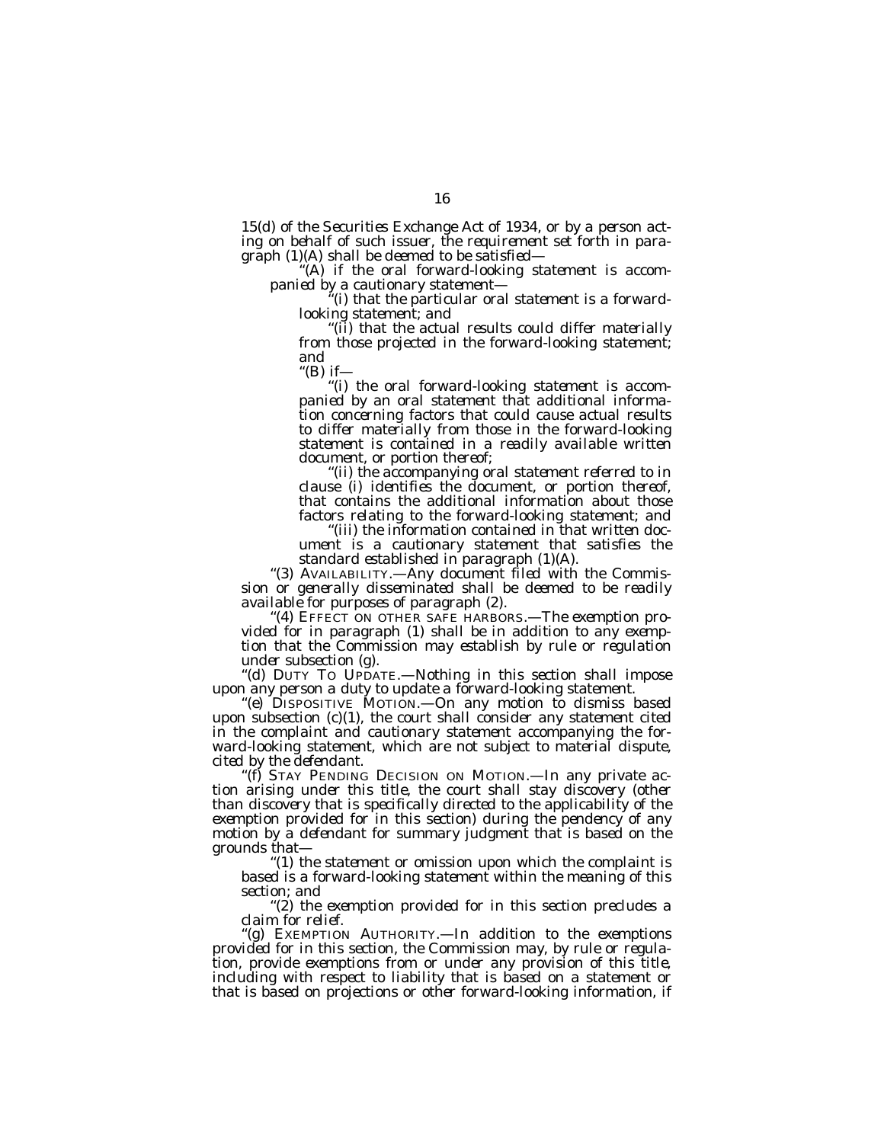*15(d) of the Securities Exchange Act of 1934, or by a person acting on behalf of such issuer, the requirement set forth in para-*

*graph (1)(A) shall be deemed to be satisfied— ''(A) if the oral forward-looking statement is accompanied by a cautionary statement— ''(i) that the particular oral statement is a forward-*

*looking statement; and ''(ii) that the actual results could differ materially*

*from those projected in the forward-looking statement; and*

*''(B) if—*

*''(i) the oral forward-looking statement is accompanied by an oral statement that additional information concerning factors that could cause actual results to differ materially from those in the forward-looking statement is contained in a readily available written document, or portion thereof;*

*''(ii) the accompanying oral statement referred to in clause (i) identifies the document, or portion thereof, that contains the additional information about those factors relating to the forward-looking statement; and ''(iii) the information contained in that written doc-*

*ument is a cautionary statement that satisfies the*

*standard established in paragraph (1)(A). ''(3) AVAILABILITY.—Any document filed with the Commission or generally disseminated shall be deemed to be readily*

*available for purposes of paragraph (2). ''(4) EFFECT ON OTHER SAFE HARBORS.—The exemption provided for in paragraph (1) shall be in addition to any exemption that the Commission may establish by rule or regulation under subsection (g).*

*''(d) DUTY TO UPDATE.—Nothing in this section shall impose upon any person a duty to update a forward-looking statement.*

*''(e) DISPOSITIVE MOTION.—On any motion to dismiss based upon subsection (c)(1), the court shall consider any statement cited in the complaint and cautionary statement accompanying the forward-looking statement, which are not subject to material dispute, cited by the defendant.*

*''(f) STAY PENDING DECISION ON MOTION.—In any private action arising under this title, the court shall stay discovery (other than discovery that is specifically directed to the applicability of the exemption provided for in this section) during the pendency of any motion by a defendant for summary judgment that is based on the grounds that—*

*''(1) the statement or omission upon which the complaint is based is a forward-looking statement within the meaning of this section; and*

*''(2) the exemption provided for in this section precludes a claim for relief.*

*''(g) EXEMPTION AUTHORITY.—In addition to the exemptions provided for in this section, the Commission may, by rule or regulation, provide exemptions from or under any provision of this title, including with respect to liability that is based on a statement or that is based on projections or other forward-looking information, if*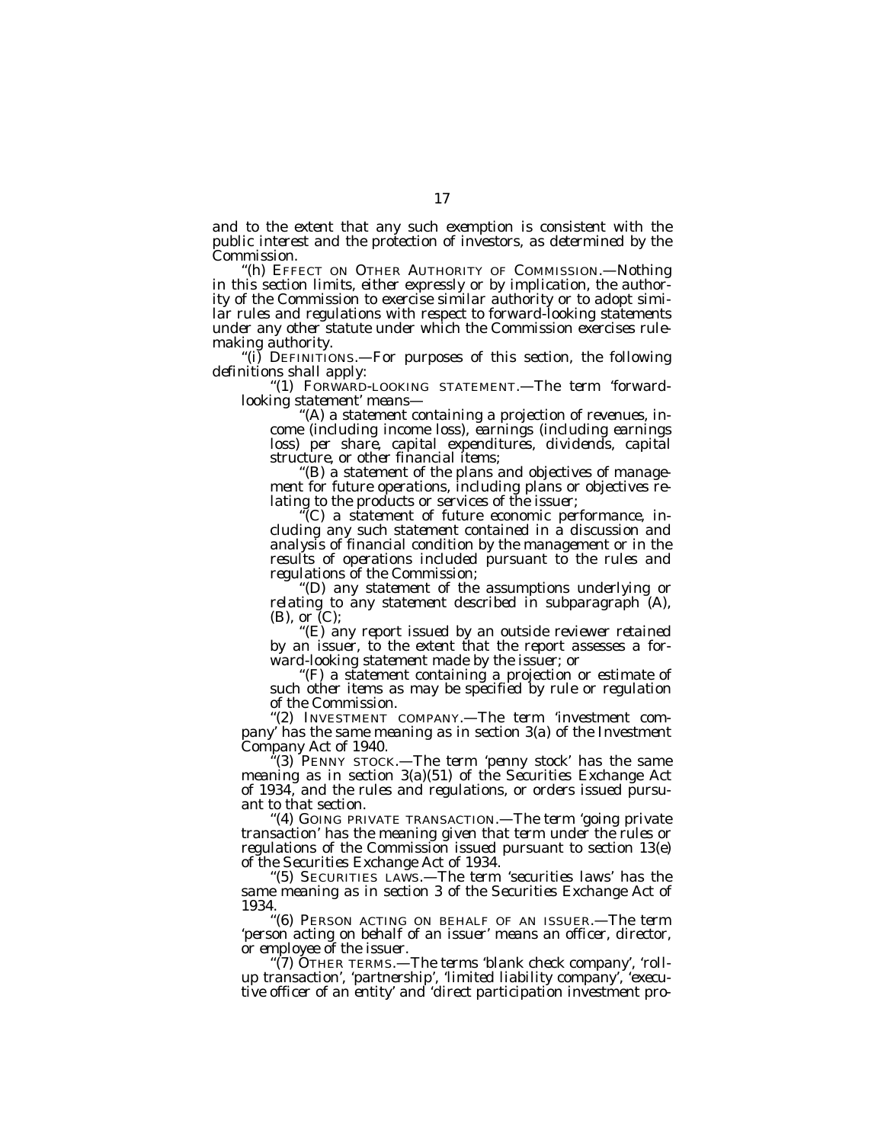*and to the extent that any such exemption is consistent with the public interest and the protection of investors, as determined by the Commission.*

*''(h) EFFECT ON OTHER AUTHORITY OF COMMISSION.—Nothing in this section limits, either expressly or by implication, the authority of the Commission to exercise similar authority or to adopt similar rules and regulations with respect to forward-looking statements under any other statute under which the Commission exercises rule-*

*making authority. ''(i) DEFINITIONS.—For purposes of this section, the following*

*definitions shall apply: ''(1) FORWARD-LOOKING STATEMENT.—The term 'forward-*

*looking statement' means— ''(A) a statement containing a projection of revenues, in- come (including income loss), earnings (including earnings loss) per share, capital expenditures, dividends, capital structure, or other financial items;*

*''(B) a statement of the plans and objectives of management for future operations, including plans or objectives relating to the products or services of the issuer; ''(C) a statement of future economic performance, in-*

*cluding any such statement contained in a discussion and analysis of financial condition by the management or in the results of operations included pursuant to the rules and*

*regulations of the Commission; ''(D) any statement of the assumptions underlying or relating to any statement described in subparagraph (A), (B), or (C);*

*''(E) any report issued by an outside reviewer retained by an issuer, to the extent that the report assesses a for-*

*ward-looking statement made by the issuer; or ''(F) a statement containing a projection or estimate of such other items as may be specified by rule or regulation of the Commission.*

*''(2) INVESTMENT COMPANY.—The term 'investment company' has the same meaning as in section 3(a) of the Investment Company Act of 1940.*

*''(3) PENNY STOCK.—The term 'penny stock' has the same meaning as in section 3(a)(51) of the Securities Exchange Act of 1934, and the rules and regulations, or orders issued pursuant to that section.*

*''(4) GOING PRIVATE TRANSACTION.—The term 'going private transaction' has the meaning given that term under the rules or regulations of the Commission issued pursuant to section 13(e) of the Securities Exchange Act of 1934.*

*''(5) SECURITIES LAWS.—The term 'securities laws' has the same meaning as in section 3 of the Securities Exchange Act of 1934.*

*''(6) PERSON ACTING ON BEHALF OF AN ISSUER.—The term 'person acting on behalf of an issuer' means an officer, director, or employee of the issuer.*

*''(7) OTHER TERMS.—The terms 'blank check company', 'rollup transaction', 'partnership', 'limited liability company', 'executive officer of an entity' and 'direct participation investment pro-*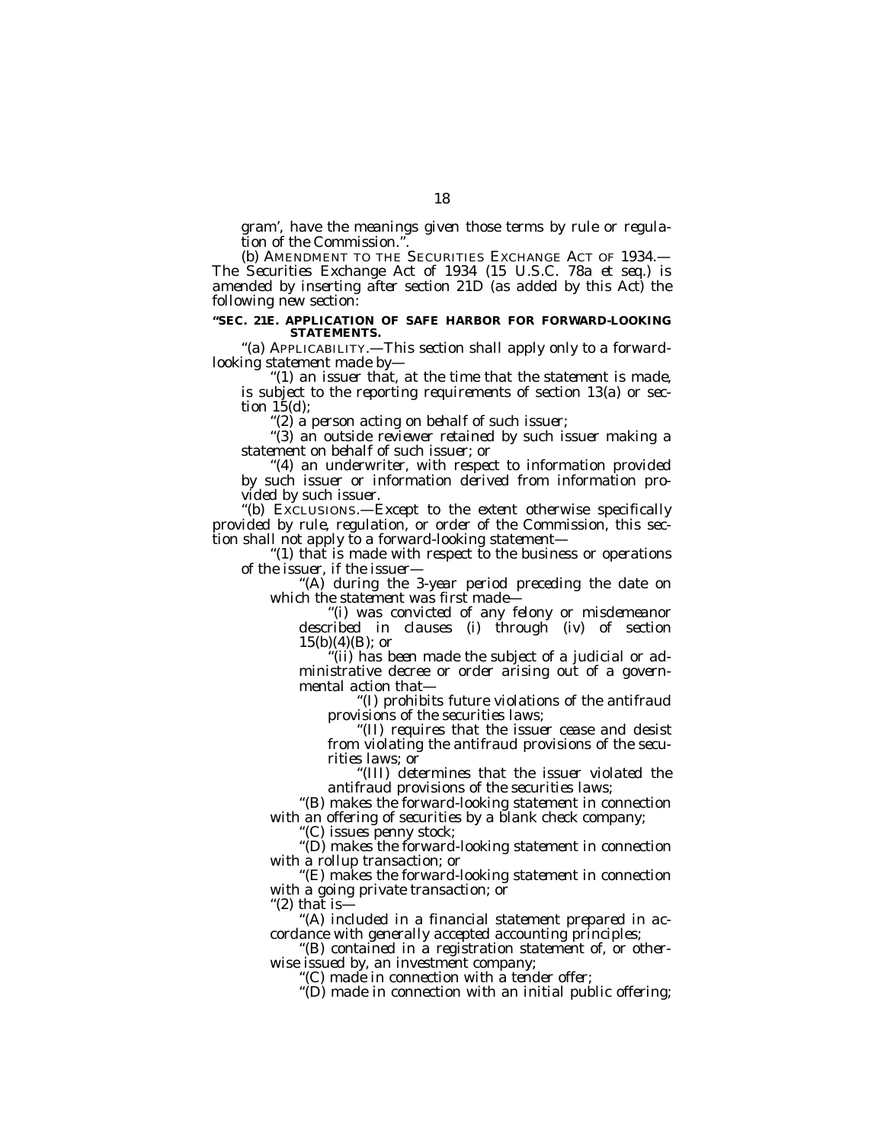*gram', have the meanings given those terms by rule or regulation of the Commission.''.*

*(b) AMENDMENT TO THE SECURITIES EXCHANGE ACT OF 1934.— The Securities Exchange Act of 1934 (15 U.S.C. 78a et seq.) is amended by inserting after section 21D (as added by this Act) the following new section:*

## *''SEC. 21E. APPLICATION OF SAFE HARBOR FOR FORWARD-LOOKING STATEMENTS.*

*''(a) APPLICABILITY.—This section shall apply only to a forwardlooking statement made by—*

*''(1) an issuer that, at the time that the statement is made, is subject to the reporting requirements of section 13(a) or section 15(d);*

*''(2) a person acting on behalf of such issuer;*

*''(3) an outside reviewer retained by such issuer making a statement on behalf of such issuer; or*

*''(4) an underwriter, with respect to information provided by such issuer or information derived from information provided by such issuer.*

*''(b) EXCLUSIONS.—Except to the extent otherwise specifically provided by rule, regulation, or order of the Commission, this section shall not apply to a forward-looking statement—*

*''(1) that is made with respect to the business or operations of the issuer, if the issuer—*

*''(A) during the 3-year period preceding the date on which the statement was first made—*

*''(i) was convicted of any felony or misdemeanor described in clauses (i) through (iv) of section 15(b)(4)(B); or*

*''(ii) has been made the subject of a judicial or administrative decree or order arising out of a governmental action that—*

*''(I) prohibits future violations of the antifraud provisions of the securities laws;*

*''(II) requires that the issuer cease and desist from violating the antifraud provisions of the securities laws; or*

*''(III) determines that the issuer violated the antifraud provisions of the securities laws;*

*''(B) makes the forward-looking statement in connection with an offering of securities by a blank check company;*

*''(C) issues penny stock;*

*''(D) makes the forward-looking statement in connection with a rollup transaction; or*

*''(E) makes the forward-looking statement in connection with a going private transaction; or*

*''(2) that is—*

*''(A) included in a financial statement prepared in accordance with generally accepted accounting principles;*

*''(B) contained in a registration statement of, or otherwise issued by, an investment company;*

*''(C) made in connection with a tender offer;*

*''(D) made in connection with an initial public offering;*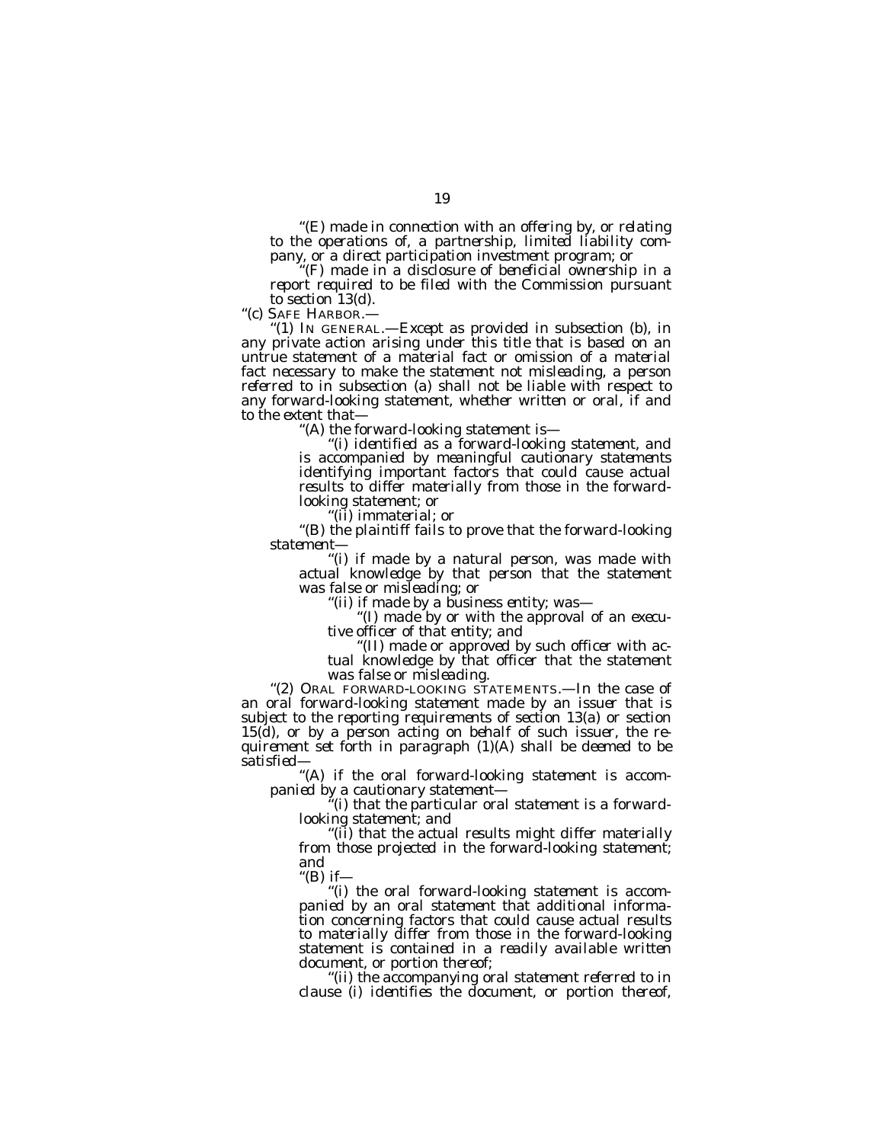*''(E) made in connection with an offering by, or relating to the operations of, a partnership, limited liability com-*

*pany, or a direct participation investment program; or ''(F) made in a disclosure of beneficial ownership in a report required to be filed with the Commission pursuant to section 13(d).*

*''(c) SAFE HARBOR.— ''(1) IN GENERAL.—Except as provided in subsection (b), in any private action arising under this title that is based on an untrue statement of a material fact or omission of a material fact necessary to make the statement not misleading, a person referred to in subsection (a) shall not be liable with respect to any forward-looking statement, whether written or oral, if and to the extent that—*

*''(A) the forward-looking statement is— ''(i) identified as a forward-looking statement, and is accompanied by meaningful cautionary statements identifying important factors that could cause actual results to differ materially from those in the forwardlooking statement; or ''(ii) immaterial; or*

*''(B) the plaintiff fails to prove that the forward-looking statement—*

*''(i) if made by a natural person, was made with actual knowledge by that person that the statement*

*was false or misleading; or ''(ii) if made by a business entity; was— ''(I) made by or with the approval of an execu-*

*tive officer of that entity; and ''(II) made or approved by such officer with actual knowledge by that officer that the statement*

*was false or misleading. ''(2) ORAL FORWARD-LOOKING STATEMENTS.—In the case of an oral forward-looking statement made by an issuer that is subject to the reporting requirements of section 13(a) or section 15(d), or by a person acting on behalf of such issuer, the requirement set forth in paragraph (1)(A) shall be deemed to be satisfied—*

*''(A) if the oral forward-looking statement is accompanied by a cautionary statement—*

*''(i) that the particular oral statement is a forwardlooking statement; and*

*''(ii) that the actual results might differ materially from those projected in the forward-looking statement; and*

*''(B) if—*

*''(i) the oral forward-looking statement is accompanied by an oral statement that additional information concerning factors that could cause actual results to materially differ from those in the forward-looking statement is contained in a readily available written document, or portion thereof;*

*''(ii) the accompanying oral statement referred to in clause (i) identifies the document, or portion thereof,*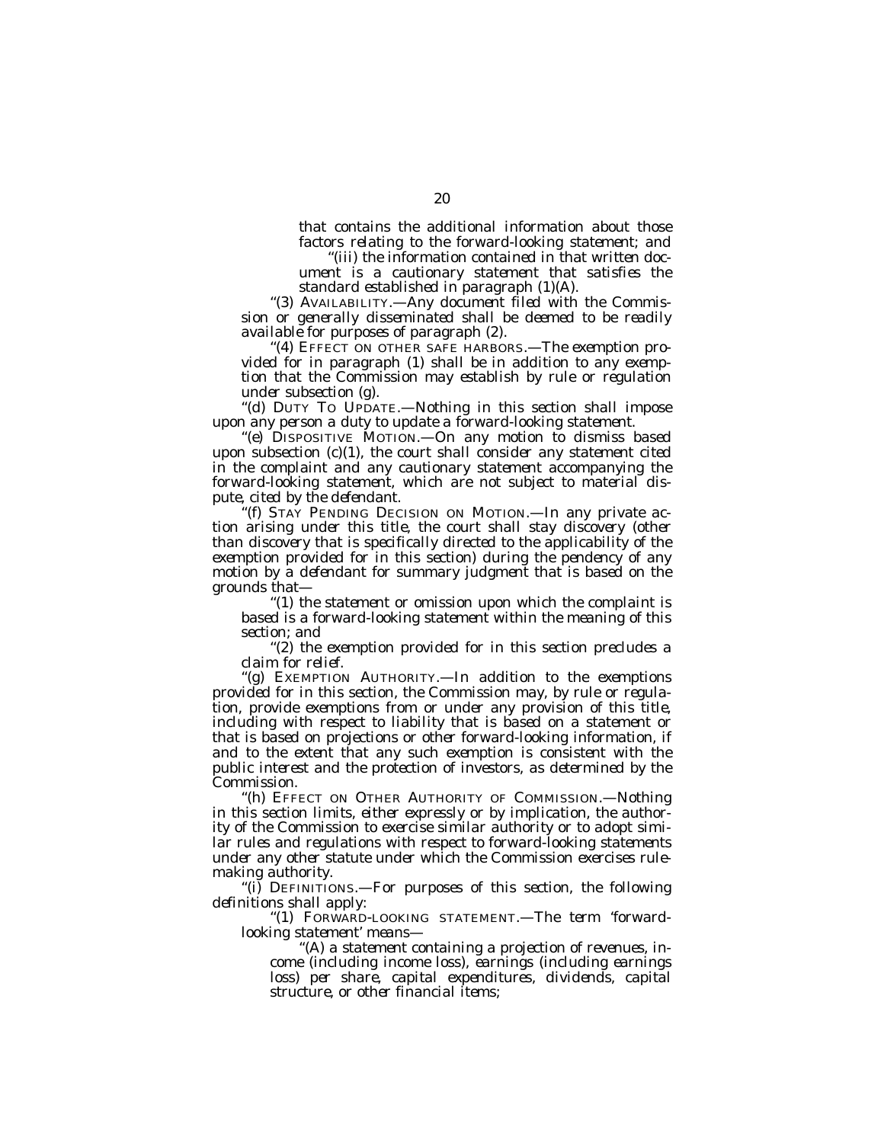*that contains the additional information about those factors relating to the forward-looking statement; and ''(iii) the information contained in that written doc-*

*ument is a cautionary statement that satisfies the standard established in paragraph (1)(A).*

*''(3) AVAILABILITY.—Any document filed with the Commission or generally disseminated shall be deemed to be readily available for purposes of paragraph (2).*

*''(4) EFFECT ON OTHER SAFE HARBORS.—The exemption provided for in paragraph (1) shall be in addition to any exemption that the Commission may establish by rule or regulation under subsection (g).*

*''(d) DUTY TO UPDATE.—Nothing in this section shall impose upon any person a duty to update a forward-looking statement.*

*''(e) DISPOSITIVE MOTION.—On any motion to dismiss based upon subsection (c)(1), the court shall consider any statement cited in the complaint and any cautionary statement accompanying the forward-looking statement, which are not subject to material dispute, cited by the defendant.*

*''(f) STAY PENDING DECISION ON MOTION.—In any private action arising under this title, the court shall stay discovery (other than discovery that is specifically directed to the applicability of the exemption provided for in this section) during the pendency of any motion by a defendant for summary judgment that is based on the grounds that—*

*''(1) the statement or omission upon which the complaint is based is a forward-looking statement within the meaning of this section; and*

*''(2) the exemption provided for in this section precludes a claim for relief.*

*''(g) EXEMPTION AUTHORITY.—In addition to the exemptions provided for in this section, the Commission may, by rule or regulation, provide exemptions from or under any provision of this title, including with respect to liability that is based on a statement or that is based on projections or other forward-looking information, if and to the extent that any such exemption is consistent with the public interest and the protection of investors, as determined by the Commission.*

*''(h) EFFECT ON OTHER AUTHORITY OF COMMISSION.—Nothing in this section limits, either expressly or by implication, the authority of the Commission to exercise similar authority or to adopt similar rules and regulations with respect to forward-looking statements under any other statute under which the Commission exercises rulemaking authority.*

*''(i) DEFINITIONS.—For purposes of this section, the following definitions shall apply:*

*''(1) FORWARD-LOOKING STATEMENT.—The term 'forwardlooking statement' means—*

*''(A) a statement containing a projection of revenues, income (including income loss), earnings (including earnings loss) per share, capital expenditures, dividends, capital structure, or other financial items;*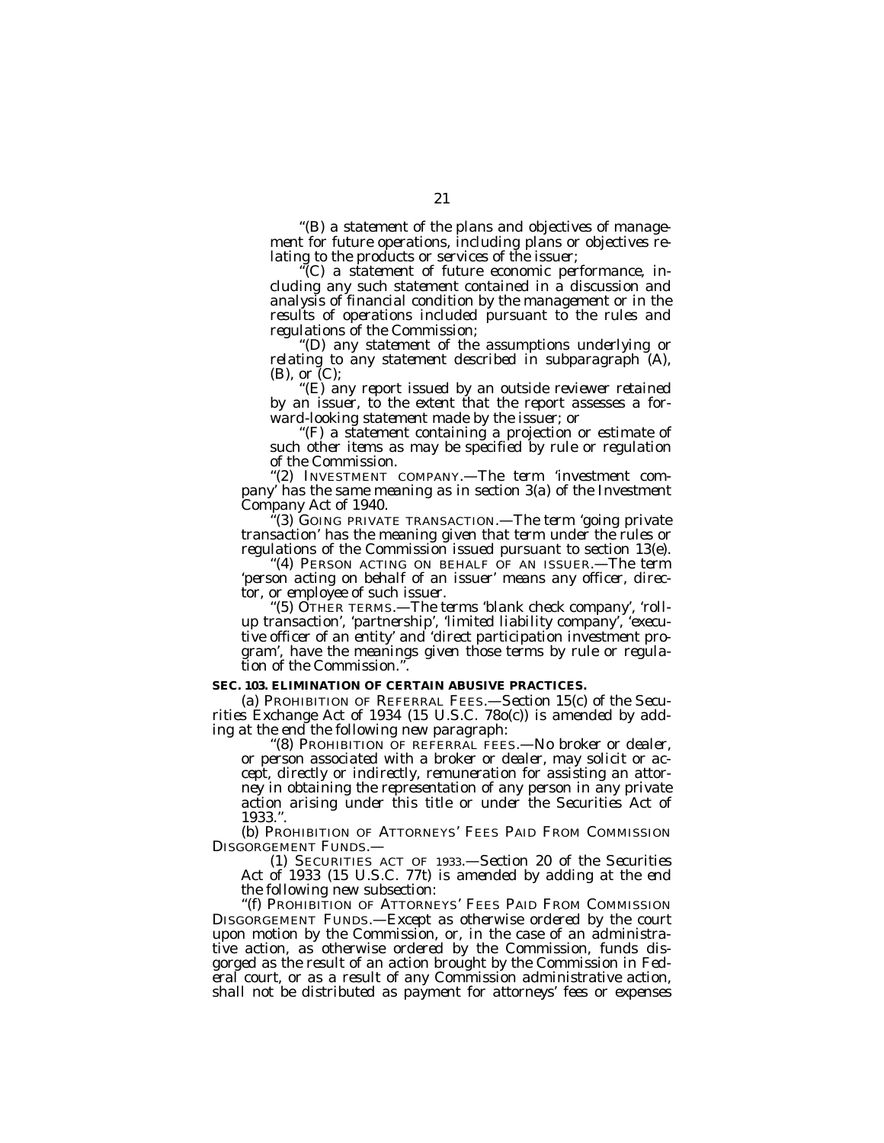*''(B) a statement of the plans and objectives of management for future operations, including plans or objectives relating to the products or services of the issuer;*

*''(C) a statement of future economic performance, including any such statement contained in a discussion and analysis of financial condition by the management or in the results of operations included pursuant to the rules and regulations of the Commission;*

*''(D) any statement of the assumptions underlying or relating to any statement described in subparagraph (A), (B), or (C);*

*''(E) any report issued by an outside reviewer retained by an issuer, to the extent that the report assesses a forward-looking statement made by the issuer; or*

*''(F) a statement containing a projection or estimate of such other items as may be specified by rule or regulation of the Commission.*

*''(2) INVESTMENT COMPANY.—The term 'investment company' has the same meaning as in section 3(a) of the Investment Company Act of 1940.*

*''(3) GOING PRIVATE TRANSACTION.—The term 'going private transaction' has the meaning given that term under the rules or regulations of the Commission issued pursuant to section 13(e).*

*''(4) PERSON ACTING ON BEHALF OF AN ISSUER.—The term 'person acting on behalf of an issuer' means any officer, director, or employee of such issuer.*

*''(5) OTHER TERMS.—The terms 'blank check company', 'rollup transaction', 'partnership', 'limited liability company', 'executive officer of an entity' and 'direct participation investment program', have the meanings given those terms by rule or regulation of the Commission.''.*

## *SEC. 103. ELIMINATION OF CERTAIN ABUSIVE PRACTICES.*

*(a) PROHIBITION OF REFERRAL FEES.—Section 15(c) of the Securities Exchange Act of 1934 (15 U.S.C. 78o(c)) is amended by adding at the end the following new paragraph:*

*''(8) PROHIBITION OF REFERRAL FEES.—No broker or dealer, or person associated with a broker or dealer, may solicit or accept, directly or indirectly, remuneration for assisting an attorney in obtaining the representation of any person in any private action arising under this title or under the Securities Act of 1933.''.*

*(b) PROHIBITION OF ATTORNEYS' FEES PAID FROM COMMISSION DISGORGEMENT FUNDS.—*

*(1) SECURITIES ACT OF 1933.—Section 20 of the Securities Act of 1933 (15 U.S.C. 77t) is amended by adding at the end the following new subsection:*

*''(f) PROHIBITION OF ATTORNEYS' FEES PAID FROM COMMISSION DISGORGEMENT FUNDS.—Except as otherwise ordered by the court upon motion by the Commission, or, in the case of an administrative action, as otherwise ordered by the Commission, funds disgorged as the result of an action brought by the Commission in Federal court, or as a result of any Commission administrative action, shall not be distributed as payment for attorneys' fees or expenses*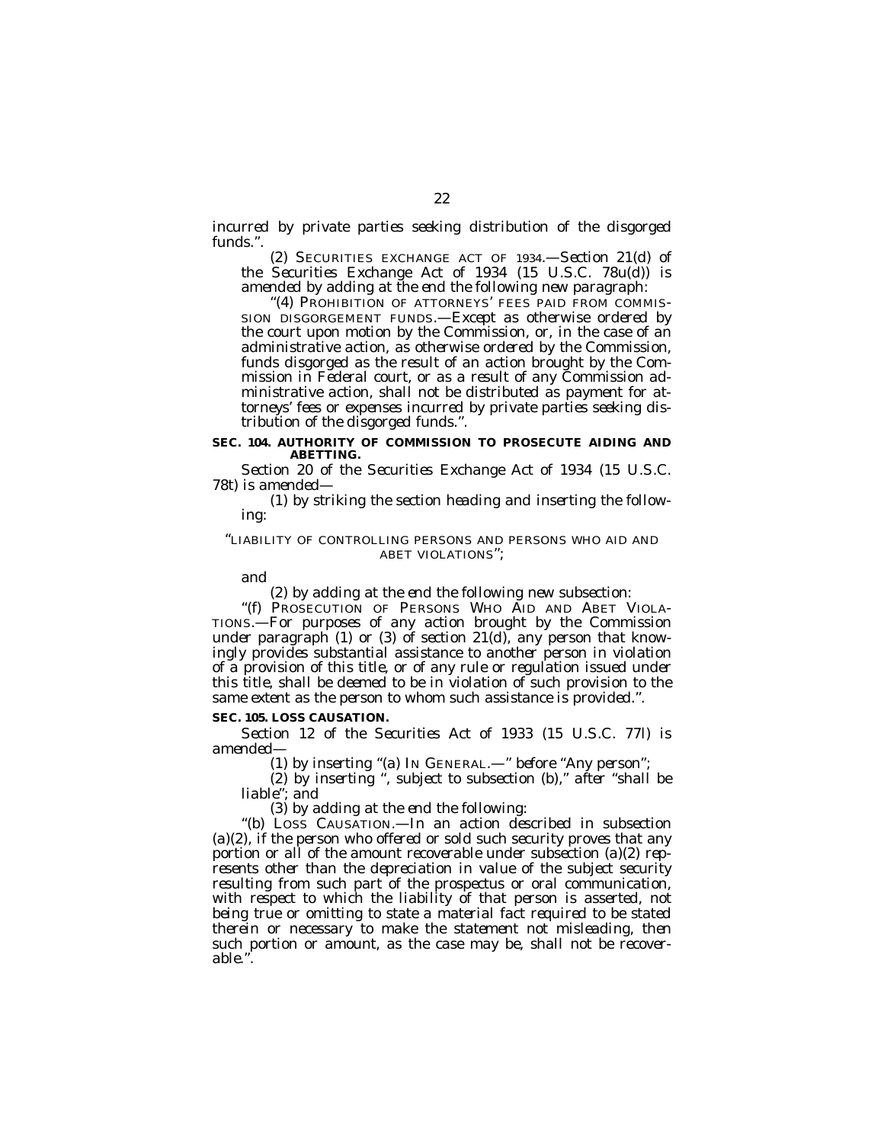*incurred by private parties seeking distribution of the disgorged funds.''.*

*(2) SECURITIES EXCHANGE ACT OF 1934.—Section 21(d) of the Securities Exchange Act of 1934 (15 U.S.C. 78u(d)) is amended by adding at the end the following new paragraph:*

*''(4) PROHIBITION OF ATTORNEYS' FEES PAID FROM COMMIS-SION DISGORGEMENT FUNDS.—Except as otherwise ordered by the court upon motion by the Commission, or, in the case of an administrative action, as otherwise ordered by the Commission, funds disgorged as the result of an action brought by the Commission in Federal court, or as a result of any Commission administrative action, shall not be distributed as payment for attorneys' fees or expenses incurred by private parties seeking distribution of the disgorged funds.''.*

## *SEC. 104. AUTHORITY OF COMMISSION TO PROSECUTE AIDING AND ABETTING.*

*Section 20 of the Securities Exchange Act of 1934 (15 U.S.C. 78t) is amended—*

*(1) by striking the section heading and inserting the following:*

## *''LIABILITY OF CONTROLLING PERSONS AND PERSONS WHO AID AND ABET VIOLATIONS'';*

*and*

*(2) by adding at the end the following new subsection:*

*''(f) PROSECUTION OF PERSONS WHO AID AND ABET VIOLA-TIONS.—For purposes of any action brought by the Commission* under paragraph (1) or (3) of section 21(d), any person that know*ingly provides substantial assistance to another person in violation of a provision of this title, or of any rule or regulation issued under this title, shall be deemed to be in violation of such provision to the same extent as the person to whom such assistance is provided.''.*

## *SEC. 105. LOSS CAUSATION.*

*Section 12 of the Securities Act of 1933 (15 U.S.C. 77l) is amended—*

*(1) by inserting ''(a) IN GENERAL.—'' before ''Any person'';*

*(2) by inserting '', subject to subsection (b),'' after ''shall be liable''; and*

*(3) by adding at the end the following:*

*''(b) LOSS CAUSATION.—In an action described in subsection (a)(2), if the person who offered or sold such security proves that any portion or all of the amount recoverable under subsection (a)(2) represents other than the depreciation in value of the subject security resulting from such part of the prospectus or oral communication, with respect to which the liability of that person is asserted, not being true or omitting to state a material fact required to be stated therein or necessary to make the statement not misleading, then such portion or amount, as the case may be, shall not be recoverable.''.*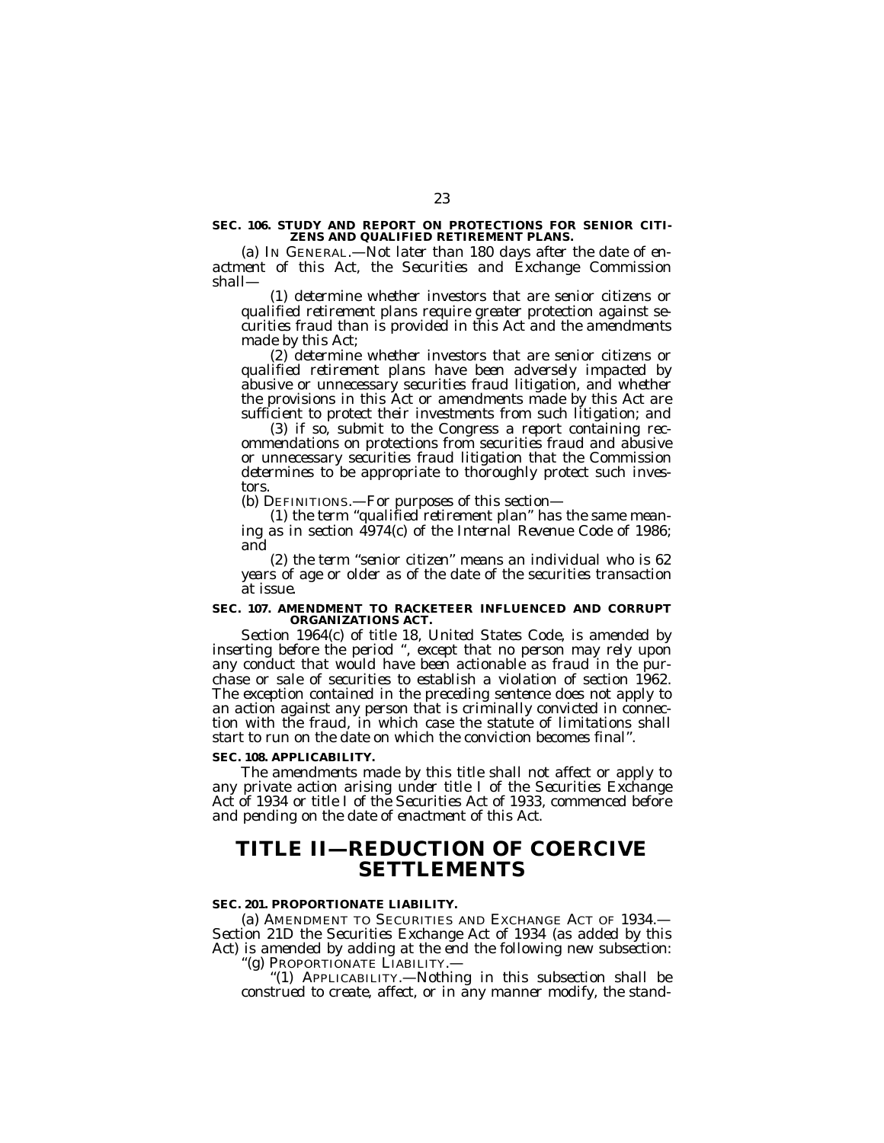### *SEC. 106. STUDY AND REPORT ON PROTECTIONS FOR SENIOR CITI-ZENS AND QUALIFIED RETIREMENT PLANS.*

*(a) IN GENERAL.—Not later than 180 days after the date of enactment of this Act, the Securities and Exchange Commission shall—*

*(1) determine whether investors that are senior citizens or qualified retirement plans require greater protection against securities fraud than is provided in this Act and the amendments made by this Act;*

*(2) determine whether investors that are senior citizens or qualified retirement plans have been adversely impacted by abusive or unnecessary securities fraud litigation, and whether the provisions in this Act or amendments made by this Act are sufficient to protect their investments from such litigation; and*

*(3) if so, submit to the Congress a report containing recommendations on protections from securities fraud and abusive or unnecessary securities fraud litigation that the Commission determines to be appropriate to thoroughly protect such investors.*

*(b) DEFINITIONS.—For purposes of this section—*

*(1) the term ''qualified retirement plan'' has the same meaning as in section 4974(c) of the Internal Revenue Code of 1986; and*

*(2) the term ''senior citizen'' means an individual who is 62 years of age or older as of the date of the securities transaction at issue.*

#### *SEC. 107. AMENDMENT TO RACKETEER INFLUENCED AND CORRUPT ORGANIZATIONS ACT.*

*Section 1964(c) of title 18, United States Code, is amended by inserting before the period '', except that no person may rely upon any conduct that would have been actionable as fraud in the purchase or sale of securities to establish a violation of section 1962. The exception contained in the preceding sentence does not apply to an action against any person that is criminally convicted in connection with the fraud, in which case the statute of limitations shall start to run on the date on which the conviction becomes final''.*

#### *SEC. 108. APPLICABILITY.*

*The amendments made by this title shall not affect or apply to any private action arising under title I of the Securities Exchange Act of 1934 or title I of the Securities Act of 1933, commenced before and pending on the date of enactment of this Act.*

# *TITLE II—REDUCTION OF COERCIVE SETTLEMENTS*

# *SEC. 201. PROPORTIONATE LIABILITY.*

*(a) AMENDMENT TO SECURITIES AND EXCHANGE ACT OF 1934.— Section 21D the Securities Exchange Act of 1934 (as added by this Act) is amended by adding at the end the following new subsection: ''(g) PROPORTIONATE LIABILITY.—*

*''(1) APPLICABILITY.—Nothing in this subsection shall be construed to create, affect, or in any manner modify, the stand-*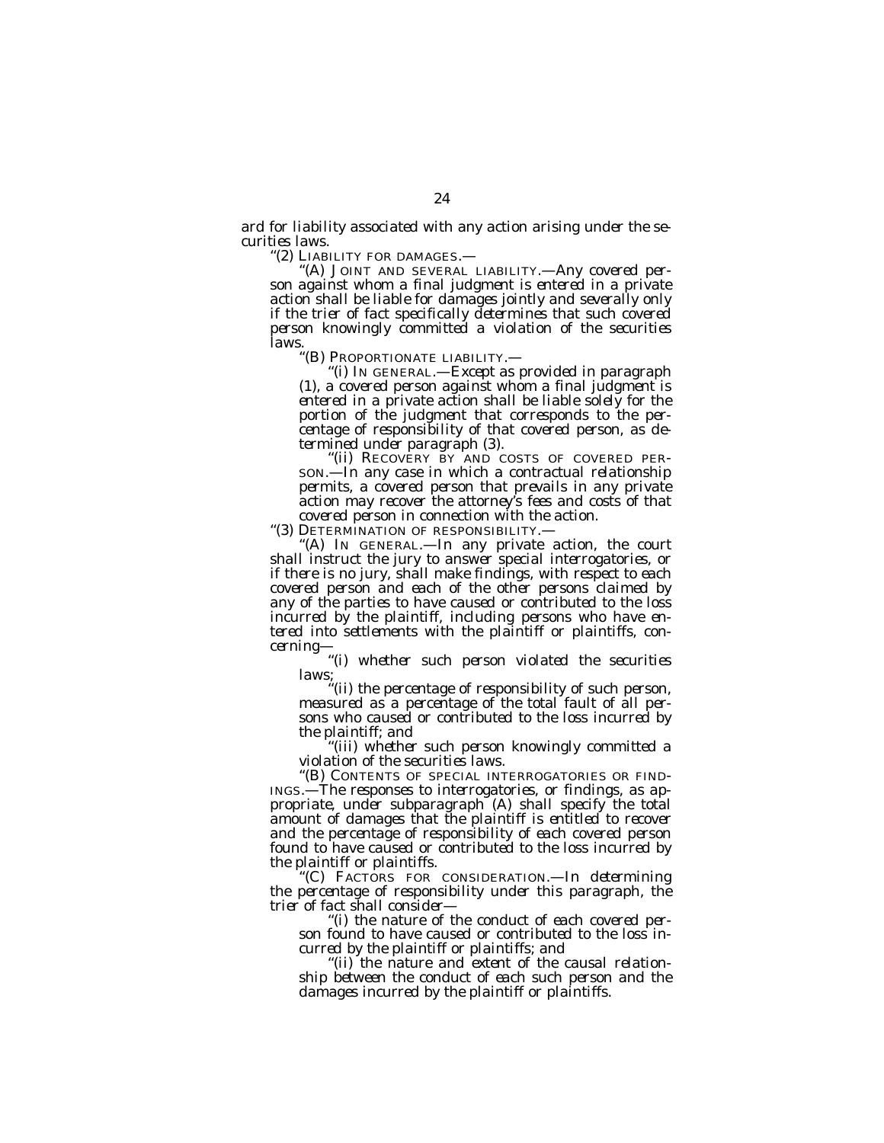*ard for liability associated with any action arising under the securities laws.*

*''(2) LIABILITY FOR DAMAGES.— ''(A) JOINT AND SEVERAL LIABILITY.—Any covered person against whom a final judgment is entered in a private action shall be liable for damages jointly and severally only if the trier of fact specifically determines that such covered person knowingly committed a violation of the securities laws.*<br>"(B) Proportionate liability.—

*''(B) PROPORTIONATE LIABILITY.— ''(i) IN GENERAL.—Except as provided in paragraph (1), a covered person against whom a final judgment is entered in a private action shall be liable solely for the portion of the judgment that corresponds to the percentage of responsibility of that covered person, as de-*

*termined under paragraph (3). ''(ii) RECOVERY BY AND COSTS OF COVERED PER- SON.—In any case in which a contractual relationship permits, a covered person that prevails in any private action may recover the attorney's fees and costs of that covered person in connection with the action.*

*''(3) DETERMINATION OF RESPONSIBILITY.— ''(A) IN GENERAL.—In any private action, the court shall instruct the jury to answer special interrogatories, or if there is no jury, shall make findings, with respect to each covered person and each of the other persons claimed by any of the parties to have caused or contributed to the loss incurred by the plaintiff, including persons who have entered into settlements with the plaintiff or plaintiffs, con-*

*cerning—''(i) whether such person violated the securities laws;*

*''(ii) the percentage of responsibility of such person, measured as a percentage of the total fault of all persons who caused or contributed to the loss incurred by the plaintiff; and*

*''(iii) whether such person knowingly committed a violation of the securities laws.*

*''(B) CONTENTS OF SPECIAL INTERROGATORIES OR FIND-INGS.—The responses to interrogatories, or findings, as appropriate, under subparagraph (A) shall specify the total amount of damages that the plaintiff is entitled to recover and the percentage of responsibility of each covered person found to have caused or contributed to the loss incurred by the plaintiff or plaintiffs.*

*''(C) FACTORS FOR CONSIDERATION.—In determining the percentage of responsibility under this paragraph, the trier of fact shall consider—*

*''(i) the nature of the conduct of each covered person found to have caused or contributed to the loss incurred by the plaintiff or plaintiffs; and*

*''(ii) the nature and extent of the causal relationship between the conduct of each such person and the damages incurred by the plaintiff or plaintiffs.*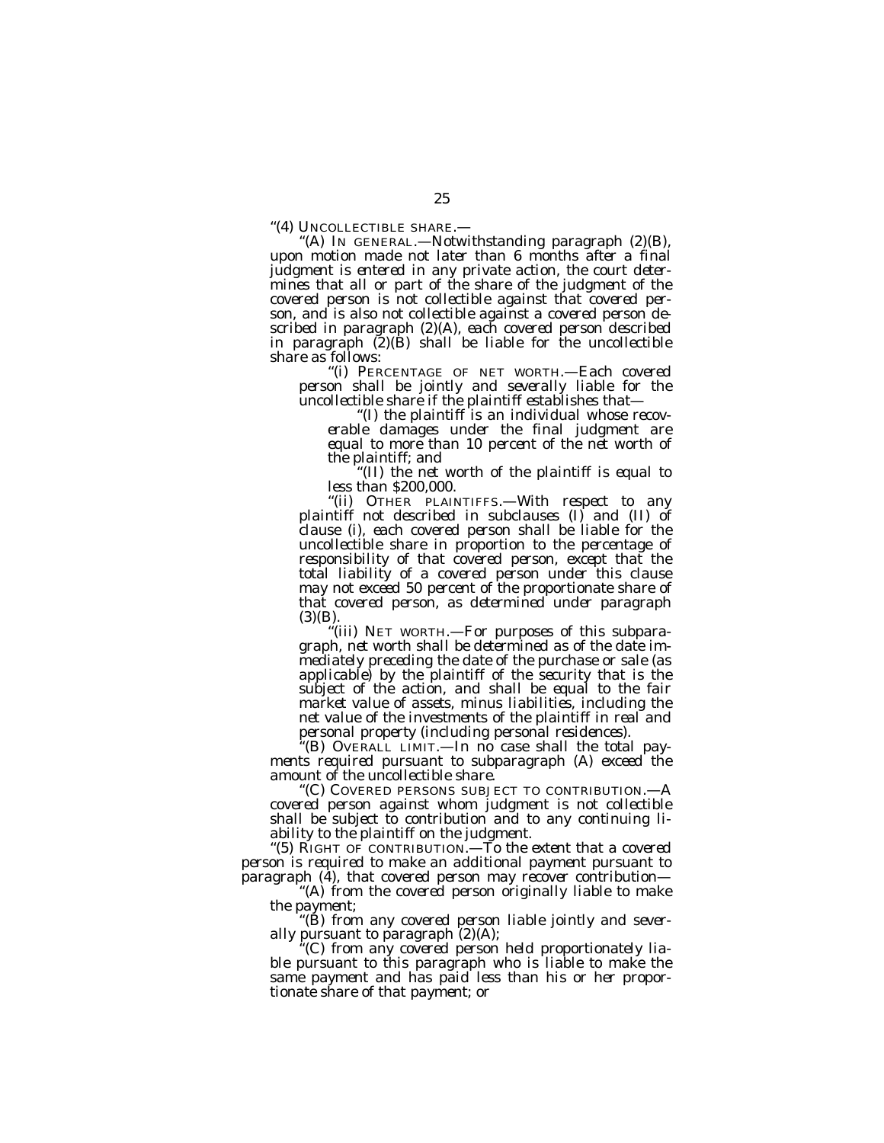*''(4) UNCOLLECTIBLE SHARE.— ''(A) IN GENERAL.—Notwithstanding paragraph (2)(B), upon motion made not later than 6 months after a final judgment is entered in any private action, the court determines that all or part of the share of the judgment of the covered person is not collectible against that covered person, and is also not collectible against a covered person described in paragraph (2)(A), each covered person described in paragraph (2)(B) shall be liable for the uncollectible share as follows:*

*''(i) PERCENTAGE OF NET WORTH.—Each covered person shall be jointly and severally liable for the uncollectible share if the plaintiff establishes that—*

*''(I) the plaintiff is an individual whose recoverable damages under the final judgment are equal to more than 10 percent of the net worth of the plaintiff; and*

*''(II) the net worth of the plaintiff is equal to less than \$200,000.*

 $p$ *laintiff not described in subclauses (I) and (II) of clause (i), each covered person shall be liable for the uncollectible share in proportion to the percentage of responsibility of that covered person, except that the total liability of a covered person under this clause may not exceed 50 percent of the proportionate share of that covered person, as determined under paragraph (3)(B).*

*''(iii) NET WORTH.—For purposes of this subparagraph, net worth shall be determined as of the date immediately preceding the date of the purchase or sale (as applicable) by the plaintiff of the security that is the subject of the action, and shall be equal to the fair market value of assets, minus liabilities, including the net value of the investments of the plaintiff in real and personal property (including personal residences).*

*''(B) OVERALL LIMIT.—In no case shall the total payments required pursuant to subparagraph (A) exceed the amount of the uncollectible share.*

*''(C) COVERED PERSONS SUBJECT TO CONTRIBUTION.—A covered person against whom judgment is not collectible* shall be subject to contribution and to any continuing li*ability to the plaintiff on the judgment.*

*''(5) RIGHT OF CONTRIBUTION.—To the extent that a covered person is required to make an additional payment pursuant to paragraph (4), that covered person may recover contribution—*

*''(A) from the covered person originally liable to make the payment;*

*''(B) from any covered person liable jointly and severally pursuant to paragraph (2)(A);*

*''(C) from any covered person held proportionately liable pursuant to this paragraph who is liable to make the same payment and has paid less than his or her proportionate share of that payment; or*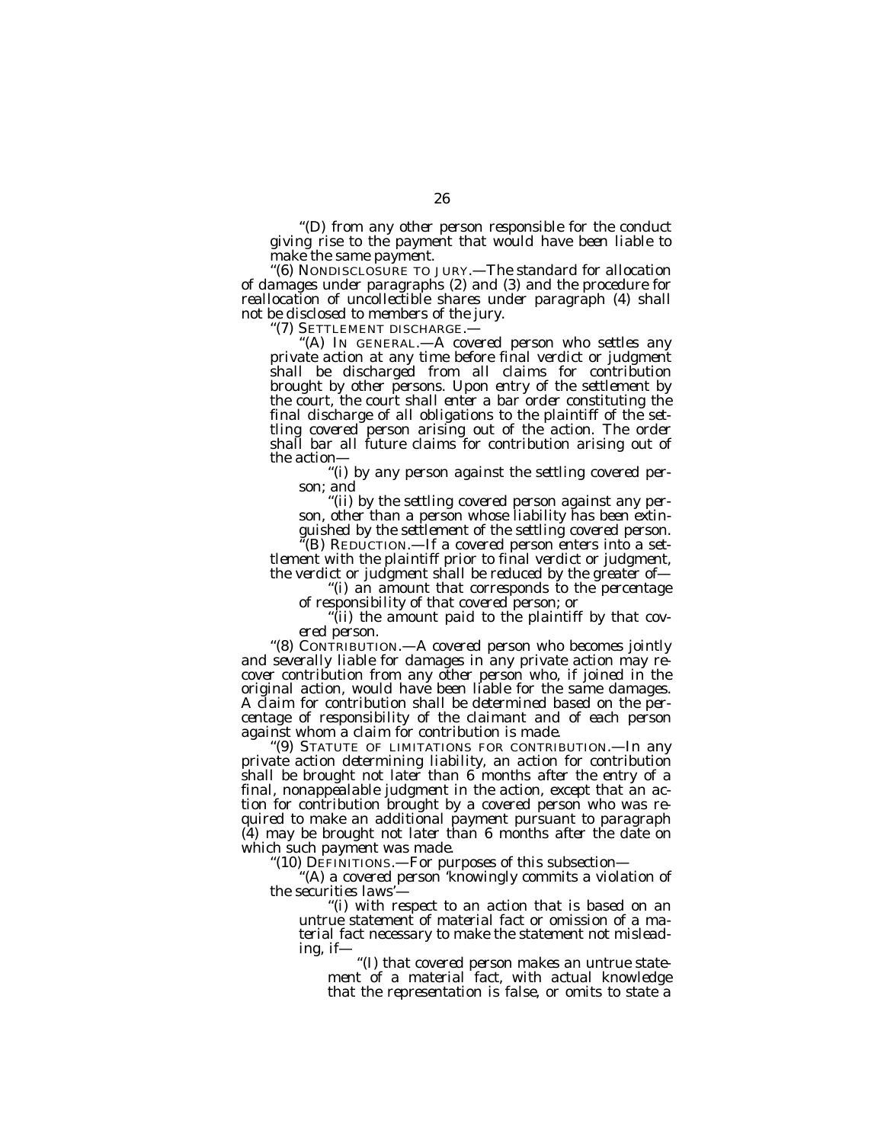*''(D) from any other person responsible for the conduct giving rise to the payment that would have been liable to make the same payment.*

*''(6) NONDISCLOSURE TO JURY.—The standard for allocation of damages under paragraphs (2) and (3) and the procedure for reallocation of uncollectible shares under paragraph (4) shall*

*not be disclosed to members of the jury. ''(7) SETTLEMENT DISCHARGE.— ''(A) IN GENERAL.—A covered person who settles any private action at any time before final verdict or judgment shall be discharged from all claims for contribution brought by other persons. Upon entry of the settlement by the court, the court shall enter a bar order constituting the final discharge of all obligations to the plaintiff of the settling covered person arising out of the action. The order shall bar all future claims for contribution arising out of the action—*

*''(i) by any person against the settling covered person; and*

*''(ii) by the settling covered person against any person, other than a person whose liability has been extinguished by the settlement of the settling covered person.*

*''(B) REDUCTION.—If a covered person enters into a settlement with the plaintiff prior to final verdict or judgment,*

*the verdict or judgment shall be reduced by the greater of— ''(i) an amount that corresponds to the percentage*

*of responsibility of that covered person; or ''(ii) the amount paid to the plaintiff by that covered person.*

*''(8) CONTRIBUTION.—A covered person who becomes jointly and severally liable for damages in any private action may recover contribution from any other person who, if joined in the original action, would have been liable for the same damages. A claim for contribution shall be determined based on the percentage of responsibility of the claimant and of each person against whom a claim for contribution is made.*

*''(9) STATUTE OF LIMITATIONS FOR CONTRIBUTION.—In any private action determining liability, an action for contribution shall be brought not later than 6 months after the entry of a final, nonappealable judgment in the action, except that an action for contribution brought by a covered person who was required to make an additional payment pursuant to paragraph (4) may be brought not later than 6 months after the date on which such payment was made.*

*''(10) DEFINITIONS.—For purposes of this subsection—*

*''(A) a covered person 'knowingly commits a violation of the securities laws'—*

*''(i) with respect to an action that is based on an untrue statement of material fact or omission of a material fact necessary to make the statement not misleading, if—*

*''(I) that covered person makes an untrue statement of a material fact, with actual knowledge that the representation is false, or omits to state a*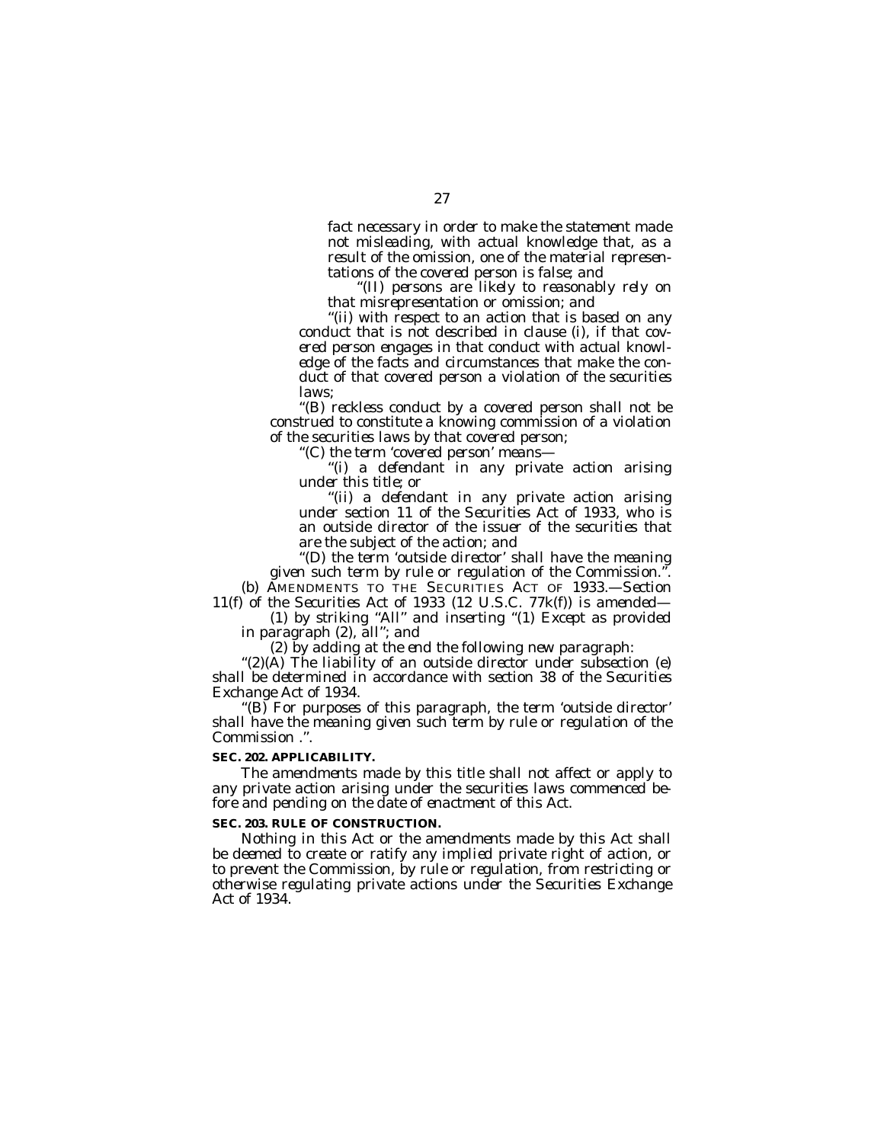*fact necessary in order to make the statement made not misleading, with actual knowledge that, as a result of the omission, one of the material representations of the covered person is false; and*

*''(II) persons are likely to reasonably rely on that misrepresentation or omission; and*

*''(ii) with respect to an action that is based on any conduct that is not described in clause (i), if that covered person engages in that conduct with actual knowledge of the facts and circumstances that make the conduct of that covered person a violation of the securities laws;*

*''(B) reckless conduct by a covered person shall not be construed to constitute a knowing commission of a violation of the securities laws by that covered person;*

*''(C) the term 'covered person' means—*

*''(i) a defendant in any private action arising under this title; or*

*''(ii) a defendant in any private action arising under section 11 of the Securities Act of 1933, who is an outside director of the issuer of the securities that are the subject of the action; and*

*''(D) the term 'outside director' shall have the meaning given such term by rule or regulation of the Commission.''. (b) AMENDMENTS TO THE SECURITIES ACT OF 1933.—Section*

*11(f) of the Securities Act of 1933 (12 U.S.C. 77k(f)) is amended—*

*(1) by striking ''All'' and inserting ''(1) Except as provided in paragraph (2), all''; and*

*(2) by adding at the end the following new paragraph:*

*''(2)(A) The liability of an outside director under subsection (e) shall be determined in accordance with section 38 of the Securities Exchange Act of 1934.*

*''(B) For purposes of this paragraph, the term 'outside director' shall have the meaning given such term by rule or regulation of the Commission .''.*

## *SEC. 202. APPLICABILITY.*

*The amendments made by this title shall not affect or apply to any private action arising under the securities laws commenced before and pending on the date of enactment of this Act.*

## *SEC. 203. RULE OF CONSTRUCTION.*

*Nothing in this Act or the amendments made by this Act shall be deemed to create or ratify any implied private right of action, or to prevent the Commission, by rule or regulation, from restricting or otherwise regulating private actions under the Securities Exchange Act of 1934.*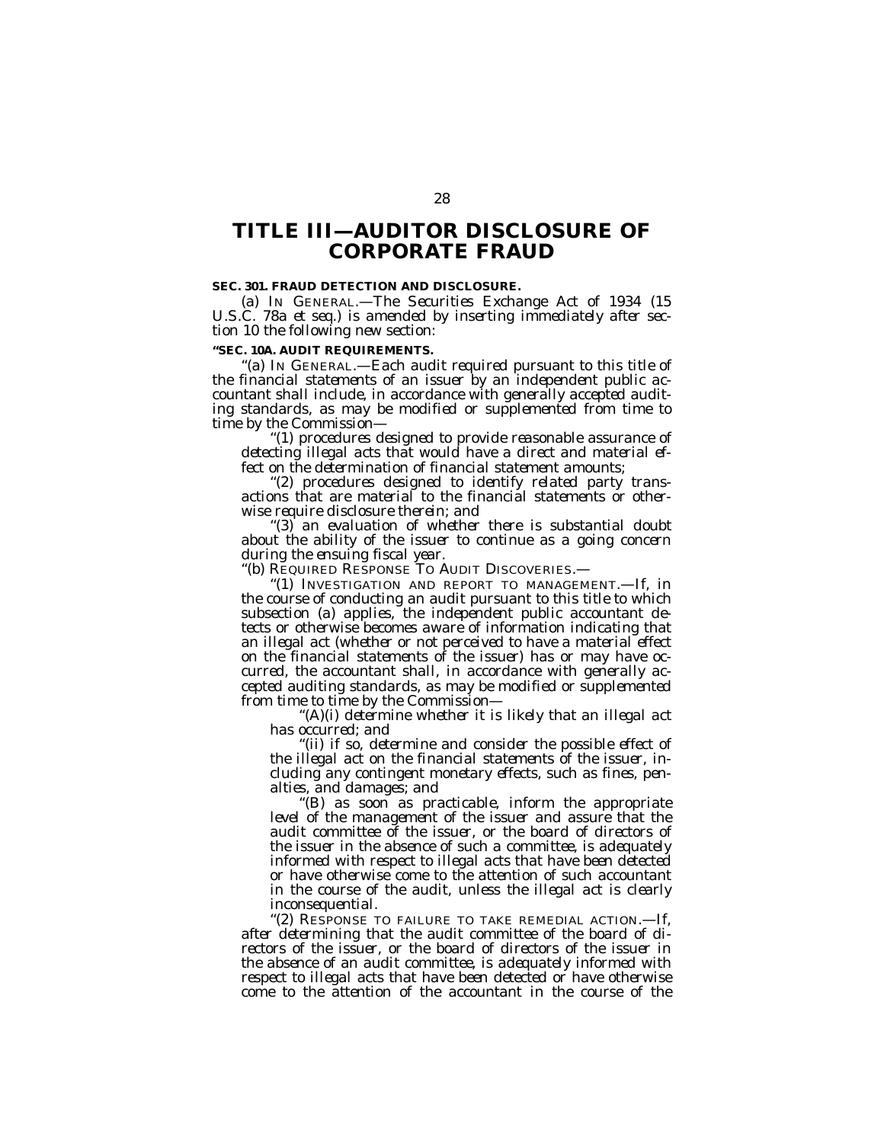# *TITLE III—AUDITOR DISCLOSURE OF CORPORATE FRAUD*

## *SEC. 301. FRAUD DETECTION AND DISCLOSURE.*

*(a) IN GENERAL.—The Securities Exchange Act of 1934 (15 U.S.C. 78a et seq.) is amended by inserting immediately after section 10 the following new section:*

#### *''SEC. 10A. AUDIT REQUIREMENTS.*

*''(a) IN GENERAL.—Each audit required pursuant to this title of the financial statements of an issuer by an independent public accountant shall include, in accordance with generally accepted auditing standards, as may be modified or supplemented from time to time by the Commission—*

*''(1) procedures designed to provide reasonable assurance of detecting illegal acts that would have a direct and material effect on the determination of financial statement amounts;*

*''(2) procedures designed to identify related party transactions that are material to the financial statements or otherwise require disclosure therein; and*

*''(3) an evaluation of whether there is substantial doubt about the ability of the issuer to continue as a going concern during the ensuing fiscal year.*

*''(b) REQUIRED RESPONSE TO AUDIT DISCOVERIES.—*

*''(1) INVESTIGATION AND REPORT TO MANAGEMENT.—If, in the course of conducting an audit pursuant to this title to which subsection (a) applies, the independent public accountant detects or otherwise becomes aware of information indicating that an illegal act (whether or not perceived to have a material effect on the financial statements of the issuer) has or may have occurred, the accountant shall, in accordance with generally accepted auditing standards, as may be modified or supplemented from time to time by the Commission—*

*''(A)(i) determine whether it is likely that an illegal act has occurred; and*

*''(ii) if so, determine and consider the possible effect of the illegal act on the financial statements of the issuer, including any contingent monetary effects, such as fines, penalties, and damages; and*

*''(B) as soon as practicable, inform the appropriate level of the management of the issuer and assure that the audit committee of the issuer, or the board of directors of the issuer in the absence of such a committee, is adequately informed with respect to illegal acts that have been detected or have otherwise come to the attention of such accountant in the course of the audit, unless the illegal act is clearly inconsequential.*

*''(2) RESPONSE TO FAILURE TO TAKE REMEDIAL ACTION.—If, after determining that the audit committee of the board of directors of the issuer, or the board of directors of the issuer in the absence of an audit committee, is adequately informed with respect to illegal acts that have been detected or have otherwise come to the attention of the accountant in the course of the*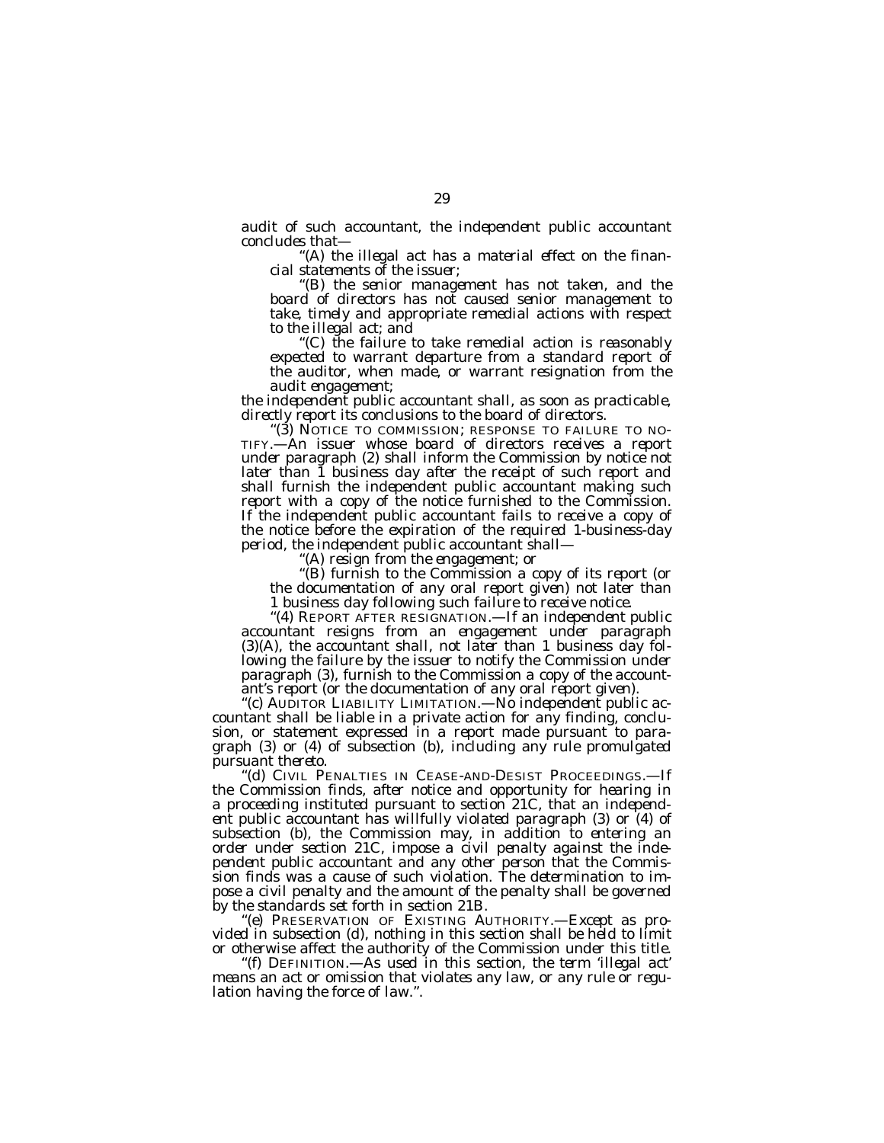*audit of such accountant, the independent public accountant concludes that—*

*''(A) the illegal act has a material effect on the financial statements of the issuer;*

*''(B) the senior management has not taken, and the board of directors has not caused senior management to take, timely and appropriate remedial actions with respect*

*to the illegal act; and ''(C) the failure to take remedial action is reasonably expected to warrant departure from a standard report of the auditor, when made, or warrant resignation from the audit engagement;*

*the independent public accountant shall, as soon as practicable,*

*directly report its conclusions to the board of directors. ''(3) NOTICE TO COMMISSION; RESPONSE TO FAILURE TO NO- TIFY.—An issuer whose board of directors receives a report under paragraph (2) shall inform the Commission by notice not later than 1 business day after the receipt of such report and shall furnish the independent public accountant making such report with a copy of the notice furnished to the Commission. If the independent public accountant fails to receive a copy of the notice before the expiration of the required 1-business-day period, the independent public accountant shall—*

*''(A) resign from the engagement; or the documentation of any oral report given) not later than 1 business day following such failure to receive notice.*

*''(4) REPORT AFTER RESIGNATION.—If an independent public accountant resigns from an engagement under paragraph (3)(A), the accountant shall, not later than 1 business day following the failure by the issuer to notify the Commission under paragraph (3), furnish to the Commission a copy of the accountant's report (or the documentation of any oral report given).*

*''(c) AUDITOR LIABILITY LIMITATION.—No independent public accountant shall be liable in a private action for any finding, conclusion, or statement expressed in a report made pursuant to paragraph (3) or (4) of subsection (b), including any rule promulgated pursuant thereto.*

*''(d) CIVIL PENALTIES IN CEASE-AND-DESIST PROCEEDINGS.—If the Commission finds, after notice and opportunity for hearing in a proceeding instituted pursuant to section 21C, that an independent public accountant has willfully violated paragraph (3) or (4) of subsection (b), the Commission may, in addition to entering an order under section 21C, impose a civil penalty against the independent public accountant and any other person that the Commission finds was a cause of such violation. The determination to impose a civil penalty and the amount of the penalty shall be governed by the standards set forth in section 21B.*

*''(e) PRESERVATION OF EXISTING AUTHORITY.—Except as provided in subsection (d), nothing in this section shall be held to limit or otherwise affect the authority of the Commission under this title.*

*''(f) DEFINITION.—As used in this section, the term 'illegal act' means an act or omission that violates any law, or any rule or regulation having the force of law.''.*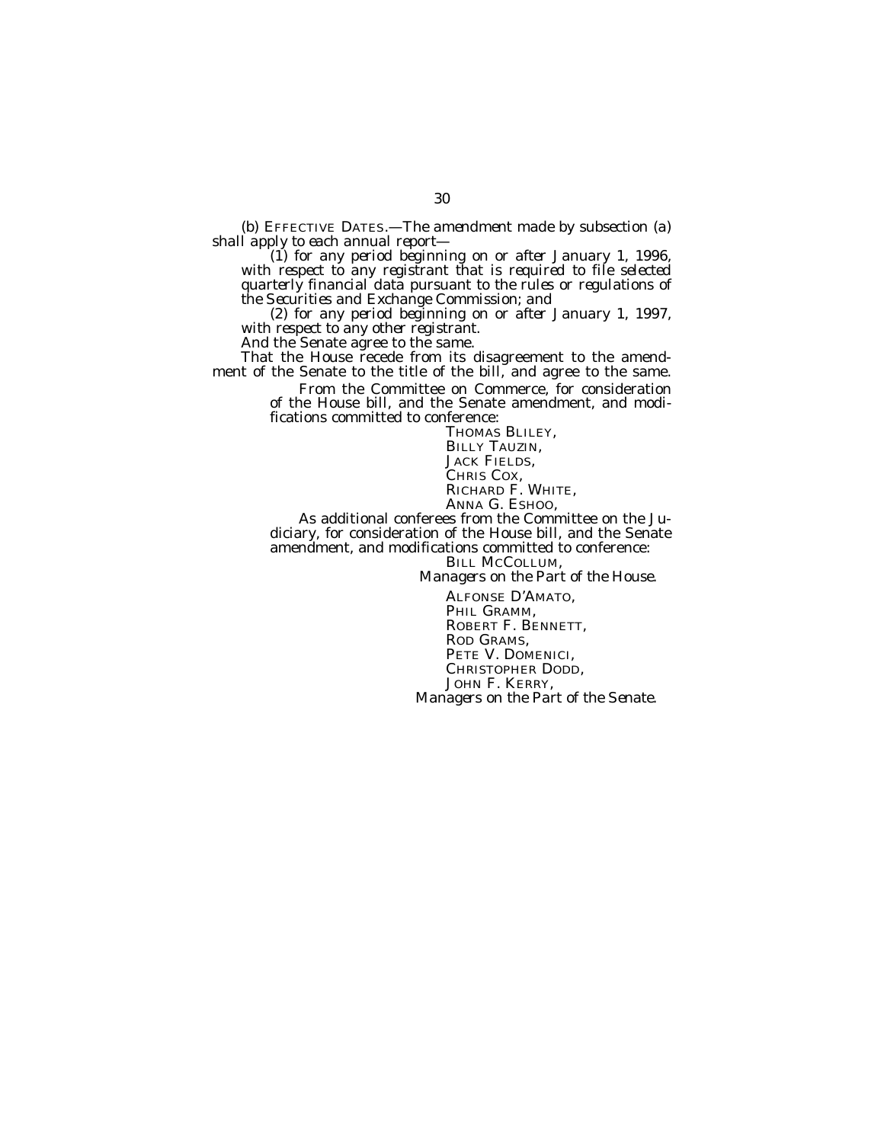*(b) EFFECTIVE DATES.—The amendment made by subsection (a) shall apply to each annual report— (1) for any period beginning on or after January 1, 1996,*

*with respect to any registrant that is required to file selected quarterly financial data pursuant to the rules or regulations of*

*the Securities and Exchange Commission; and (2) for any period beginning on or after January 1, 1997, with respect to any other registrant.*

And the Senate agree to the same.

That the House recede from its disagreement to the amendment of the Senate to the title of the bill, and agree to the same.

> From the Committee on Commerce, for consideration of the House bill, and the Senate amendment, and modifications committed to conference:

THOMAS BLILEY, BILLY TAUZIN, JACK FIELDS, CHRIS COX, RICHARD F. WHITE, ANNA G. ESHOO,

As additional conferees from the Committee on the Judiciary, for consideration of the House bill, and the Senate amendment, and modifications committed to conference:

BILL MCCOLLUM,

*Managers on the Part of the House.*

ALFONSE D'AMATO, PHIL GRAMM, ROBERT F. BENNETT, ROD GRAMS, PETE V. DOMENICI, CHRISTOPHER DODD, JOHN F. KERRY, *Managers on the Part of the Senate.*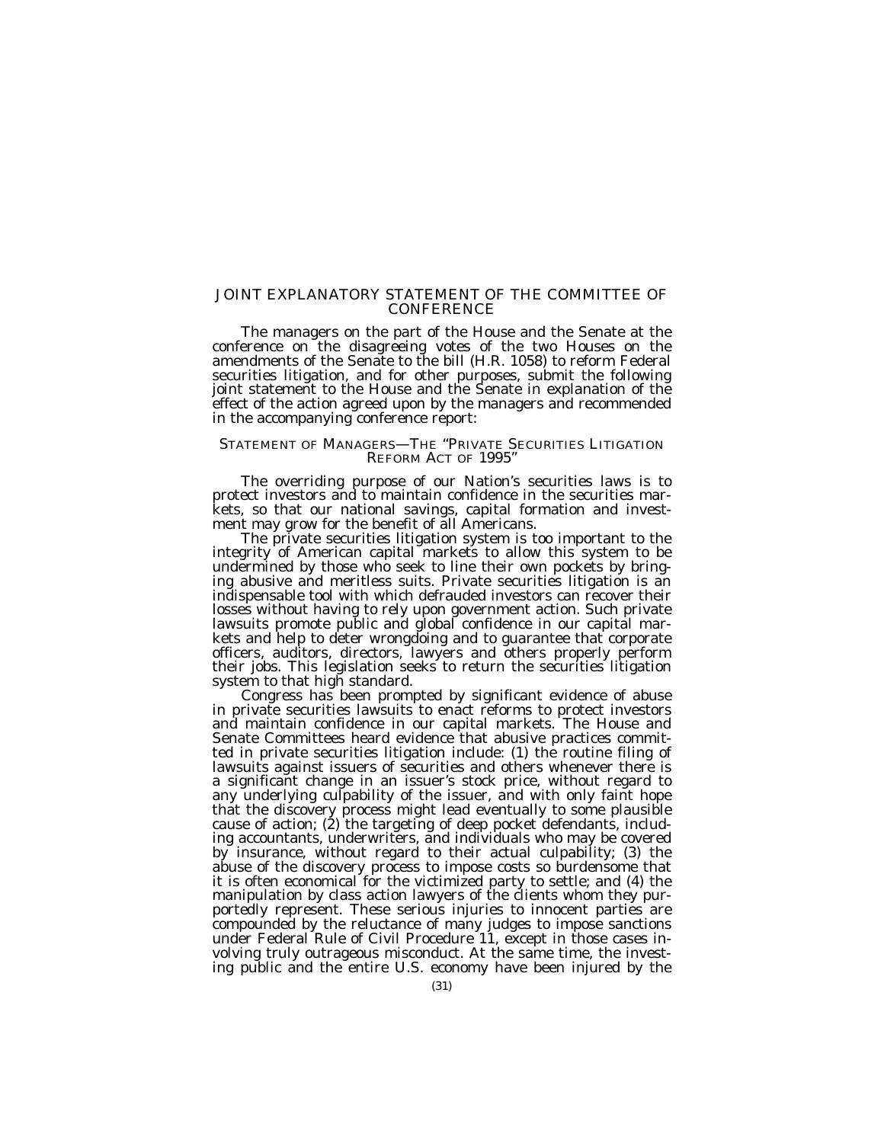## JOINT EXPLANATORY STATEMENT OF THE COMMITTEE OF **CONFERENCE**

The managers on the part of the House and the Senate at the conference on the disagreeing votes of the two Houses on the amendments of the Senate to the bill (H.R. 1058) to reform Federal securities litigation, and for other purposes, submit the following joint statement to the House and the Senate in explanation of the effect of the action agreed upon by the managers and recommended in the accompanying conference report:

## STATEMENT OF MANAGERS—THE ''PRIVATE SECURITIES LITIGATION REFORM ACT OF 1995''

The overriding purpose of our Nation's securities laws is to protect investors and to maintain confidence in the securities markets, so that our national savings, capital formation and invest-

ment may grow for the benefit of all Americans.<br>The private securities litigation system is too important to the<br>integrity of American capital markets to allow this system to be undermined by those who seek to line their own pockets by bringing abusive and meritless suits. Private securities litigation is an indispensable tool with which defrauded investors can recover their losses without having to rely upon government action. Such private lawsuits promote public and global confidence in our capital markets and help to deter wrongdoing and to guarantee that corporate officers, auditors, directors, lawyers and others properly perform their jobs. This legislation seeks to return the securities litigation<br>system to that high standard.

Congress has been prompted by significant evidence of abuse in private securities lawsuits to enact reforms to protect investors and maintain confidence in our capital markets. The House and Senate Committees heard evidence that abusive practices committed in private securities litigation include: (1) the routine filing of lawsuits against issuers of securities and others whenever there is a significant change in an issuer's stock price, without regard to any underlying culpability of the issuer, and with only faint hope that the discovery process might lead eventually to some plausible cause of action; (2) the targeting of deep pocket defendants, including accountants, underwriters, and individuals who may be covered by insurance, without regard to their actual culpability; (3) the abuse of the discovery process to impose costs so burdensome that it is often economical for the victimized party to settle; and (4) the manipulation by class action lawyers of the clients whom they purportedly represent. These serious injuries to innocent parties are compounded by the reluctance of many judges to impose sanctions under Federal Rule of Civil Procedure 11, except in those cases involving truly outrageous misconduct. At the same time, the investing public and the entire U.S. economy have been injured by the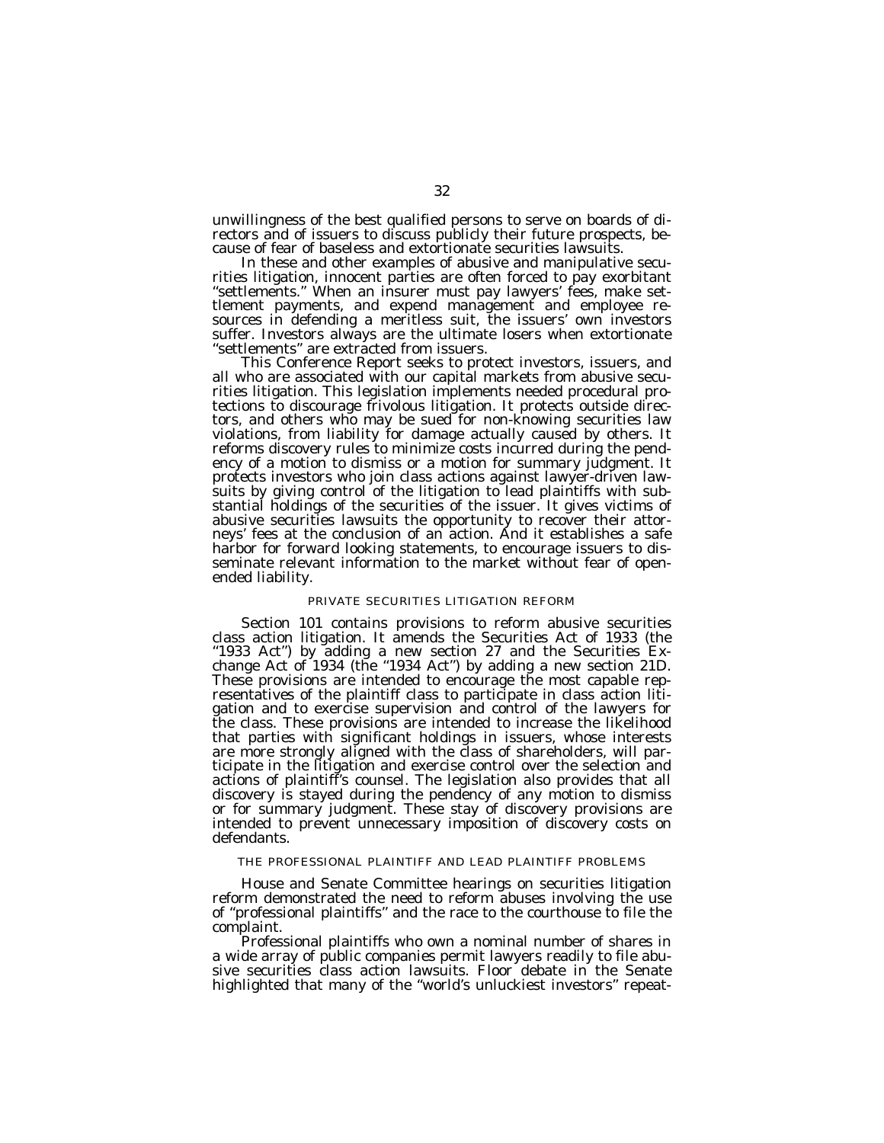unwillingness of the best qualified persons to serve on boards of directors and of issuers to discuss publicly their future prospects, because of fear of baseless and extortionate securities lawsuits.

In these and other examples of abusive and manipulative securities litigation, innocent parties are often forced to pay exorbitant ''settlements.'' When an insurer must pay lawyers' fees, make settlement payments, and expend management and employee resources in defending a meritless suit, the issuers' own investors suffer. Investors always are the ultimate losers when extortionate ''settlements'' are extracted from issuers.

This Conference Report seeks to protect investors, issuers, and all who are associated with our capital markets from abusive securities litigation. This legislation implements needed procedural protections to discourage frivolous litigation. It protects outside directors, and others who may be sued for non-knowing securities law violations, from liability for damage actually caused by others. It reforms discovery rules to minimize costs incurred during the pendency of a motion to dismiss or a motion for summary judgment. It protects investors who join class actions against lawyer-driven lawsuits by giving control of the litigation to lead plaintiffs with substantial holdings of the securities of the issuer. It gives victims of abusive securities lawsuits the opportunity to recover their attorneys' fees at the conclusion of an action. And it establishes a safe harbor for forward looking statements, to encourage issuers to disseminate relevant information to the market without fear of openended liability.

#### PRIVATE SECURITIES LITIGATION REFORM

Section 101 contains provisions to reform abusive securities class action litigation. It amends the Securities Act of 1933 (the "1933 Act") by adding a new section 27 and the Securities Exchange Act of 1934 (the ''1934 Act'') by adding a new section 21D. These provisions are intended to encourage the most capable representatives of the plaintiff class to participate in class action litigation and to exercise supervision and control of the lawyers for the class. These provisions are intended to increase the likelihood that parties with significant holdings in issuers, whose interests are more strongly aligned with the class of shareholders, will participate in the litigation and exercise control over the selection and actions of plaintiff's counsel. The legislation also provides that all discovery is stayed during the pendency of any motion to dismiss or for summary judgment. These stay of discovery provisions are intended to prevent unnecessary imposition of discovery costs on defendants.

#### THE PROFESSIONAL PLAINTIFF AND LEAD PLAINTIFF PROBLEMS

House and Senate Committee hearings on securities litigation reform demonstrated the need to reform abuses involving the use of ''professional plaintiffs'' and the race to the courthouse to file the complaint.

Professional plaintiffs who own a nominal number of shares in a wide array of public companies permit lawyers readily to file abusive securities class action lawsuits. Floor debate in the Senate highlighted that many of the ''world's unluckiest investors'' repeat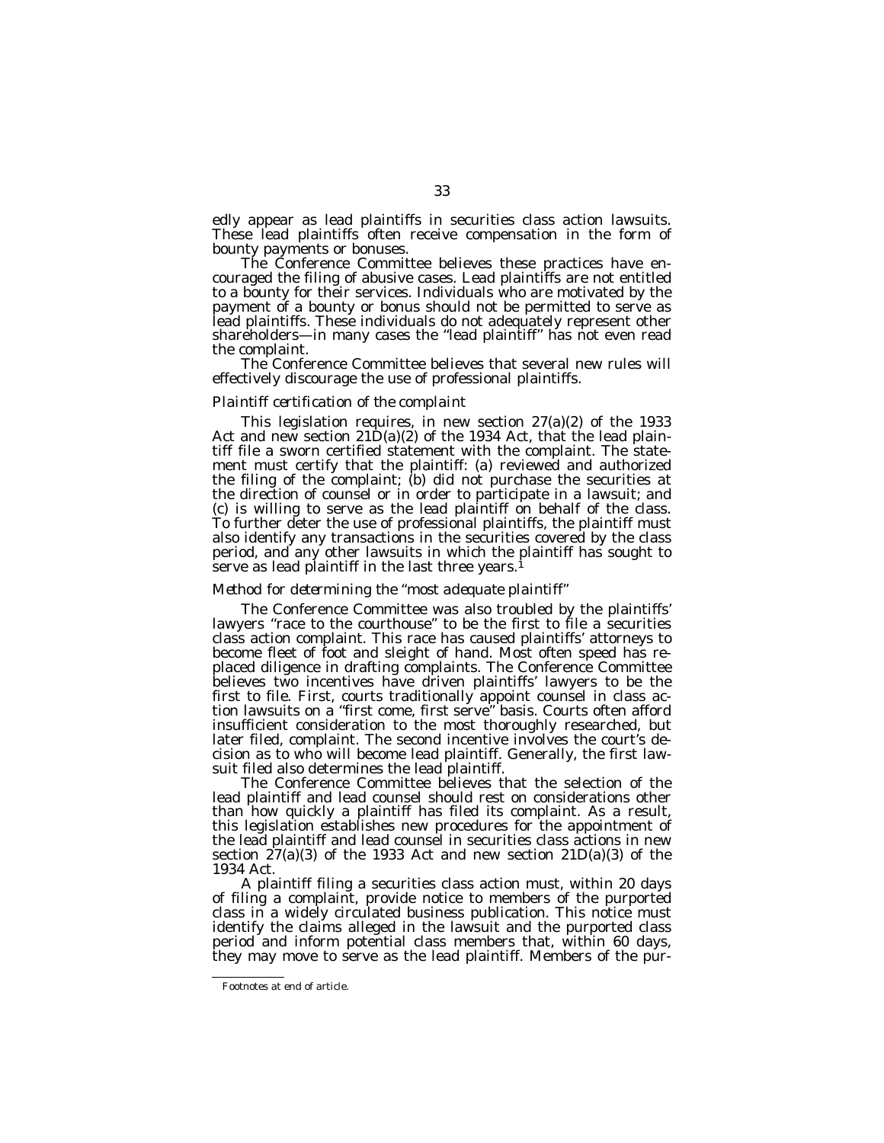edly appear as lead plaintiffs in securities class action lawsuits. These lead plaintiffs often receive compensation in the form of bounty payments or bonuses.

The Conference Committee believes these practices have encouraged the filing of abusive cases. Lead plaintiffs are not entitled to a bounty for their services. Individuals who are motivated by the payment of a bounty or bonus should not be permitted to serve as lead plaintiffs. These individuals do not adequately represent other shareholders—in many cases the ''lead plaintiff'' has not even read the complaint.

The Conference Committee believes that several new rules will effectively discourage the use of professional plaintiffs.

## *Plaintiff certification of the complaint*

This legislation requires, in new section  $27(a)(2)$  of the 1933 Act and new section  $21D(a)(2)$  of the 1934 Act, that the lead plaintiff file a sworn certified statement with the complaint. The statement must certify that the plaintiff: (a) reviewed and authorized the filing of the complaint; (b) did not purchase the securities at the direction of counsel or in order to participate in a lawsuit; and (c) is willing to serve as the lead plaintiff on behalf of the class. To further deter the use of professional plaintiffs, the plaintiff must also identify any transactions in the securities covered by the class period, and any other lawsuits in which the plaintiff has sought to serve as lead plaintiff in the last three years.<sup>1</sup>

## *Method for determining the ''most adequate plaintiff''*

The Conference Committee was also troubled by the plaintiffs' lawyers ''race to the courthouse'' to be the first to file a securities class action complaint. This race has caused plaintiffs' attorneys to become fleet of foot and sleight of hand. Most often speed has replaced diligence in drafting complaints. The Conference Committee believes two incentives have driven plaintiffs' lawyers to be the first to file. First, courts traditionally appoint counsel in class action lawsuits on a ''first come, first serve'' basis. Courts often afford insufficient consideration to the most thoroughly researched, but later filed, complaint. The second incentive involves the court's decision as to who will become lead plaintiff. Generally, the first lawsuit filed also determines the lead plaintiff.

The Conference Committee believes that the selection of the lead plaintiff and lead counsel should rest on considerations other than how quickly a plaintiff has filed its complaint. As a result, this legislation establishes new procedures for the appointment of the lead plaintiff and lead counsel in securities class actions in new section 27(a)(3) of the 1933 Act and new section 21D(a)(3) of the 1934 Act.

A plaintiff filing a securities class action must, within 20 days of filing a complaint, provide notice to members of the purported class in a widely circulated business publication. This notice must identify the claims alleged in the lawsuit and the purported class period and inform potential class members that, within 60 days, they may move to serve as the lead plaintiff. Members of the pur-

Footnotes at end of article.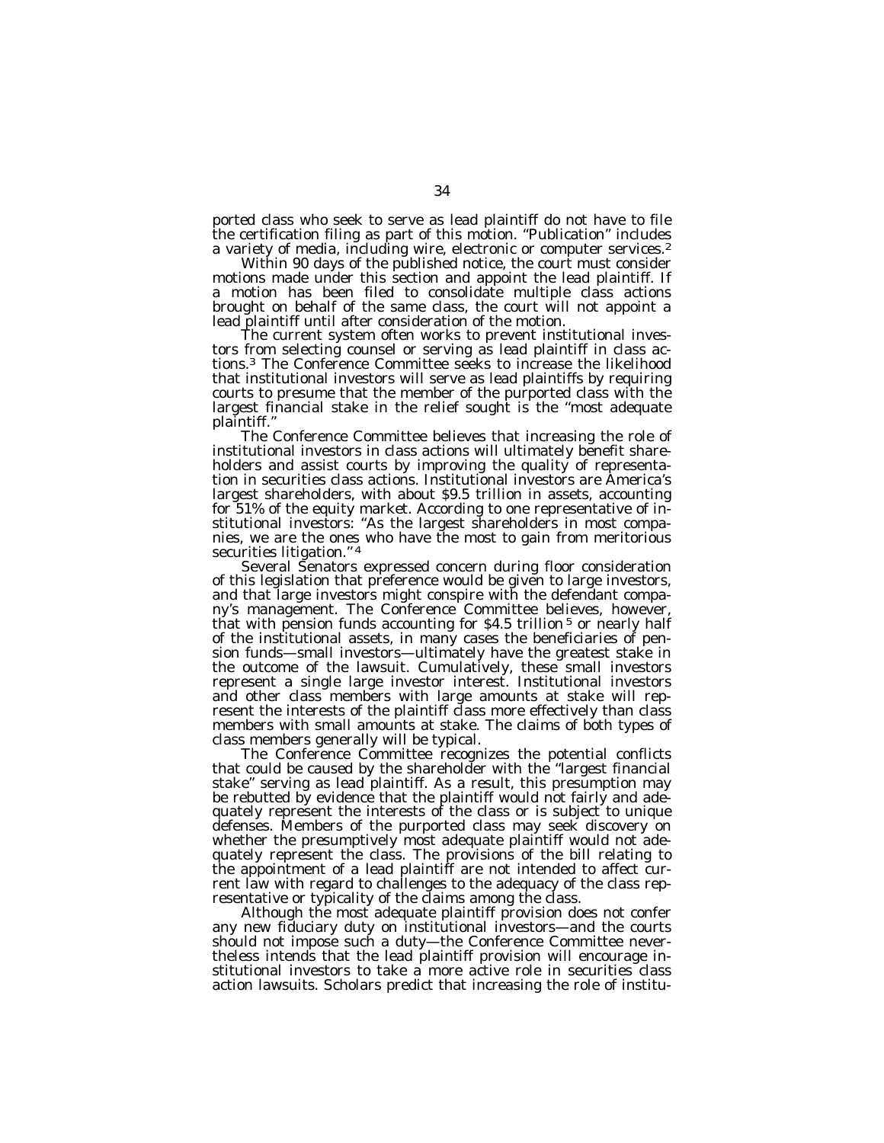ported class who seek to serve as lead plaintiff do not have to file the certification filing as part of this motion. ''Publication'' includes a variety of media, including wire, electronic or computer services.<sup>2</sup>

Within 90 days of the published notice, the court must consider motions made under this section and appoint the lead plaintiff. If a motion has been filed to consolidate multiple class actions brought on behalf of the same class, the court will not appoint a lead plaintiff until after consideration of the motion.

The current system often works to prevent institutional investors from selecting counsel or serving as lead plaintiff in class actions.3 The Conference Committee seeks to increase the likelihood that institutional investors will serve as lead plaintiffs by requiring courts to presume that the member of the purported class with the largest financial stake in the relief sought is the ''most adequate plaintiff.''

The Conference Committee believes that increasing the role of institutional investors in class actions will ultimately benefit shareholders and assist courts by improving the quality of representation in securities class actions. Institutional investors are America's largest shareholders, with about \$9.5 trillion in assets, accounting for 51% of the equity market. According to one representative of institutional investors: ''As the largest shareholders in most companies, we are the ones who have the most to gain from meritorious securities litigation."<sup>4</sup>

Several Senators expressed concern during floor consideration of this legislation that preference would be given to large investors, and that large investors might conspire with the defendant company's management. The Conference Committee believes, however, that with pension funds accounting for \$4.5 trillion<sup>5</sup> or nearly half of the institutional assets, in many cases the beneficiaries of pension funds—small investors—ultimately have the greatest stake in the outcome of the lawsuit. Cumulatively, these small investors represent a single large investor interest. Institutional investors and other class members with large amounts at stake will represent the interests of the plaintiff class more effectively than class members with small amounts at stake. The claims of both types of class members generally will be typical.

The Conference Committee recognizes the potential conflicts that could be caused by the shareholder with the ''largest financial stake'' serving as lead plaintiff. As a result, this presumption may be rebutted by evidence that the plaintiff would not fairly and adequately represent the interests of the class or is subject to unique defenses. Members of the purported class may seek discovery on whether the presumptively most adequate plaintiff would not adequately represent the class. The provisions of the bill relating to the appointment of a lead plaintiff are not intended to affect current law with regard to challenges to the adequacy of the class representative or typicality of the claims among the class.

Although the most adequate plaintiff provision does not confer any new fiduciary duty on institutional investors—and the courts should not impose such a duty—the Conference Committee nevertheless intends that the lead plaintiff provision will encourage institutional investors to take a more active role in securities class action lawsuits. Scholars predict that increasing the role of institu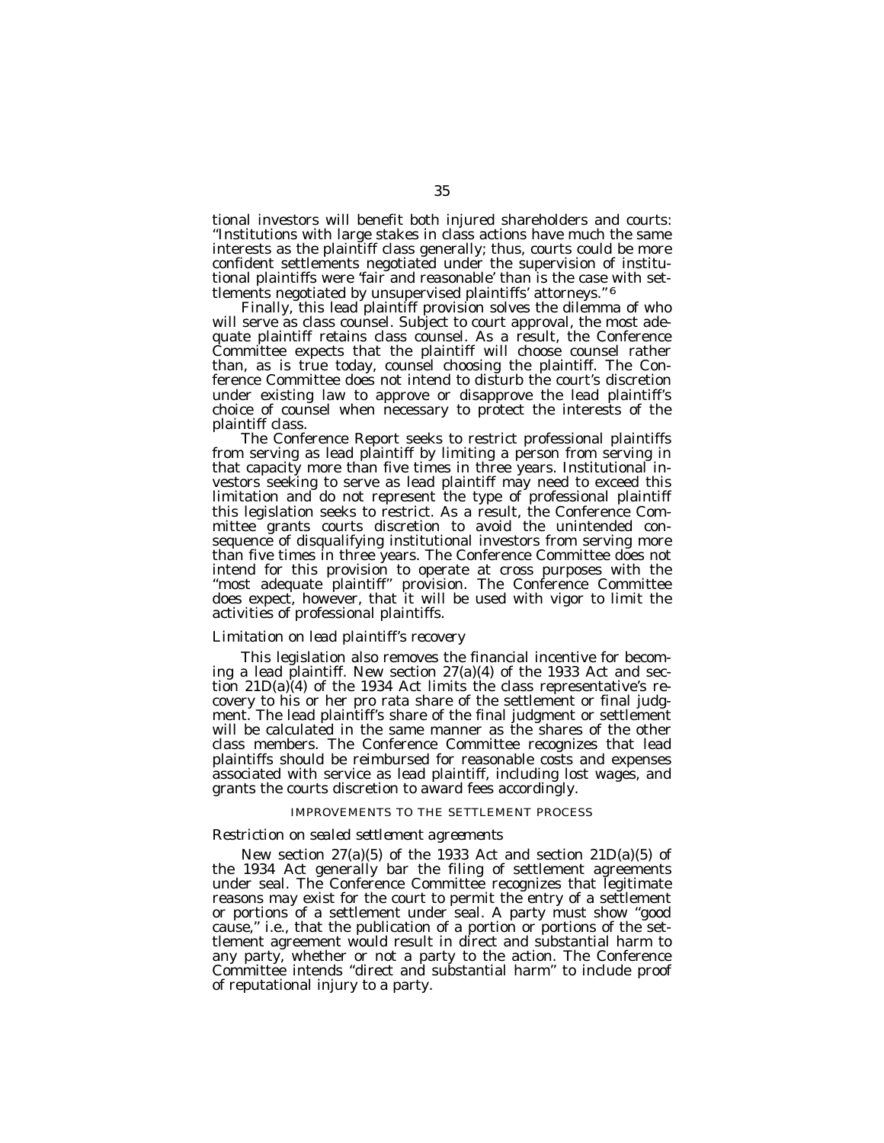tional investors will benefit both injured shareholders and courts: ''Institutions with large stakes in class actions have much the same interests as the plaintiff class generally; thus, courts could be more confident settlements negotiated under the supervision of institutional plaintiffs were 'fair and reasonable' than is the case with settlements negotiated by unsupervised plaintiffs' attorneys.'' 6

Finally, this lead plaintiff provision solves the dilemma of who will serve as class counsel. Subject to court approval, the most adequate plaintiff retains class counsel. As a result, the Conference Committee expects that the plaintiff will choose counsel rather than, as is true today, counsel choosing the plaintiff. The Conference Committee does not intend to disturb the court's discretion under existing law to approve or disapprove the lead plaintiff's choice of counsel when necessary to protect the interests of the plaintiff class.

The Conference Report seeks to restrict professional plaintiffs from serving as lead plaintiff by limiting a person from serving in that capacity more than five times in three years. Institutional investors seeking to serve as lead plaintiff may need to exceed this limitation and do not represent the type of professional plaintiff this legislation seeks to restrict. As a result, the Conference Committee grants courts discretion to avoid the unintended consequence of disqualifying institutional investors from serving more than five times in three years. The Conference Committee does not intend for this provision to operate at cross purposes with the ''most adequate plaintiff'' provision. The Conference Committee does expect, however, that it will be used with vigor to limit the activities of professional plaintiffs.

## *Limitation on lead plaintiff's recovery*

This legislation also removes the financial incentive for becoming a lead plaintiff. New section 27(a)(4) of the 1933 Act and section  $21D(a)(4)$  of the 1934 Act limits the class representative's recovery to his or her pro rata share of the settlement or final judgment. The lead plaintiff's share of the final judgment or settlement will be calculated in the same manner as the shares of the other class members. The Conference Committee recognizes that lead plaintiffs should be reimbursed for reasonable costs and expenses associated with service as lead plaintiff, including lost wages, and grants the courts discretion to award fees accordingly.

#### IMPROVEMENTS TO THE SETTLEMENT PROCESS

# *Restriction on sealed settlement agreements*

New section 27(a)(5) of the 1933 Act and section 21D(a)(5) of the 1934 Act generally bar the filing of settlement agreements under seal. The Conference Committee recognizes that legitimate reasons may exist for the court to permit the entry of a settlement or portions of a settlement under seal. A party must show ''good cause,'' i.e., that the publication of a portion or portions of the settlement agreement would result in direct and substantial harm to any party, whether or not a party to the action. The Conference Committee intends ''direct and substantial harm'' to include proof of reputational injury to a party.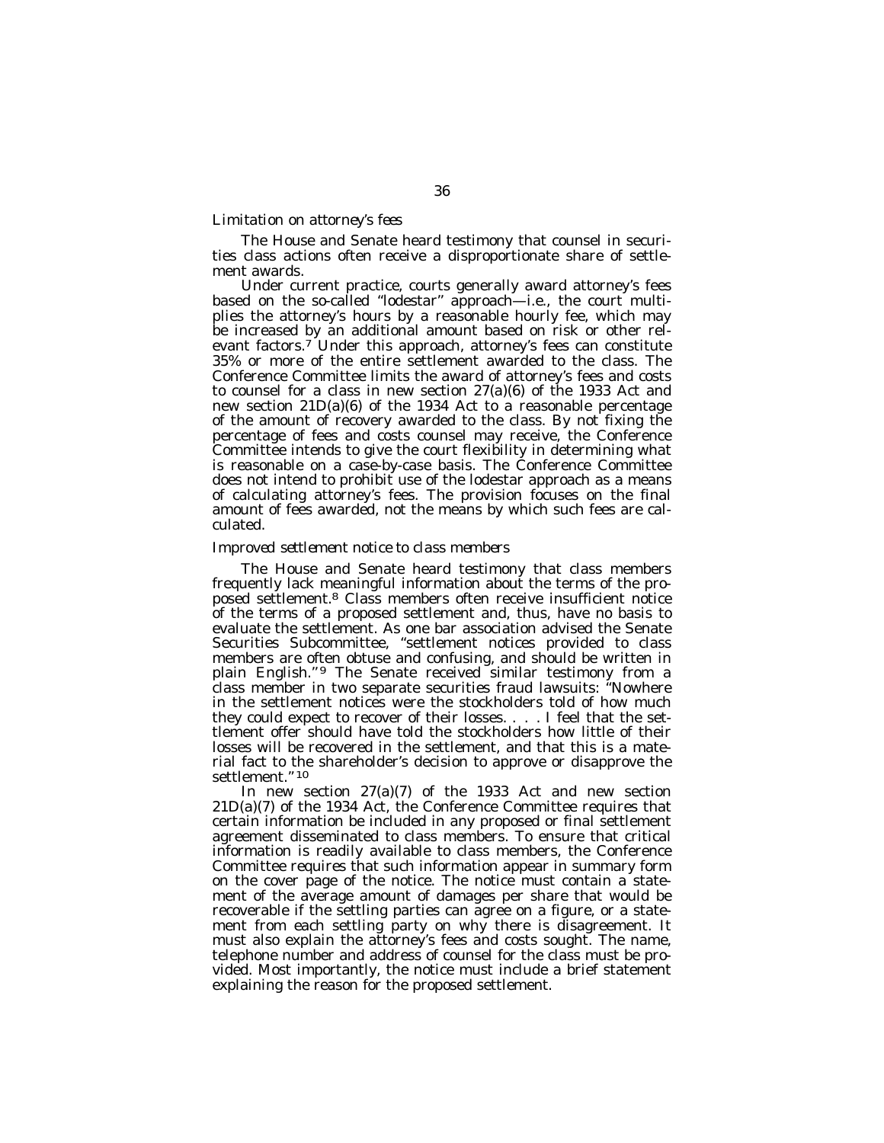## *Limitation on attorney's fees*

The House and Senate heard testimony that counsel in securities class actions often receive a disproportionate share of settlement awards.

Under current practice, courts generally award attorney's fees based on the so-called ''lodestar'' approach—i.e., the court multiplies the attorney's hours by a reasonable hourly fee, which may be increased by an additional amount based on risk or other relevant factors.7 Under this approach, attorney's fees can constitute 35% or more of the entire settlement awarded to the class. The Conference Committee limits the award of attorney's fees and costs to counsel for a class in new section 27(a)(6) of the 1933 Act and new section 21D(a)(6) of the 1934 Act to a reasonable percentage of the amount of recovery awarded to the class. By not fixing the percentage of fees and costs counsel may receive, the Conference Committee intends to give the court flexibility in determining what is reasonable on a case-by-case basis. The Conference Committee does not intend to prohibit use of the lodestar approach as a means of calculating attorney's fees. The provision focuses on the final amount of fees awarded, not the means by which such fees are calculated.

## *Improved settlement notice to class members*

The House and Senate heard testimony that class members frequently lack meaningful information about the terms of the proposed settlement.8 Class members often receive insufficient notice of the terms of a proposed settlement and, thus, have no basis to evaluate the settlement. As one bar association advised the Senate Securities Subcommittee, ''settlement notices provided to class members are often obtuse and confusing, and should be written in plain English."<sup>9</sup> The Senate received similar testimony from a class member in two separate securities fraud lawsuits: ''Nowhere in the settlement notices were the stockholders told of how much they could expect to recover of their losses. . . . I feel that the settlement offer should have told the stockholders how little of their losses will be recovered in the settlement, and that this is a material fact to the shareholder's decision to approve or disapprove the settlement."<sup>10</sup>

In new section 27(a)(7) of the 1933 Act and new section 21D(a)(7) of the 1934 Act, the Conference Committee requires that certain information be included in any proposed or final settlement agreement disseminated to class members. To ensure that critical information is readily available to class members, the Conference Committee requires that such information appear in summary form on the cover page of the notice. The notice must contain a statement of the average amount of damages per share that would be recoverable if the settling parties can agree on a figure, or a statement from each settling party on why there is disagreement. It must also explain the attorney's fees and costs sought. The name, telephone number and address of counsel for the class must be provided. Most importantly, the notice must include a brief statement explaining the reason for the proposed settlement.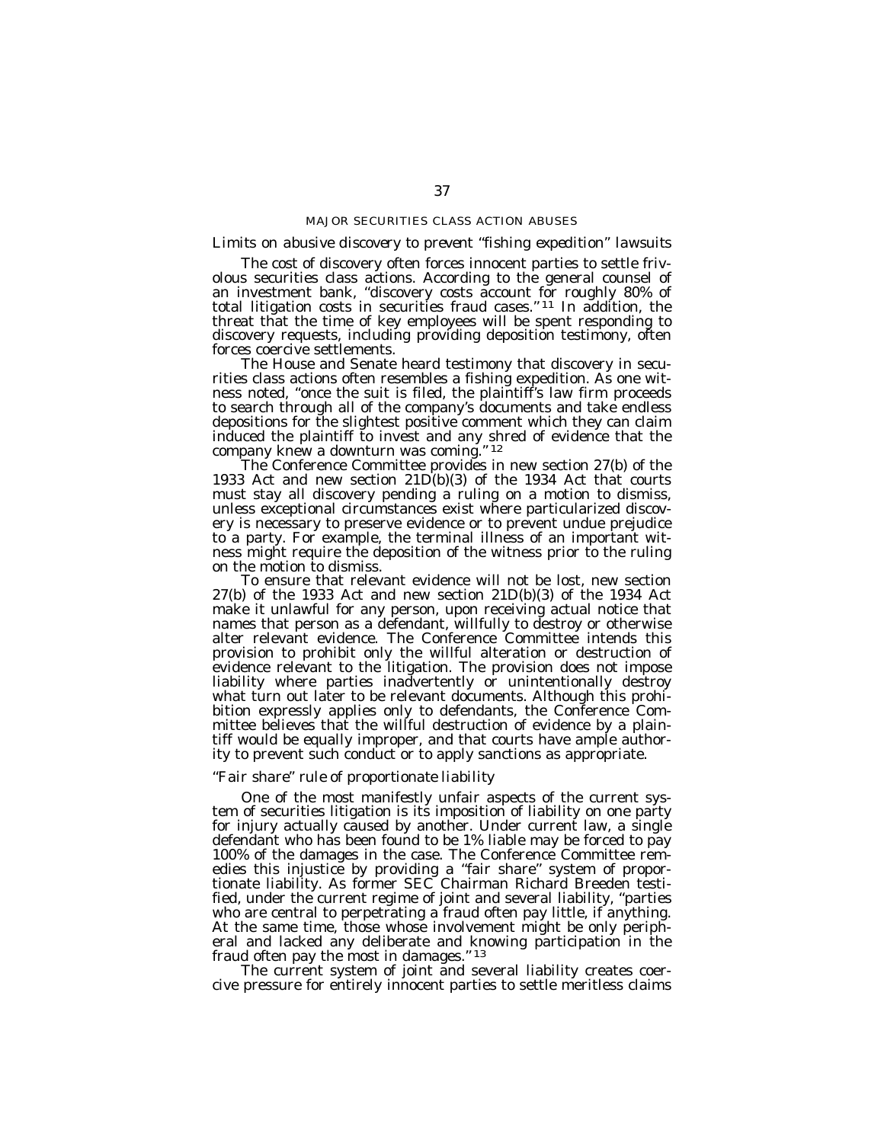## MAJOR SECURITIES CLASS ACTION ABUSES

#### *Limits on abusive discovery to prevent ''fishing expedition'' lawsuits*

The cost of discovery often forces innocent parties to settle frivolous securities class actions. According to the general counsel of an investment bank, ''discovery costs account for roughly 80% of total litigation costs in securities fraud cases.'' 11 In addition, the threat that the time of key employees will be spent responding to discovery requests, including providing deposition testimony, often forces coercive settlements.

The House and Senate heard testimony that discovery in securities class actions often resembles a fishing expedition. As one witness noted, ''once the suit is filed, the plaintiff's law firm proceeds to search through all of the company's documents and take endless depositions for the slightest positive comment which they can claim induced the plaintiff to invest and any shred of evidence that the company knew a downturn was coming.'' 12

The Conference Committee provides in new section 27(b) of the 1933 Act and new section 21D(b)(3) of the 1934 Act that courts must stay all discovery pending a ruling on a motion to dismiss, unless exceptional circumstances exist where particularized discovery is necessary to preserve evidence or to prevent undue prejudice to a party. For example, the terminal illness of an important witness might require the deposition of the witness prior to the ruling on the motion to dismiss.

To ensure that relevant evidence will not be lost, new section 27(b) of the 1933 Act and new section 21D(b)(3) of the 1934 Act make it unlawful for any person, upon receiving actual notice that names that person as a defendant, willfully to destroy or otherwise alter relevant evidence. The Conference Committee intends this provision to prohibit only the willful alteration or destruction of evidence relevant to the litigation. The provision does not impose liability where parties inadvertently or unintentionally destroy what turn out later to be relevant documents. Although this prohibition expressly applies only to defendants, the Conference Committee believes that the willful destruction of evidence by a plaintiff would be equally improper, and that courts have ample authority to prevent such conduct or to apply sanctions as appropriate.

## *''Fair share'' rule of proportionate liability*

One of the most manifestly unfair aspects of the current system of securities litigation is its imposition of liability on one party for injury actually caused by another. Under current law, a single defendant who has been found to be 1% liable may be forced to pay 100% of the damages in the case. The Conference Committee remedies this injustice by providing a ''fair share'' system of proportionate liability. As former SEC Chairman Richard Breeden testified, under the current regime of joint and several liability, "parties who are central to perpetrating a fraud often pay little, if anything. At the same time, those whose involvement might be only peripheral and lacked any deliberate and knowing participation in the fraud often pay the most in damages.'' 13

The current system of joint and several liability creates coercive pressure for entirely innocent parties to settle meritless claims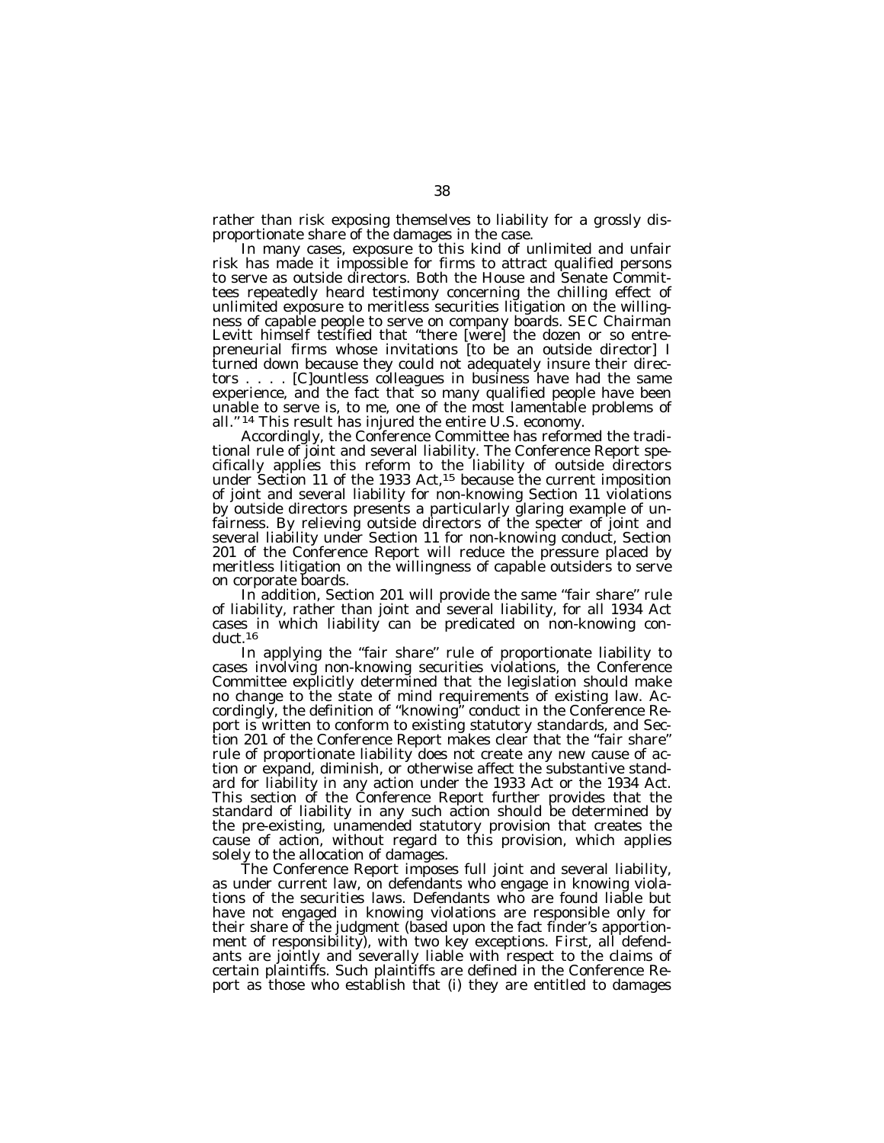rather than risk exposing themselves to liability for a grossly disproportionate share of the damages in the case.

In many cases, exposure to this kind of unlimited and unfair risk has made it impossible for firms to attract qualified persons to serve as outside directors. Both the House and Senate Committees repeatedly heard testimony concerning the chilling effect of unlimited exposure to meritless securities litigation on the willingness of capable people to serve on company boards. SEC Chairman Levitt himself testified that ''there [were] the dozen or so entrepreneurial firms whose invitations [to be an outside director] I turned down because they could not adequately insure their directors . . . . [C]ountless colleagues in business have had the same experience, and the fact that so many qualified people have been unable to serve is, to me, one of the most lamentable problems of all.'' 14 This result has injured the entire U.S. economy.

Accordingly, the Conference Committee has reformed the traditional rule of joint and several liability. The Conference Report specifically applies this reform to the liability of outside directors under Section 11 of the 1933 Act,15 because the current imposition of joint and several liability for non-knowing Section 11 violations by outside directors presents a particularly glaring example of unfairness. By relieving outside directors of the specter of joint and several liability under Section 11 for non-knowing conduct, Section 201 of the Conference Report will reduce the pressure placed by meritless litigation on the willingness of capable outsiders to serve on corporate boards.

In addition, Section 201 will provide the same "fair share" rule of liability, rather than joint and several liability, for all 1934 Act cases in which liability can be predicated on non-knowing conduct.16

In applying the "fair share" rule of proportionate liability to cases involving non-knowing securities violations, the Conference Committee explicitly determined that the legislation should make no change to the state of mind requirements of existing law. Accordingly, the definition of ''knowing'' conduct in the Conference Report is written to conform to existing statutory standards, and Section 201 of the Conference Report makes clear that the ''fair share'' rule of proportionate liability does not create any new cause of action or expand, diminish, or otherwise affect the substantive standard for liability in any action under the 1933 Act or the 1934 Act. This section of the Conference Report further provides that the standard of liability in any such action should be determined by the pre-existing, unamended statutory provision that creates the cause of action, without regard to this provision, which applies solely to the allocation of damages.

The Conference Report imposes full joint and several liability, as under current law, on defendants who engage in knowing violations of the securities laws. Defendants who are found liable but have not engaged in knowing violations are responsible only for their share of the judgment (based upon the fact finder's apportionment of responsibility), with two key exceptions. First, all defendants are jointly and severally liable with respect to the claims of certain plaintiffs. Such plaintiffs are defined in the Conference Report as those who establish that (i) they are entitled to damages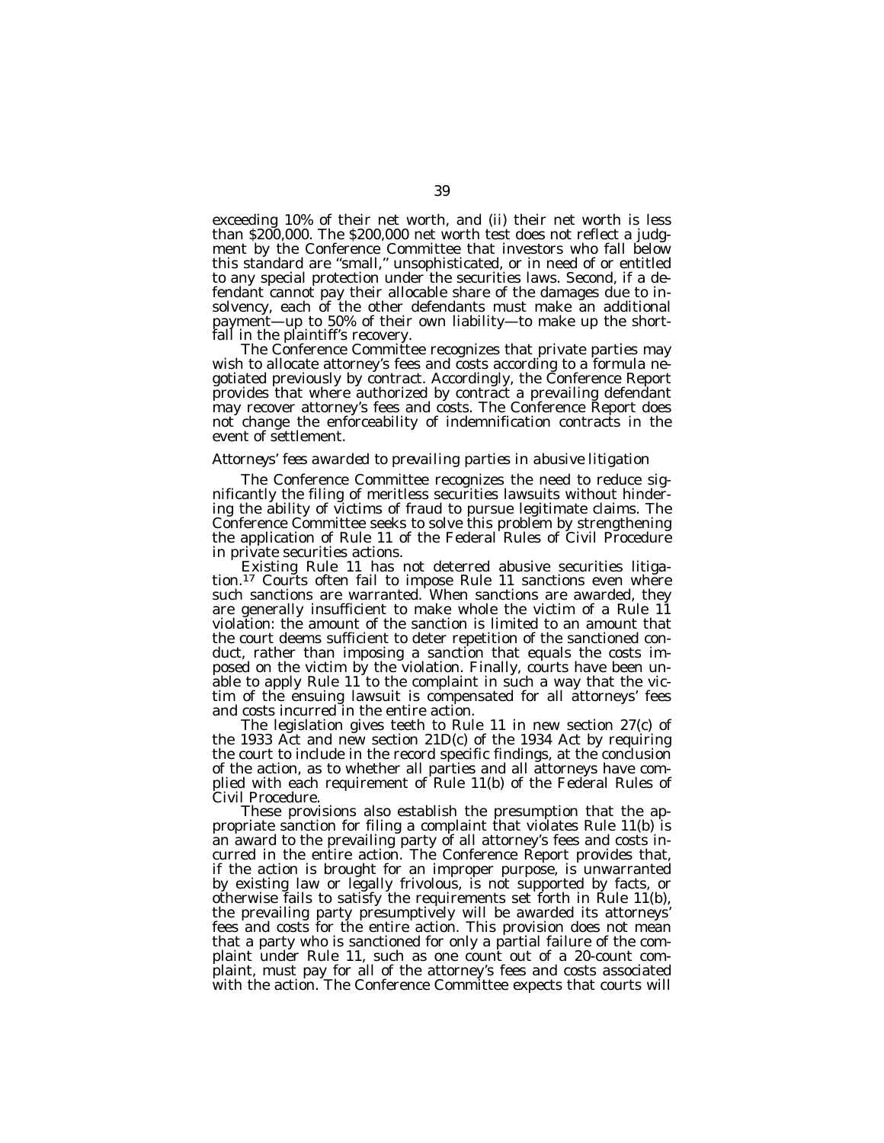exceeding 10% of their net worth, and (ii) their net worth is less than \$200,000. The \$200,000 net worth test does not reflect a judgment by the Conference Committee that investors who fall below this standard are ''small,'' unsophisticated, or in need of or entitled to any special protection under the securities laws. Second, if a defendant cannot pay their allocable share of the damages due to insolvency, each of the other defendants must make an additional payment—up to 50% of their own liability—to make up the shortfall in the plaintiff's recovery.

The Conference Committee recognizes that private parties may wish to allocate attorney's fees and costs according to a formula negotiated previously by contract. Accordingly, the Conference Report provides that where authorized by contract a prevailing defendant may recover attorney's fees and costs. The Conference Report does not change the enforceability of indemnification contracts in the event of settlement.

#### *Attorneys' fees awarded to prevailing parties in abusive litigation*

The Conference Committee recognizes the need to reduce significantly the filing of meritless securities lawsuits without hindering the ability of victims of fraud to pursue legitimate claims. The Conference Committee seeks to solve this problem by strengthening the application of Rule 11 of the Federal Rules of Civil Procedure in private securities actions.

Existing Rule 11 has not deterred abusive securities litigation.17 Courts often fail to impose Rule 11 sanctions even where such sanctions are warranted. When sanctions are awarded, they are generally insufficient to make whole the victim of a Rule 11 violation: the amount of the sanction is limited to an amount that the court deems sufficient to deter repetition of the sanctioned conduct, rather than imposing a sanction that equals the costs imposed on the victim by the violation. Finally, courts have been unable to apply Rule 11 to the complaint in such a way that the victim of the ensuing lawsuit is compensated for all attorneys' fees and costs incurred in the entire action.

The legislation gives teeth to Rule 11 in new section 27(c) of the 1933 Act and new section 21D(c) of the 1934 Act by requiring the court to include in the record specific findings, at the conclusion of the action, as to whether all parties and all attorneys have complied with each requirement of Rule 11(b) of the Federal Rules of Civil Procedure.

These provisions also establish the presumption that the appropriate sanction for filing a complaint that violates Rule 11(b) is an award to the prevailing party of all attorney's fees and costs incurred in the entire action. The Conference Report provides that, if the action is brought for an improper purpose, is unwarranted by existing law or legally frivolous, is not supported by facts, or otherwise fails to satisfy the requirements set forth in Rule 11(b), the prevailing party presumptively will be awarded its attorneys' fees and costs for the entire action. This provision does not mean that a party who is sanctioned for only a partial failure of the complaint under Rule 11, such as one count out of a 20-count complaint, must pay for all of the attorney's fees and costs associated with the action. The Conference Committee expects that courts will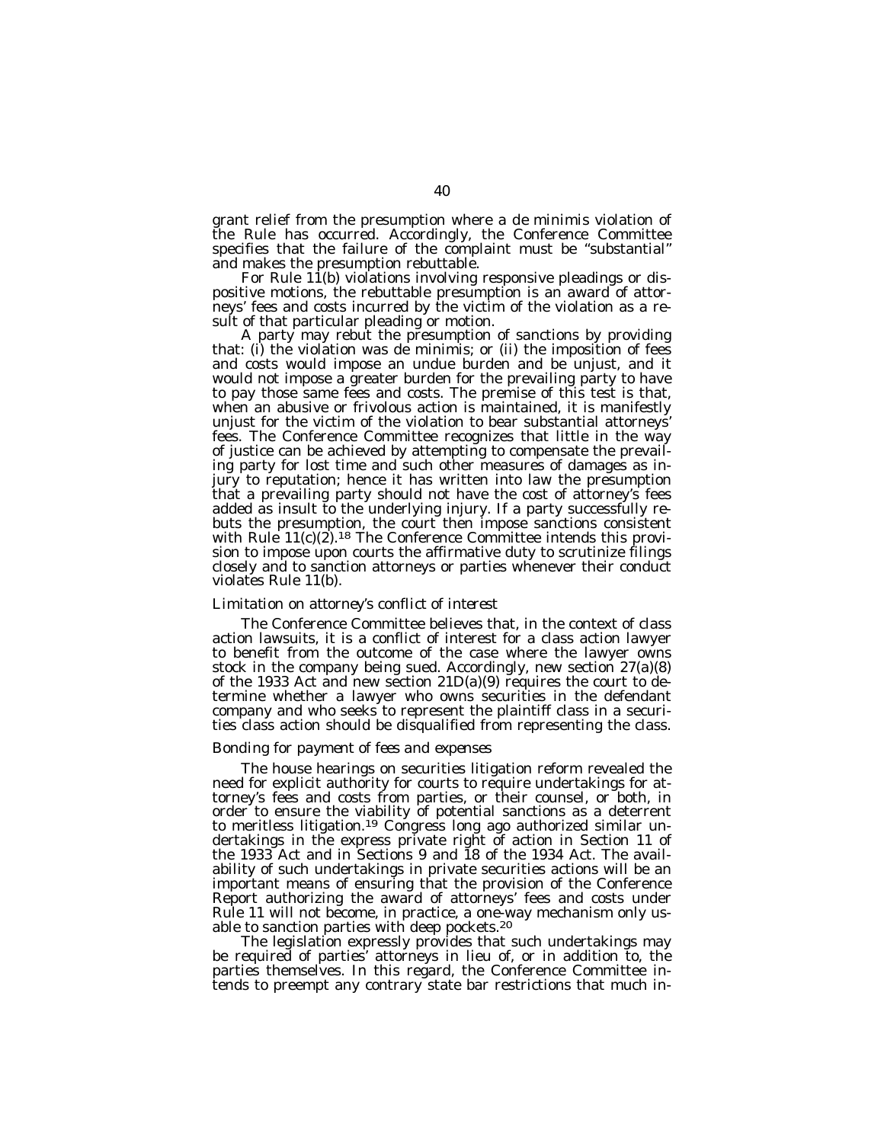grant relief from the presumption where a *de minimis* violation of the Rule has occurred. Accordingly, the Conference Committee specifies that the failure of the complaint must be ''substantial'' and makes the presumption rebuttable.

For Rule  $1\hat{1}$ (b) violations involving responsive pleadings or dispositive motions, the rebuttable presumption is an award of attorneys' fees and costs incurred by the victim of the violation as a re-

sult of that particular pleading or motion.<br>A party may rebut the presumption of sanctions by providing that: (i) the violation was de minimis; or (ii) the imposition of fees and costs would impose an undue burden and be unjust, and it would not impose a greater burden for the prevailing party to have to pay those same fees and costs. The premise of this test is that, when an abusive or frivolous action is maintained, it is manifestly unjust for the victim of the violation to bear substantial attorneys' fees. The Conference Committee recognizes that little in the way of justice can be achieved by attempting to compensate the prevailing party for lost time and such other measures of damages as injury to reputation; hence it has written into law the presumption that a prevailing party should not have the cost of attorney's fees added as insult to the underlying injury. If a party successfully rebuts the presumption, the court then impose sanctions consistent with Rule  $11(c)(2)$ .<sup>18</sup> The Conference Committee intends this provision to impose upon courts the affirmative duty to scrutinize filings closely and to sanction attorneys or parties whenever their conduct violates Rule 11(b).

#### *Limitation on attorney's conflict of interest*

The Conference Committee believes that, in the context of class action lawsuits, it is a conflict of interest for a class action lawyer to benefit from the outcome of the case where the lawyer owns stock in the company being sued. Accordingly, new section  $27(a)(8)$ of the 1933 Act and new section  $21D(a)(9)$  requires the court to determine whether a lawyer who owns securities in the defendant company and who seeks to represent the plaintiff class in a securities class action should be disqualified from representing the class.

#### *Bonding for payment of fees and expenses*

The house hearings on securities litigation reform revealed the need for explicit authority for courts to require undertakings for attorney's fees and costs from parties, or their counsel, or both, in order to ensure the viability of potential sanctions as a deterrent to meritless litigation.19 Congress long ago authorized similar undertakings in the express private right of action in Section 11 of the 1933 Act and in Sections 9 and 18 of the 1934 Act. The availability of such undertakings in private securities actions will be an important means of ensuring that the provision of the Conference Report authorizing the award of attorneys' fees and costs under Rule 11 will not become, in practice, a one-way mechanism only usable to sanction parties with deep pockets.20

The legislation expressly provides that such undertakings may be required of parties' attorneys in lieu of, or in addition to, the parties themselves. In this regard, the Conference Committee intends to preempt any contrary state bar restrictions that much in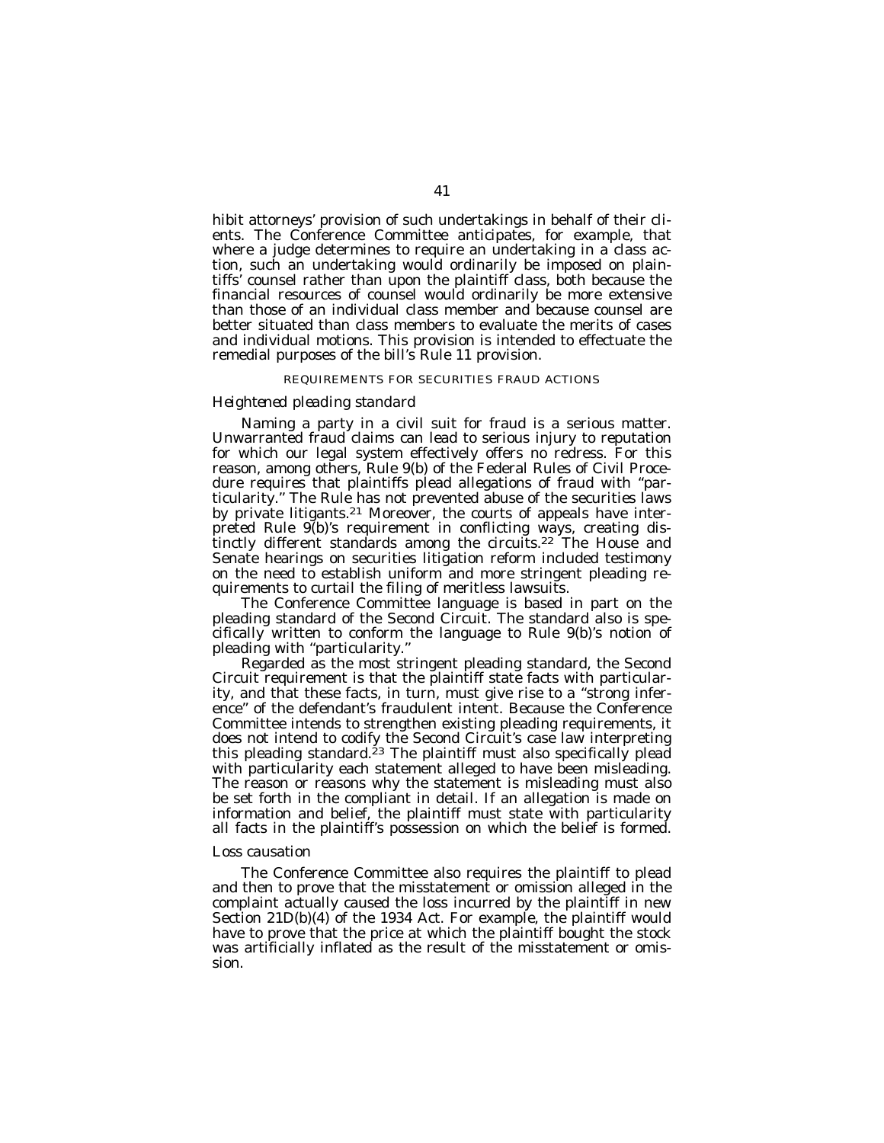hibit attorneys' provision of such undertakings in behalf of their clients. The Conference Committee anticipates, for example, that where a judge determines to require an undertaking in a class action, such an undertaking would ordinarily be imposed on plaintiffs' counsel rather than upon the plaintiff class, both because the financial resources of counsel would ordinarily be more extensive than those of an individual class member and because counsel are better situated than class members to evaluate the merits of cases and individual motions. This provision is intended to effectuate the remedial purposes of the bill's Rule 11 provision.

## REQUIREMENTS FOR SECURITIES FRAUD ACTIONS

## *Heightened pleading standard*

Naming a party in a civil suit for fraud is a serious matter. Unwarranted fraud claims can lead to serious injury to reputation for which our legal system effectively offers no redress. For this reason, among others, Rule 9(b) of the Federal Rules of Civil Procedure requires that plaintiffs plead allegations of fraud with ''particularity.'' The Rule has not prevented abuse of the securities laws by private litigants.<sup>21</sup> Moreover, the courts of appeals have interpreted Rule 9(b)'s requirement in conflicting ways, creating distinctly different standards among the circuits.<sup>22</sup> The House and Senate hearings on securities litigation reform included testimony on the need to establish uniform and more stringent pleading requirements to curtail the filing of meritless lawsuits.

The Conference Committee language is based in part on the pleading standard of the Second Circuit. The standard also is specifically written to conform the language to Rule 9(b)'s notion of pleading with ''particularity.''

Regarded as the most stringent pleading standard, the Second Circuit requirement is that the plaintiff state facts with particularity, and that these facts, in turn, must give rise to a ''strong inference'' of the defendant's fraudulent intent. Because the Conference Committee intends to strengthen existing pleading requirements, it does not intend to codify the Second Circuit's case law interpreting this pleading standard.<sup>23</sup> The plaintiff must also specifically plead with particularity each statement alleged to have been misleading. The reason or reasons why the statement is misleading must also be set forth in the compliant in detail. If an allegation is made on information and belief, the plaintiff must state with particularity all facts in the plaintiff's possession on which the belief is formed.

#### *Loss causation*

The Conference Committee also requires the plaintiff to plead and then to prove that the misstatement or omission alleged in the complaint actually caused the loss incurred by the plaintiff in new Section 21D(b)(4) of the 1934 Act. For example, the plaintiff would have to prove that the price at which the plaintiff bought the stock was artificially inflated as the result of the misstatement or omission.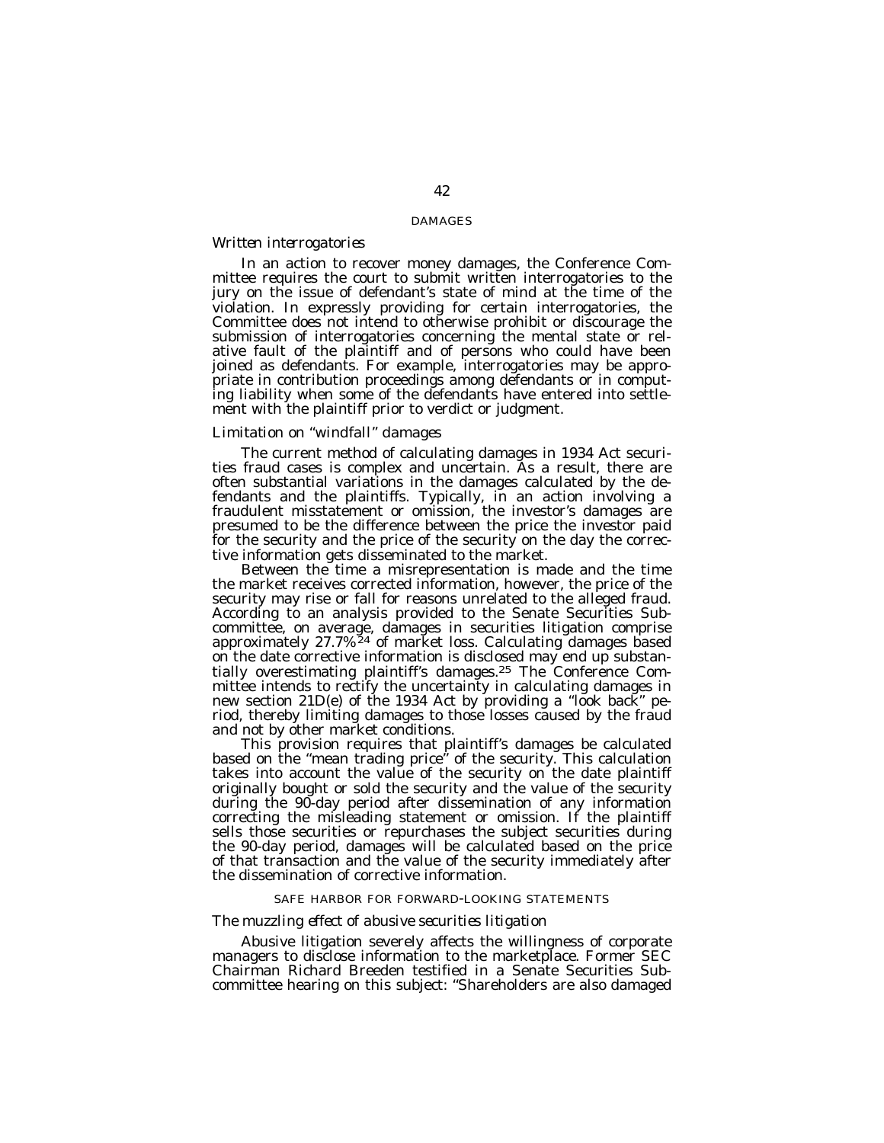#### DAMAGES

### *Written interrogatories*

In an action to recover money damages, the Conference Committee requires the court to submit written interrogatories to the jury on the issue of defendant's state of mind at the time of the violation. In expressly providing for certain interrogatories, the Committee does not intend to otherwise prohibit or discourage the submission of interrogatories concerning the mental state or relative fault of the plaintiff and of persons who could have been joined as defendants. For example, interrogatories may be appropriate in contribution proceedings among defendants or in computing liability when some of the defendants have entered into settlement with the plaintiff prior to verdict or judgment.

# *Limitation on ''windfall'' damages*

The current method of calculating damages in 1934 Act securities fraud cases is complex and uncertain. As a result, there are often substantial variations in the damages calculated by the defendants and the plaintiffs. Typically, in an action involving a fraudulent misstatement or omission, the investor's damages are presumed to be the difference between the price the investor paid for the security and the price of the security on the day the corrective information gets disseminated to the market.

Between the time a misrepresentation is made and the time the market receives corrected information, however, the price of the security may rise or fall for reasons unrelated to the alleged fraud. According to an analysis provided to the Senate Securities Subcommittee, on average, damages in securities litigation comprise approximately 27.7%<sup>24</sup> of market loss. Calculating damages based on the date corrective information is disclosed may end up substantially overestimating plaintiff's damages.<sup>25</sup> The Conference Committee intends to rectify the uncertainty in calculating damages in new section 21D(e) of the 1934 Act by providing a ''look back'' period, thereby limiting damages to those losses caused by the fraud and not by other market conditions.

This provision requires that plaintiff's damages be calculated based on the ''mean trading price'' of the security. This calculation takes into account the value of the security on the date plaintiff originally bought or sold the security and the value of the security during the 90-day period after dissemination of any information correcting the misleading statement or omission. If the plaintiff sells those securities or repurchases the subject securities during the 90-day period, damages will be calculated based on the price of that transaction and the value of the security immediately after the dissemination of corrective information.

#### SAFE HARBOR FOR FORWARD-LOOKING STATEMENTS

## *The muzzling effect of abusive securities litigation*

Abusive litigation severely affects the willingness of corporate managers to disclose information to the marketplace. Former SEC Chairman Richard Breeden testified in a Senate Securities Subcommittee hearing on this subject: ''Shareholders are also damaged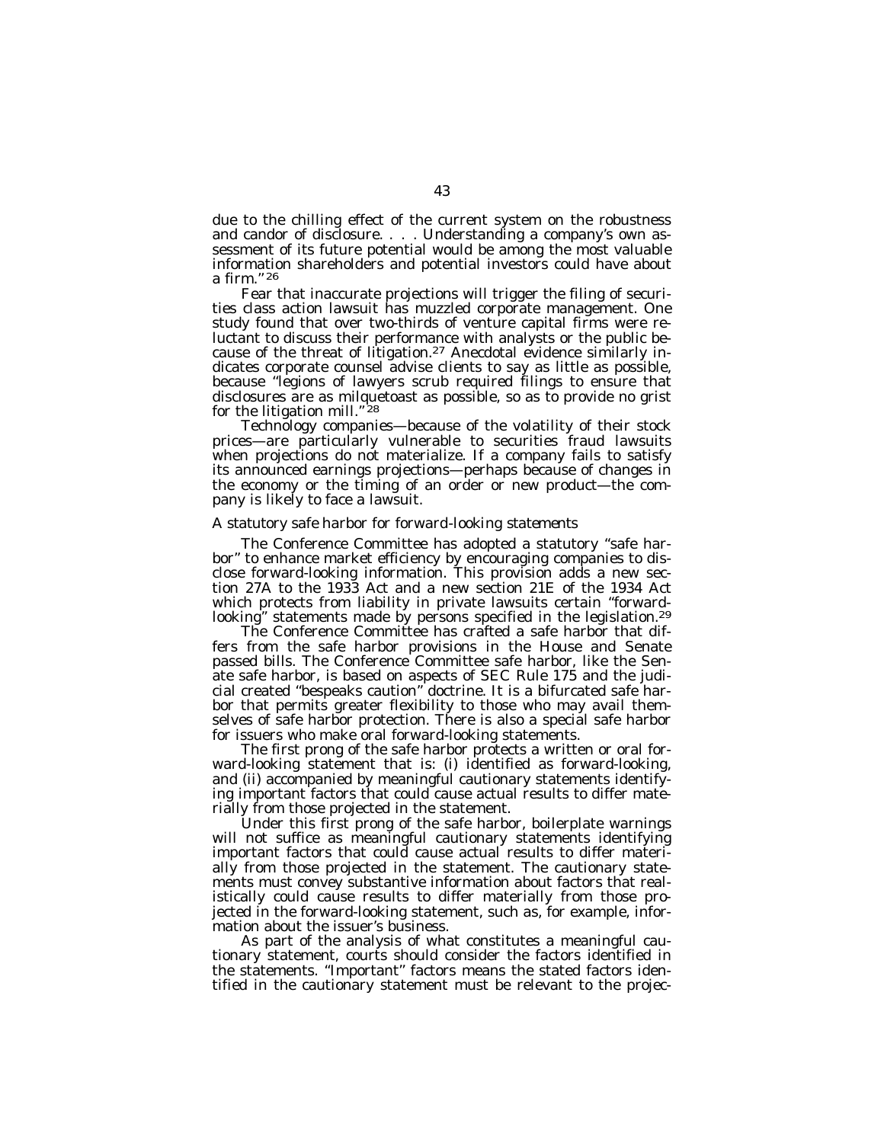due to the chilling effect of the current system on the robustness and candor of disclosure. . . . Understanding a company's own assessment of its future potential would be among the most valuable information shareholders and potential investors could have about a firm.'' 26

Fear that inaccurate projections will trigger the filing of securities class action lawsuit has muzzled corporate management. One study found that over two-thirds of venture capital firms were reluctant to discuss their performance with analysts or the public because of the threat of litigation.27 Anecdotal evidence similarly indicates corporate counsel advise clients to say as little as possible, because ''legions of lawyers scrub required filings to ensure that disclosures are as milquetoast as possible, so as to provide no grist for the litigation mill."<sup>28</sup>

Technology companies—because of the volatility of their stock prices—are particularly vulnerable to securities fraud lawsuits when projections do not materialize. If a company fails to satisfy its announced earnings projections—perhaps because of changes in the economy or the timing of an order or new product—the company is likely to face a lawsuit.

## *A statutory safe harbor for forward-looking statements*

The Conference Committee has adopted a statutory ''safe harbor'' to enhance market efficiency by encouraging companies to disclose forward-looking information. This provision adds a new section 27A to the 1933 Act and a new section 21E of the 1934 Act which protects from liability in private lawsuits certain ''forwardlooking" statements made by persons specified in the legislation.<sup>29</sup>

The Conference Committee has crafted a safe harbor that differs from the safe harbor provisions in the House and Senate passed bills. The Conference Committee safe harbor, like the Senate safe harbor, is based on aspects of SEC Rule 175 and the judicial created ''bespeaks caution'' doctrine. It is a bifurcated safe harbor that permits greater flexibility to those who may avail themselves of safe harbor protection. There is also a special safe harbor for issuers who make oral forward-looking statements.

The first prong of the safe harbor protects a written or oral forward-looking statement that is: (i) identified as forward-looking, and (ii) accompanied by meaningful cautionary statements identifying important factors that could cause actual results to differ materially from those projected in the statement.

Under this first prong of the safe harbor, boilerplate warnings will not suffice as meaningful cautionary statements identifying important factors that could cause actual results to differ materially from those projected in the statement. The cautionary statements must convey substantive information about factors that realistically could cause results to differ materially from those projected in the forward-looking statement, such as, for example, information about the issuer's business.

As part of the analysis of what constitutes a meaningful cautionary statement, courts should consider the factors identified in the statements. ''Important'' factors means the stated factors identified in the cautionary statement must be relevant to the projec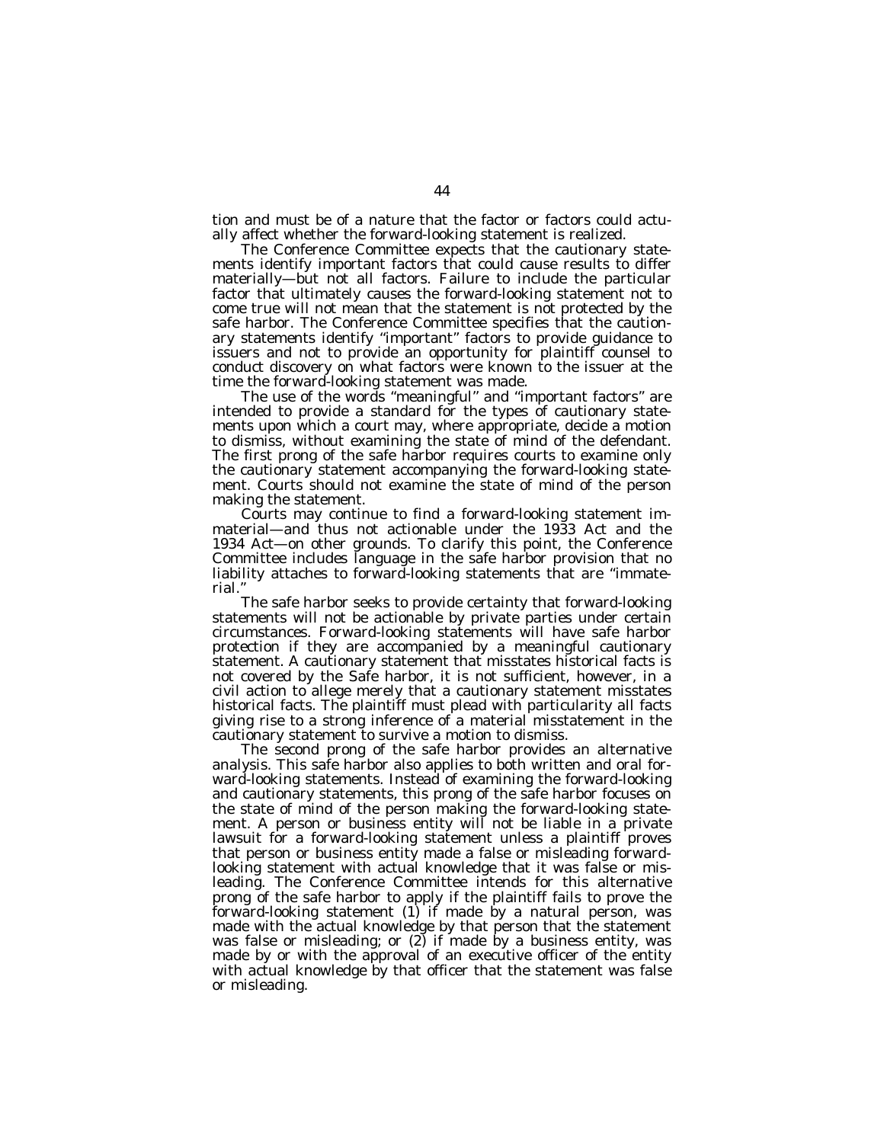tion and must be of a nature that the factor or factors could actually affect whether the forward-looking statement is realized.

The Conference Committee expects that the cautionary statements identify important factors that could cause results to differ materially—but not all factors. Failure to include the particular factor that ultimately causes the forward-looking statement not to come true will not mean that the statement is not protected by the safe harbor. The Conference Committee specifies that the cautionary statements identify ''important'' factors to provide guidance to issuers and not to provide an opportunity for plaintiff counsel to conduct discovery on what factors were known to the issuer at the time the forward-looking statement was made.

The use of the words ''meaningful'' and ''important factors'' are intended to provide a standard for the types of cautionary statements upon which a court may, where appropriate, decide a motion to dismiss, without examining the state of mind of the defendant. The first prong of the safe harbor requires courts to examine only the cautionary statement accompanying the forward-looking statement. Courts should not examine the state of mind of the person making the statement.

Courts may continue to find a forward-looking statement immaterial—and thus not actionable under the 1933 Act and the 1934 Act—on other grounds. To clarify this point, the Conference Committee includes language in the safe harbor provision that no liability attaches to forward-looking statements that are ''immaterial.''

The safe harbor seeks to provide certainty that forward-looking statements will not be actionable by private parties under certain circumstances. Forward-looking statements will have safe harbor protection if they are accompanied by a meaningful cautionary statement. A cautionary statement that misstates historical facts is not covered by the Safe harbor, it is not sufficient, however, in a civil action to allege merely that a cautionary statement misstates historical facts. The plaintiff must plead with particularity all facts giving rise to a strong inference of a material misstatement in the cautionary statement to survive a motion to dismiss.

The second prong of the safe harbor provides an alternative analysis. This safe harbor also applies to both written and oral forward-looking statements. Instead of examining the forward-looking and cautionary statements, this prong of the safe harbor focuses on the state of mind of the person making the forward-looking statement. A person or business entity will not be liable in a private lawsuit for a forward-looking statement unless a plaintiff proves that person or business entity made a false or misleading forwardlooking statement with actual knowledge that it was false or misleading. The Conference Committee intends for this alternative prong of the safe harbor to apply if the plaintiff fails to prove the forward-looking statement (1) if made by a natural person, was made with the actual knowledge by that person that the statement was false or misleading; or  $(2)$  if made by a business entity, was made by or with the approval of an executive officer of the entity with actual knowledge by that officer that the statement was false or misleading.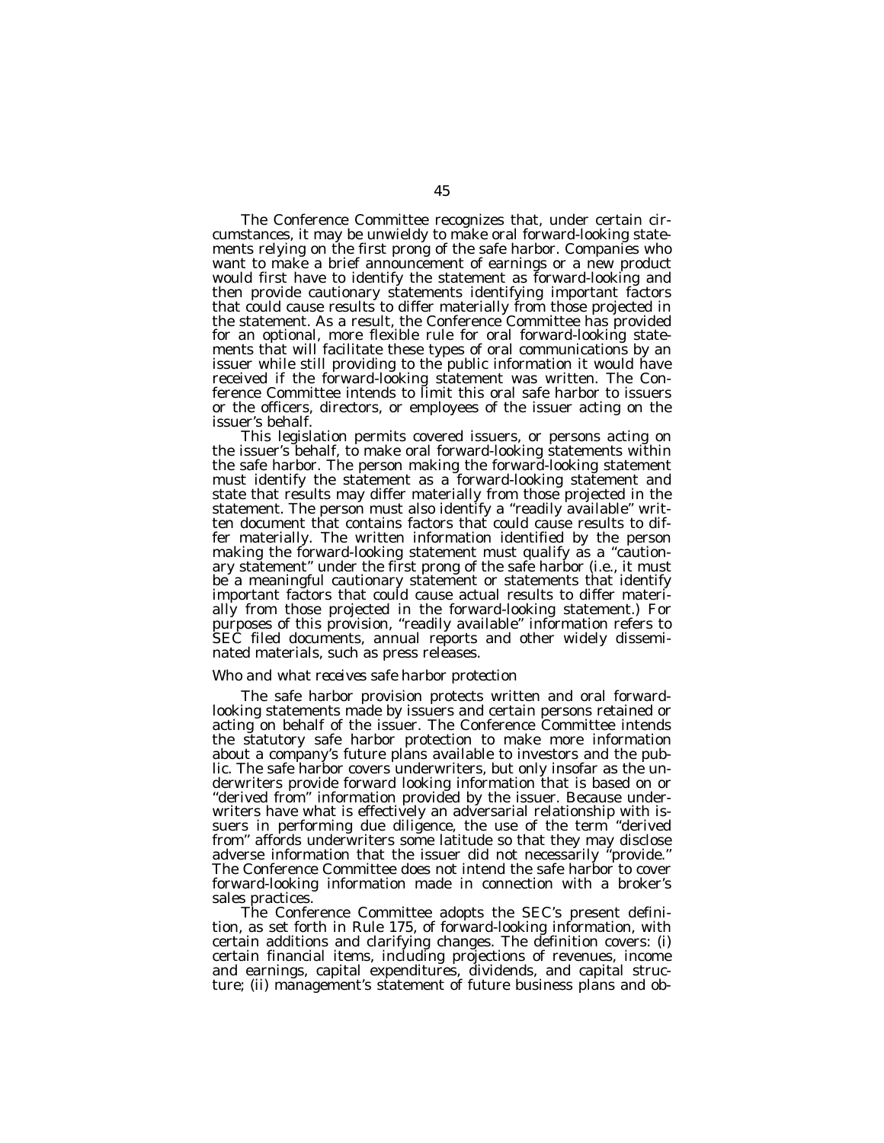The Conference Committee recognizes that, under certain circumstances, it may be unwieldy to make oral forward-looking statements relying on the first prong of the safe harbor. Companies who want to make a brief announcement of earnings or a new product would first have to identify the statement as forward-looking and then provide cautionary statements identifying important factors that could cause results to differ materially from those projected in the statement. As a result, the Conference Committee has provided for an optional, more flexible rule for oral forward-looking statements that will facilitate these types of oral communications by an issuer while still providing to the public information it would have received if the forward-looking statement was written. The Conference Committee intends to limit this oral safe harbor to issuers or the officers, directors, or employees of the issuer acting on the issuer's behalf.

This legislation permits covered issuers, or persons acting on the issuer's behalf, to make oral forward-looking statements within the safe harbor. The person making the forward-looking statement must identify the statement as a forward-looking statement and state that results may differ materially from those projected in the statement. The person must also identify a ''readily available'' written document that contains factors that could cause results to differ materially. The written information identified by the person making the forward-looking statement must qualify as a "cautionary statement'' under the first prong of the safe harbor (i.e., it must be a meaningful cautionary statement or statements that identify important factors that could cause actual results to differ materially from those projected in the forward-looking statement.) For purposes of this provision, ''readily available'' information refers to SEC filed documents, annual reports and other widely disseminated materials, such as press releases.

#### *Who and what receives safe harbor protection*

The safe harbor provision protects written and oral forwardlooking statements made by issuers and certain persons retained or acting on behalf of the issuer. The Conference Committee intends the statutory safe harbor protection to make more information about a company's future plans available to investors and the public. The safe harbor covers underwriters, but only insofar as the underwriters provide forward looking information that is based on or "derived from" information provided by the issuer. Because underwriters have what is effectively an adversarial relationship with issuers in performing due diligence, the use of the term ''derived from'' affords underwriters some latitude so that they may disclose adverse information that the issuer did not necessarily ''provide.'' The Conference Committee does not intend the safe harbor to cover forward-looking information made in connection with a broker's sales practices.

The Conference Committee adopts the SEC's present definition, as set forth in Rule 175, of forward-looking information, with certain additions and clarifying changes. The definition covers: (i) certain financial items, including projections of revenues, income and earnings, capital expenditures, dividends, and capital structure; (ii) management's statement of future business plans and ob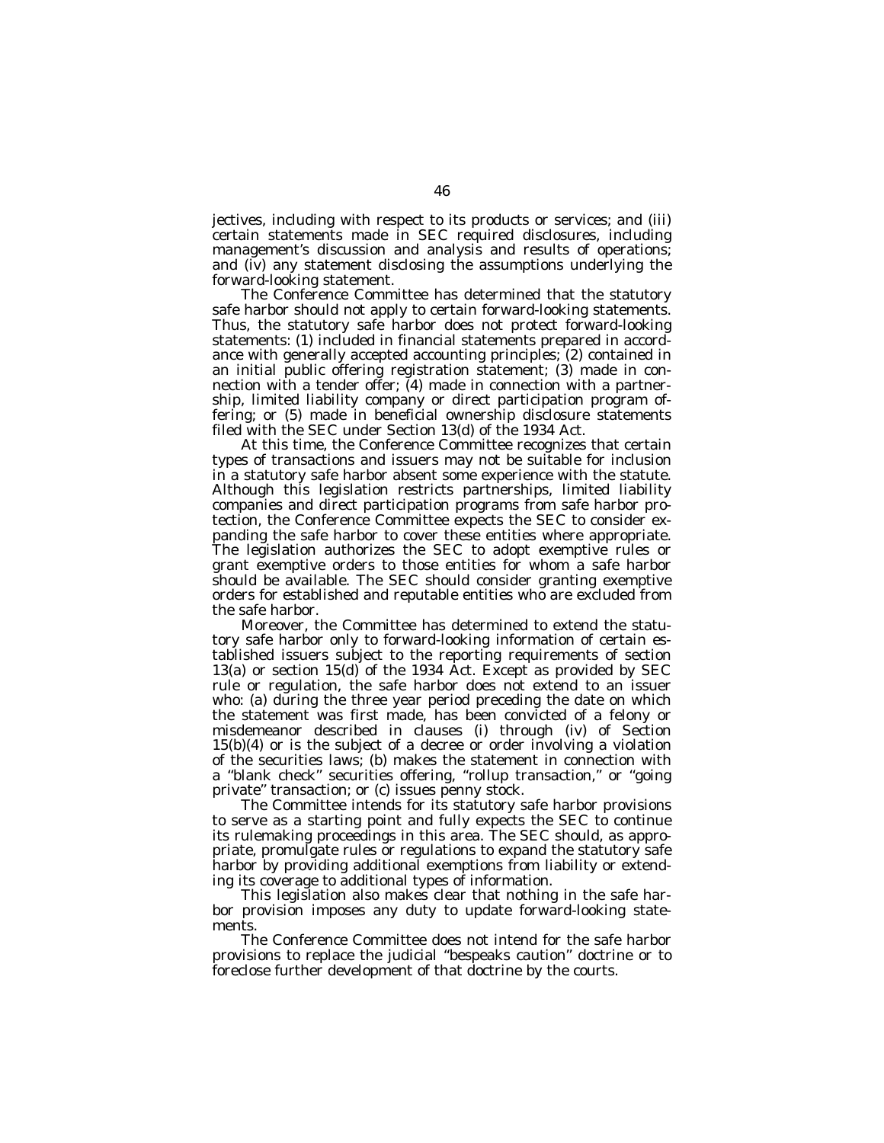jectives, including with respect to its products or services; and (iii) certain statements made in SEC required disclosures, including management's discussion and analysis and results of operations; and (iv) any statement disclosing the assumptions underlying the forward-looking statement.

The Conference Committee has determined that the statutory safe harbor should not apply to certain forward-looking statements. Thus, the statutory safe harbor does not protect forward-looking statements: (1) included in financial statements prepared in accordance with generally accepted accounting principles; (2) contained in an initial public offering registration statement; (3) made in connection with a tender offer; (4) made in connection with a partnership, limited liability company or direct participation program offering; or (5) made in beneficial ownership disclosure statements filed with the SEC under Section 13(d) of the 1934 Act.

At this time, the Conference Committee recognizes that certain types of transactions and issuers may not be suitable for inclusion in a statutory safe harbor absent some experience with the statute. Although this legislation restricts partnerships, limited liability companies and direct participation programs from safe harbor protection, the Conference Committee expects the SEC to consider expanding the safe harbor to cover these entities where appropriate. The legislation authorizes the SEC to adopt exemptive rules or grant exemptive orders to those entities for whom a safe harbor should be available. The SEC should consider granting exemptive orders for established and reputable entities who are excluded from the safe harbor.

Moreover, the Committee has determined to extend the statutory safe harbor only to forward-looking information of certain established issuers subject to the reporting requirements of section 13(a) or section 15(d) of the 1934 Act. Except as provided by SEC rule or regulation, the safe harbor does not extend to an issuer who: (a) during the three year period preceding the date on which the statement was first made, has been convicted of a felony or misdemeanor described in clauses (i) through (iv) of Section 15(b)(4) or is the subject of a decree or order involving a violation of the securities laws; (b) makes the statement in connection with a ''blank check'' securities offering, ''rollup transaction,'' or ''going private'' transaction; or (c) issues penny stock.

The Committee intends for its statutory safe harbor provisions to serve as a starting point and fully expects the SEC to continue its rulemaking proceedings in this area. The SEC should, as appropriate, promulgate rules or regulations to expand the statutory safe harbor by providing additional exemptions from liability or extending its coverage to additional types of information.

This legislation also makes clear that nothing in the safe harbor provision imposes any duty to update forward-looking statements.

The Conference Committee does not intend for the safe harbor provisions to replace the judicial ''bespeaks caution'' doctrine or to foreclose further development of that doctrine by the courts.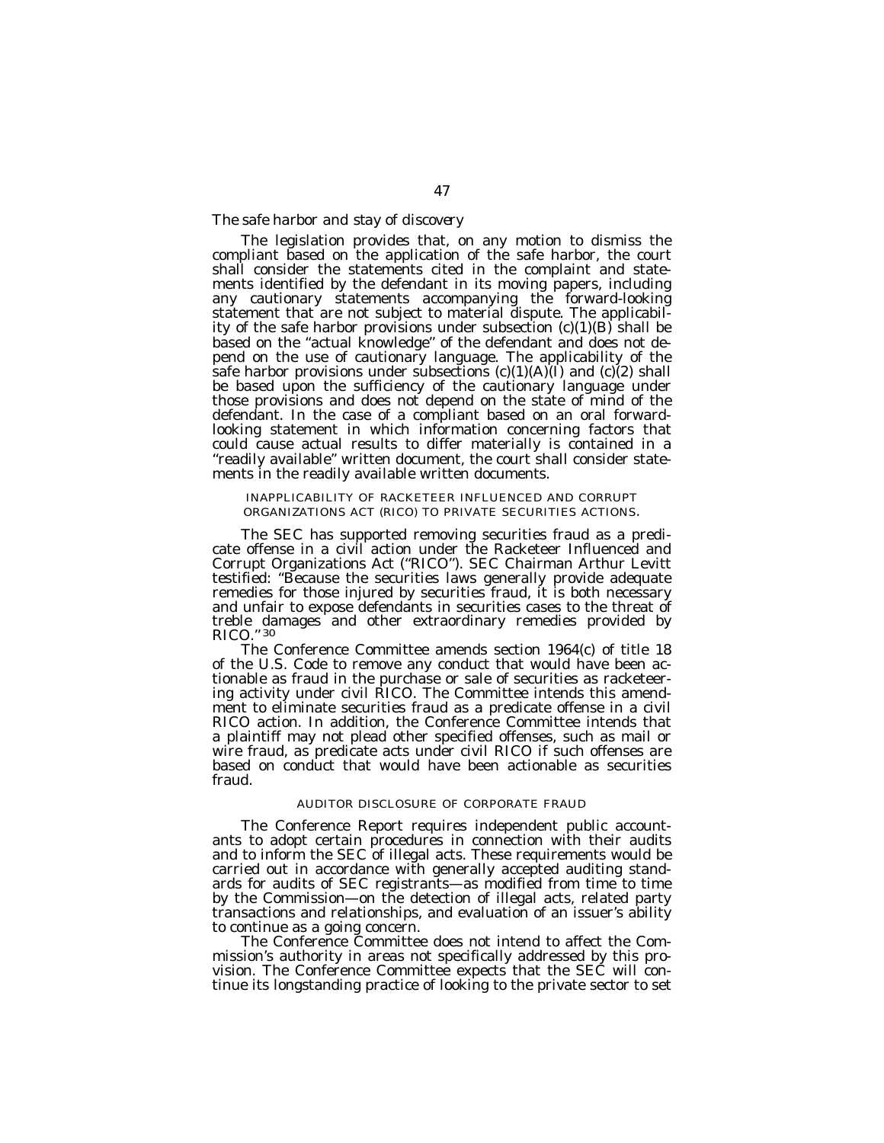## *The safe harbor and stay of discovery*

The legislation provides that, on any motion to dismiss the compliant based on the application of the safe harbor, the court shall consider the statements cited in the complaint and statements identified by the defendant in its moving papers, including any cautionary statements accompanying the forward-looking statement that are not subject to material dispute. The applicability of the safe harbor provisions under subsection  $(c)(1)(B)$  shall be based on the ''actual knowledge'' of the defendant and does not depend on the use of cautionary language. The applicability of the safe harbor provisions under subsections  $(c)(1)(A)(I)$  and  $(c)(2)$  shall be based upon the sufficiency of the cautionary language under those provisions and does not depend on the state of mind of the defendant. In the case of a compliant based on an oral forwardlooking statement in which information concerning factors that could cause actual results to differ materially is contained in a ''readily available'' written document, the court shall consider statements in the readily available written documents.

## INAPPLICABILITY OF RACKETEER INFLUENCED AND CORRUPT ORGANIZATIONS ACT (RICO) TO PRIVATE SECURITIES ACTIONS.

The SEC has supported removing securities fraud as a predicate offense in a civil action under the Racketeer Influenced and Corrupt Organizations Act (''RICO''). SEC Chairman Arthur Levitt testified: ''Because the securities laws generally provide adequate remedies for those injured by securities fraud, it is both necessary and unfair to expose defendants in securities cases to the threat of treble damages and other extraordinary remedies provided by RICO.'' 30

The Conference Committee amends section 1964(c) of title 18 of the U.S. Code to remove any conduct that would have been actionable as fraud in the purchase or sale of securities as racketeering activity under civil RICO. The Committee intends this amendment to eliminate securities fraud as a predicate offense in a civil RICO action. In addition, the Conference Committee intends that a plaintiff may not plead other specified offenses, such as mail or wire fraud, as predicate acts under civil RICO if such offenses are based on conduct that would have been actionable as securities fraud.

#### AUDITOR DISCLOSURE OF CORPORATE FRAUD

The Conference Report requires independent public accountants to adopt certain procedures in connection with their audits and to inform the SEC of illegal acts. These requirements would be carried out in accordance with generally accepted auditing standards for audits of SEC registrants—as modified from time to time by the Commission—on the detection of illegal acts, related party transactions and relationships, and evaluation of an issuer's ability to continue as a going concern.

The Conference Committee does not intend to affect the Commission's authority in areas not specifically addressed by this provision. The Conference Committee expects that the SEC will continue its longstanding practice of looking to the private sector to set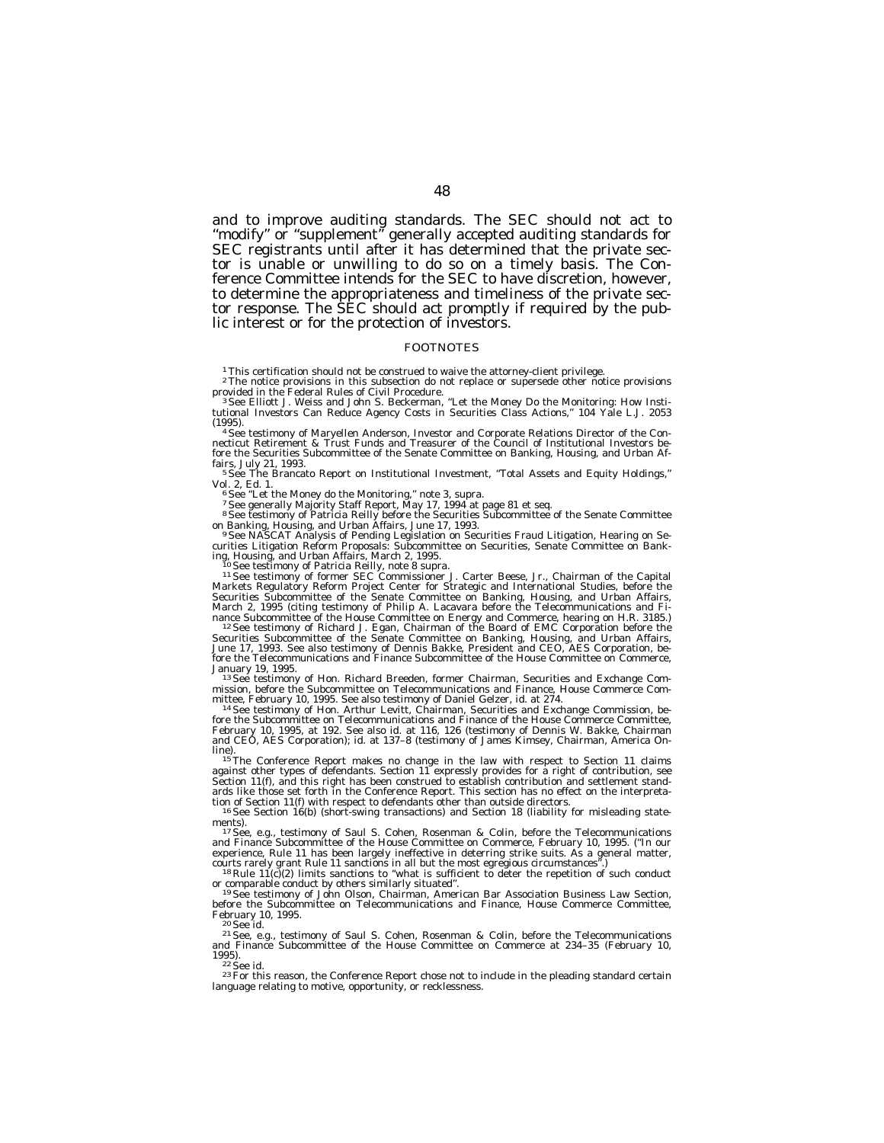and to improve auditing standards. The SEC should not act to ''modify'' or ''supplement'' generally accepted auditing standards for SEC registrants until after it has determined that the private sector is unable or unwilling to do so on a timely basis. The Conference Committee intends for the SEC to have discretion, however, to determine the appropriateness and timeliness of the private sector response. The SEC should act promptly if required by the public interest or for the protection of investors.

#### **FOOTNOTES**

1This certification should not be construed to waive the attorney-client privilege.

<sup>2</sup>The notice provisions in this subsection do not replace or supersede other notice provisions provided in the Federal Rules of Civil Procedure.<br>3See Elliott J. Weiss and John S. Beckerman, "Let the Money Do the Monitoring: How Insti-<br><sup>3</sup>See Elliott J. Weiss and John S. Beckerman, "Let the Money Do the Monitoring: H

tutional Investors Can Reduce Agency Costs in Securities Class Actions,'' 104 Yale L.J. 2053

<sup>4</sup> See testimony of Maryellen Anderson, Investor and Corporate Relations Director of the Connecticut Retirement & Trust Funds and Treasurer of the Council of Institutional Investors be-fore the Securities Subcommittee of the Senate Committee on Banking, Housing, and Urban Af-

fairs, July 21, 1993.<br><sup>5</sup>See The Brancato Report on Institutional Investment, "Total Assets and Equity Holdings,'<br>Vol. 2, Ed. 1.

<sup>6</sup> See "Let the Money do the Monitoring," note 3, supra.

7See generally Majority Staff Report, May 17, 1994 at page 81 et seq. 8See testimony of Patricia Reilly before the Securities Subcommittee of the Senate Committee

on Banking, Housing, and Urban Affairs, June 17, 1993.<br><sup>9</sup> See NASCAT Analysis of Pending Legislation on Securities Fraud Litigation, Hearing on Securities Litigation Reform Proposals: Subcommittee on Securities, Senate Co

Securities Subcommittee of the Senate Committee on Banking, Housing, and Urban Affairs, March 2, 1995 (citing testimony of Philip A. Lacavara before the Telecommunications and Finance Subcommittee of the House Committee on Energy and Commerce, hearing on H.R. 3185.)<br><sup>12</sup>See testimony of Richard J. Egan, Chairman of the Board of EMC Corporation before the

Securities Subcommittee of the Senate Committee on Banking, Housing, and Urban Affairs, June 17, 1993. See also testimony of Dennis Bakke, President and CEO, AES Corporation, before the Telecommunications and Finance Subcommittee of the House Committee on Commerce,

<sup>13</sup> See testimony of Hon. Richard Breeden, former Chairman, Securities and Exchange Commission, before the Subcommittee on Telecommunications and Finance, House Commerce Committee, February 10, 1995. See also testimony of Daniel Gelzer, id. at 274.<br><sup>14</sup> See testimony of Hon. Arthur Levitt, Chairman, Securities and Exchange Commission, be-

fore the Subcommittee on Telecommunications and Finance of the House Commerce Committee,<br>February 10, 1995, at 192. See also id. at 116, 126 (testimony of Dennis W. Bakke, Chairman<br>and CEO, AES Corporation); id. at 137–8 ( line).<br><sup>15</sup>The Conference Report makes no change in the law with respect to Section 11 claims

against other types of defendants. Section 11 expressly provides for a right of contribution, see Section 11(f), and this right has been construed to establish contribution and settlement standards like those set forth in the Conference Report. This section has no effect on the interpreta-

tion of Section 11(f) with respect to defendants other than outside directors.<br><sup>16</sup>See Section 16(b) (short-swing transactions) and Section 18 (liability for misleading state-<br>ments).

ments).<br><sup>17</sup> See, e.g., testimony of Saul S. Cohen, Rosenman & Colin, before the Telecommunications<br>and Finance Subcommittee of the House Committee on Commerce, February 10, 1995. ("In our experience, Rule 11 has been largely ineffective in deterring strike suits. As a general matter,<br>courts rarely grant Rule 11 sanctions in all but the most egregious circumstances".)<br><sup>18</sup> Rule 11(c)(2) limits sanctions to "

or comparable conduct by others similarly situated''. 19See testimony of John Olson, Chairman, American Bar Association Business Law Section,

before the Subcommittee on Telecommunications and Finance, House Commerce Committee,<br>February 10, 1995.

February 10, 2005.<br><sup>21</sup> See, e.g., testimony of Saul S. Cohen, Rosenman & Colin, before the Telecommunications<br><sup>21</sup> See, e.g., testimony of Saul S. Cohen, Rosenman & Colin, before the Telecommunications and Finance Subcommittee of the House Committee on Commerce at 234–35 (February 10,

<sup>22</sup> See id.<br><sup>23</sup>For this reason, the Conference Report chose not to include in the pleading standard certain language relating to motive, opportunity, or recklessness.